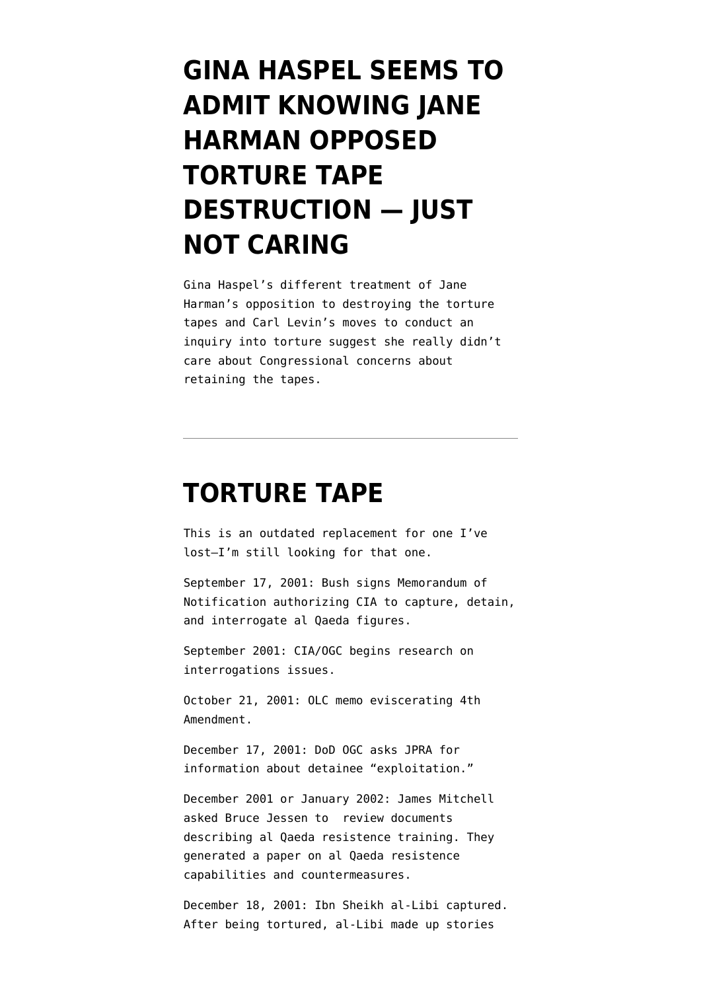## **[GINA HASPEL SEEMS TO](https://www.emptywheel.net/2018/05/10/gina-haspel-seems-to-admit-knowing-jane-harman-opposed-torture-tape-destruction-just-not-caring/) [ADMIT KNOWING JANE](https://www.emptywheel.net/2018/05/10/gina-haspel-seems-to-admit-knowing-jane-harman-opposed-torture-tape-destruction-just-not-caring/) [HARMAN OPPOSED](https://www.emptywheel.net/2018/05/10/gina-haspel-seems-to-admit-knowing-jane-harman-opposed-torture-tape-destruction-just-not-caring/) [TORTURE TAPE](https://www.emptywheel.net/2018/05/10/gina-haspel-seems-to-admit-knowing-jane-harman-opposed-torture-tape-destruction-just-not-caring/) [DESTRUCTION — JUST](https://www.emptywheel.net/2018/05/10/gina-haspel-seems-to-admit-knowing-jane-harman-opposed-torture-tape-destruction-just-not-caring/) [NOT CARING](https://www.emptywheel.net/2018/05/10/gina-haspel-seems-to-admit-knowing-jane-harman-opposed-torture-tape-destruction-just-not-caring/)**

Gina Haspel's different treatment of Jane Harman's opposition to destroying the torture tapes and Carl Levin's moves to conduct an inquiry into torture suggest she really didn't care about Congressional concerns about retaining the tapes.

### **[TORTURE TAPE](https://www.emptywheel.net/portfolio-item/torture-tape-timeline/)**

This is an outdated replacement for one I've lost–I'm still looking for that one.

September 17, 2001: Bush signs Memorandum of Notification authorizing CIA to capture, detain, and interrogate al Qaeda figures.

September 2001: CIA/OGC [begins](http://www.aclu.org/oigreport) research on interrogations issues.

October 21, 2001: OLC memo eviscerating 4th Amendment.

December 17, 2001: DoD OGC asks JPRA for information about detainee "exploitation."

December 2001 or January 2002: James Mitchell asked Bruce Jessen to review documents describing al Qaeda resistence training. They generated a paper on al Qaeda resistence capabilities and countermeasures.

December 18, 2001: Ibn Sheikh al-Libi captured. After being tortured, al-Libi made up stories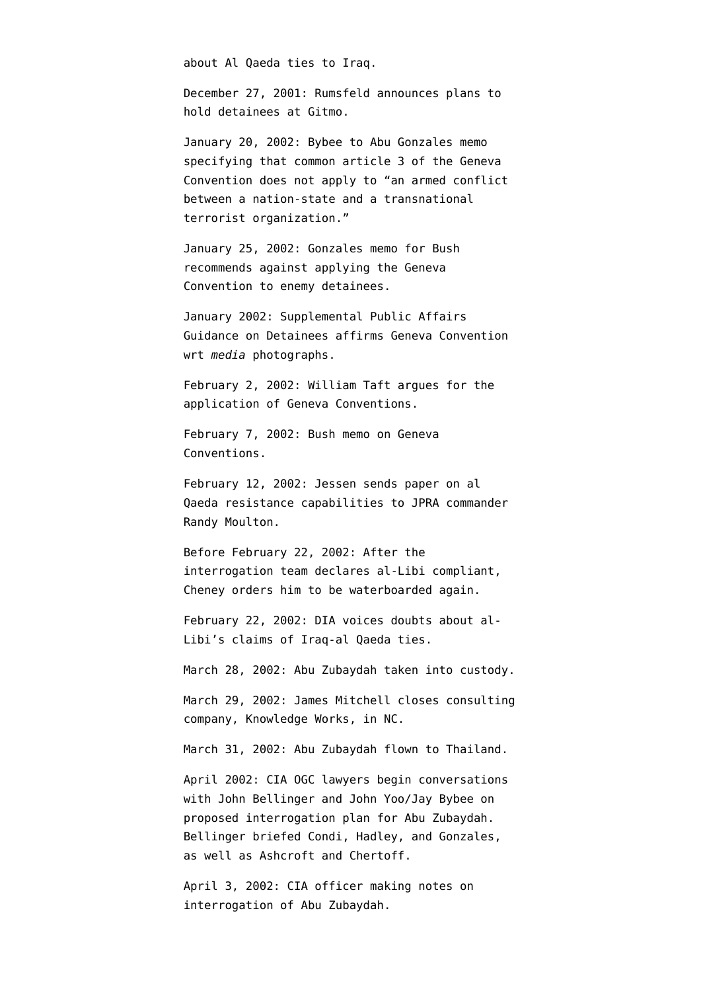about Al Qaeda ties to Iraq.

December 27, 2001: Rumsfeld announces plans to hold detainees at Gitmo.

January 20, 2002: Bybee to Abu Gonzales memo specifying that common article 3 of the Geneva Convention does not apply to "an armed conflict between a nation-state and a transnational terrorist organization."

January 25, 2002: Gonzales memo for Bush [recommends](http://news.lp.findlaw.com/hdocs/docs/torture/gnzls12502mem2gwb.html) against applying the Geneva Convention to enemy detainees.

January 2002: Supplemental Public Affairs Guidance on Detainees affirms Geneva Convention wrt *media* photographs.

February 2, 2002: William Taft [argues](http://www.google.com/url?sa=t&source=web&ct=res&cd=1&url=http%3A%2F%2Fwww.fas.org%2Fsgp%2Fothergov%2Ftaft.pdf&ei=A1T0SZCgF5O-MuKU1bgP&usg=AFQjCNHbvS0lp-4Y4b6ME6r4g8Bu6FUDlg) for the application of Geneva Conventions.

February 7, 2002: Bush memo on Geneva Conventions.

February 12, 2002: Jessen sends paper on al Qaeda resistance capabilities to JPRA commander Randy Moulton.

Before February 22, 2002: After the interrogation team declares al-Libi compliant, Cheney [orders him](http://www.thewashingtonnote.com/archives/2009/05/the_truth_about/) to be waterboarded again.

February 22, 2002: DIA [voices doubts](http://intelligence.senate.gov/phaseiiaccuracy.pdf) about al-Libi's claims of Iraq-al Qaeda ties.

March 28, 2002: Abu Zubaydah taken into custody.

March 29, 2002: James Mitchell [closes](http://www.google.com/url?sa=t&source=web&ct=res&cd=5&url=http%3A%2F%2Fwww.vanityfair.com%2Fpolitics%2Ffeatures%2F2007%2F07%2Ftorture200707%3FcurrentPage%3D2&ei=uwH0Sa6GKpfCMpzlsMUP&usg=AFQjCNGhDAOjnx7c55Nyi9TcPEoFg-xO6Q) consulting company, Knowledge Works, in NC.

March 31, 2002: Abu Zubaydah [flown](http://www.washingtonpost.com/wp-dyn/content/article/2007/12/17/AR2007121702151.html?hpid=topnews) to Thailand.

April 2002: CIA OGC lawyers [begin](http://intelligence.senate.gov/pdfs/olcopinion.pdf) conversations with John Bellinger and John Yoo/Jay Bybee on proposed interrogation plan for Abu Zubaydah. Bellinger briefed Condi, Hadley, and Gonzales, as well as Ashcroft and Chertoff.

April 3, 2002: CIA officer [making notes](http://www.aclu.org/safefree/torture/40890lgl20090831.html) on interrogation of Abu Zubaydah.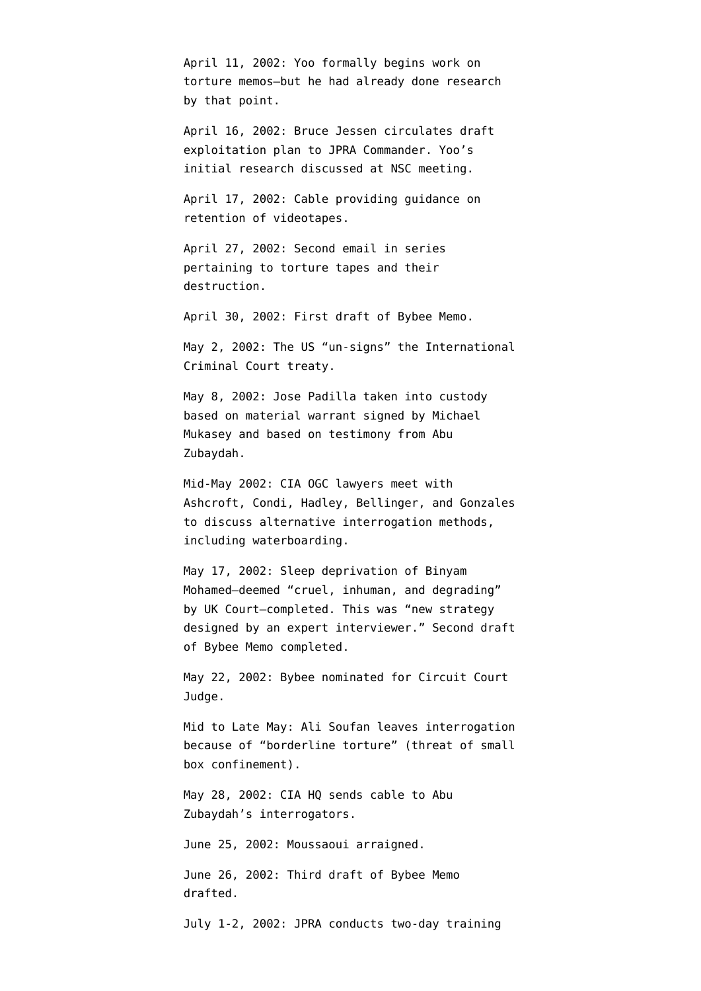April 11, 2002: Yoo formally begins work on torture memos–but he had already done research by that point.

April 16, 2002: Bruce Jessen [circulates](http://armed-services.senate.gov/Publications/Detainee%20Report%20Final_April%2022%202009.pdf) draft exploitation plan to JPRA Commander. Yoo's initial research discussed at NSC meeting.

April 17, 2002: Cable [providing](http://www.aclu.org/files/assets/20091120_Govt_Para_4_55_Hardcopy_Vaughn_Index.pdf) guidance on retention of videotapes.

April 27, 2002: Second email in [series](http://www.aclu.org/files/assets/20091120_Govt_Para_4_55_Hardcopy_Vaughn_Index.pdf) pertaining to torture tapes and their destruction.

April 30, 2002: First draft of Bybee Memo.

May 2, 2002: The US ["un-signs](http://news.bbc.co.uk/2/hi/americas/1970312.stm)" the International Criminal Court treaty.

May 8, 2002: Jose Padilla taken into custody based on material warrant [signed by](http://www.opinionjournal.com/extra/?id=110010505) Michael Mukasey and based on testimony from Abu Zubaydah.

Mid-May 2002: CIA OGC lawyers [meet](http://intelligence.senate.gov/pdfs/olcopinion.pdf) with Ashcroft, Condi, Hadley, Bellinger, and Gonzales to discuss alternative interrogation methods, including waterboarding.

May 17, 2002: Sleep deprivation of Binyam Mohamed–deemed "cruel, inhuman, and degrading" by UK Court[–completed](http://www.guardian.co.uk/world/2010/feb/10/binyam-mohamed-torture-evidence-paragraphs). This was "new strategy designed by an expert interviewer." Second draft of Bybee Memo completed.

May 22, 2002: Bybee nominated for Circuit Court Judge.

Mid to Late May: Ali Soufan [leaves](http://www.usdoj.gov/oig/special/s0805/final.pdf) interrogation because of "borderline torture" (threat of small box confinement).

May 28, 2002: CIA HQ [sends](http://www.aclu.org/torturefoia/legaldocuments/torturefoia_list_20090518.pdf) cable to Abu Zubaydah's interrogators.

June 25, 2002: Moussaoui [arraigned](http://www.courttv.com/trials/moussaoui/062502_ap.html).

June 26, 2002: Third draft of Bybee Memo drafted.

July 1-2, 2002: JPRA [conducts](http://armed-services.senate.gov/Publications/Detainee%20Report%20Final_April%2022%202009.pdf) two-day training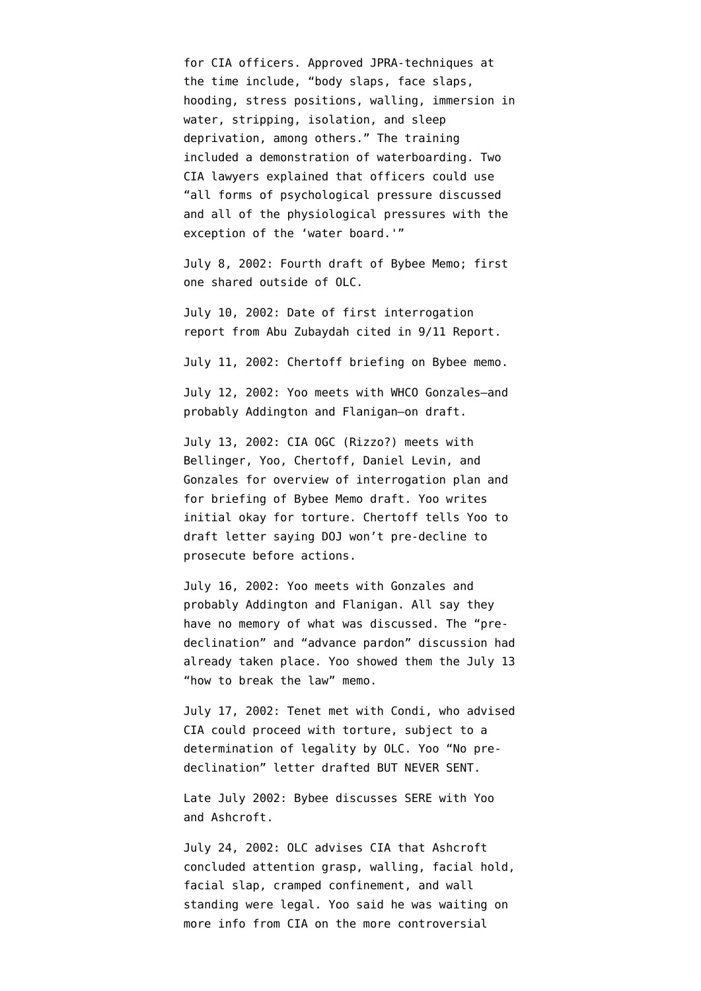for CIA officers. Approved JPRA-techniques at the time include, "body slaps, face slaps, hooding, stress positions, walling, immersion in water, stripping, isolation, and sleep deprivation, among others." The training included a demonstration of waterboarding. Two CIA lawyers explained that officers could use "all forms of psychological pressure discussed and all of the physiological pressures with the exception of the 'water board.'"

July 8, 2002: Fourth draft of Bybee Memo; first one shared outside of OLC.

July 10, 2002: Date of first interrogation report from Abu Zubaydah [cited](http://emptywheel.firedoglake.com/2009/04/22/abu-zubaydah-waterboarded-83-times-for-10-pieces-of-intelligence/) in 9/11 Report.

July 11, 2002: Chertoff briefing on Bybee memo.

July 12, 2002: Yoo meets with WHCO Gonzales–and probably Addington and Flanigan–on draft.

July 13, 2002: CIA OGC (Rizzo?) [meets](http://emptywheel.firedoglake.com/wp-admin/July%2017,%202002:%20Tenet%20met%20with%20Condi,%20who%20advised%20CIA%20could%20proceed%20with%20torture,%20subject%20to%20a%20determination%20of%20legality%20by%20OLC.) with Bellinger, Yoo, Chertoff, Daniel Levin, and Gonzales for overview of interrogation plan and for briefing of Bybee Memo draft. Yoo [writes](http://emptywheel.firedoglake.com/files/28/files//2009/08/020713-yoo-rizzo.pdf) initial okay for torture. Chertoff tells Yoo to draft letter saying DOJ won't pre-decline to prosecute before actions.

July 16, 2002: Yoo meets with Gonzales and probably Addington and Flanigan. All say they have no memory of what was discussed. The "predeclination" and "advance pardon" discussion had already taken place. Yoo showed them the July 13 "how to break the law" memo.

July 17, 2002: Tenet met with Condi, who advised CIA could proceed with torture, subject to a determination of legality by OLC. Yoo "No predeclination" letter drafted BUT NEVER SENT.

Late July 2002: Bybee [discusses](http://armed-services.senate.gov/Publications/Detainee%20Report%20Final_April%2022%202009.pdf) SERE with Yoo and Ashcroft.

July 24, 2002: OLC advises CIA that Ashcroft concluded attention grasp, walling, facial hold, facial slap, cramped confinement, and wall standing were legal. Yoo said he was waiting on more info from CIA on the more controversial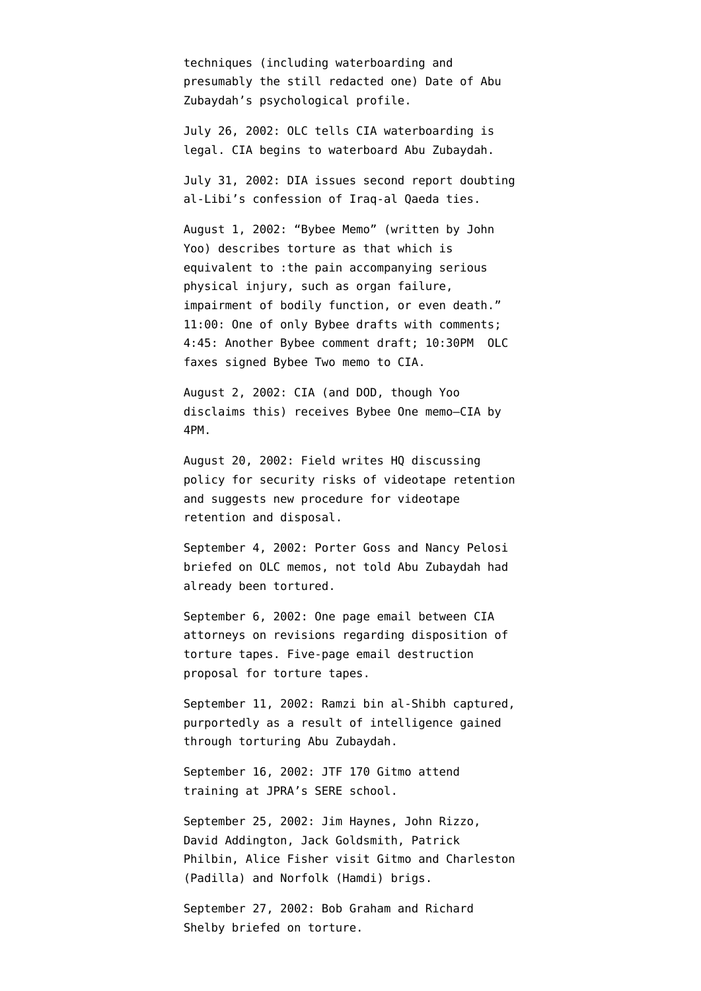techniques (including waterboarding and presumably the still redacted one) [Date](http://www.aclu.org/torturefoia/released/082409/olcremand/2004olc4.pdf) of Abu Zubaydah's psychological profile.

July 26, 2002: OLC tells CIA waterboarding is legal. CIA begins to waterboard Abu Zubaydah.

July 31, 2002: DIA [issues](http://emptywheel.firedoglake.com/wp-admin/July%202002:%20DIA%20issues%20second%20report%20doubting%20al-Libi%27s%20confession%20of%20Iraq-al%20Qaeda%20ties.) second report doubting al-Libi's confession of Iraq-al Qaeda ties.

August 1, 2002: "Bybee Memo" (written by John Yoo) describes torture as that which is equivalent to :the pain accompanying serious physical injury, such as organ failure, impairment of bodily function, or even death." 11:00: One of only Bybee drafts with comments; 4:45: Another Bybee comment draft; 10:30PM OLC faxes signed Bybee Two memo to CIA.

August 2, 2002: CIA (and DOD, though Yoo disclaims this) receives Bybee One memo–CIA by 4PM.

August 20, 2002: Field [writes](http://www.aclu.org/files/assets/20091120_Govt_Para_4_55_Hardcopy_Vaughn_Index.pdf) HQ discussing policy for security risks of videotape retention and suggests new procedure for videotape retention and disposal.

September 4, 2002: Porter Goss and Nancy Pelosi [briefed](http://static1.firedoglake.com/28/files//2009/05/2009-05-06-eit-enclosure0001.pdf) on OLC memos, [not told](http://emptywheel.firedoglake.com/2009/04/25/porter-goss-attacks-on-pelosi-and-harman-but-admits-cia-broke-the-law/) Abu Zubaydah had already been tortured.

September 6, 2002: One page [email](http://www.aclu.org/files/assets/20091120_Govt_Para_4_55_Hardcopy_Vaughn_Index.pdf) between CIA attorneys on revisions regarding disposition of torture tapes. Five-page email destruction proposal for torture tapes.

September 11, 2002: Ramzi bin al-Shibh captured, [purportedly](http://www.washingtonpost.com/wp-dyn/content/article/2007/12/17/AR2007121702151.html?hpid=topnews) as a result of intelligence gained through torturing Abu Zubaydah.

September 16, 2002: JTF 170 Gitmo attend training at JPRA's SERE school.

September 25, 2002: Jim Haynes, John Rizzo, David Addington, Jack Goldsmith, Patrick Philbin, Alice Fisher visit Gitmo and Charleston (Padilla) and Norfolk (Hamdi) brigs.

September 27, 2002: Bob Graham and Richard Shelby [briefed](http://static1.firedoglake.com/28/files//2009/05/2009-05-06-eit-enclosure0001.pdf) on torture.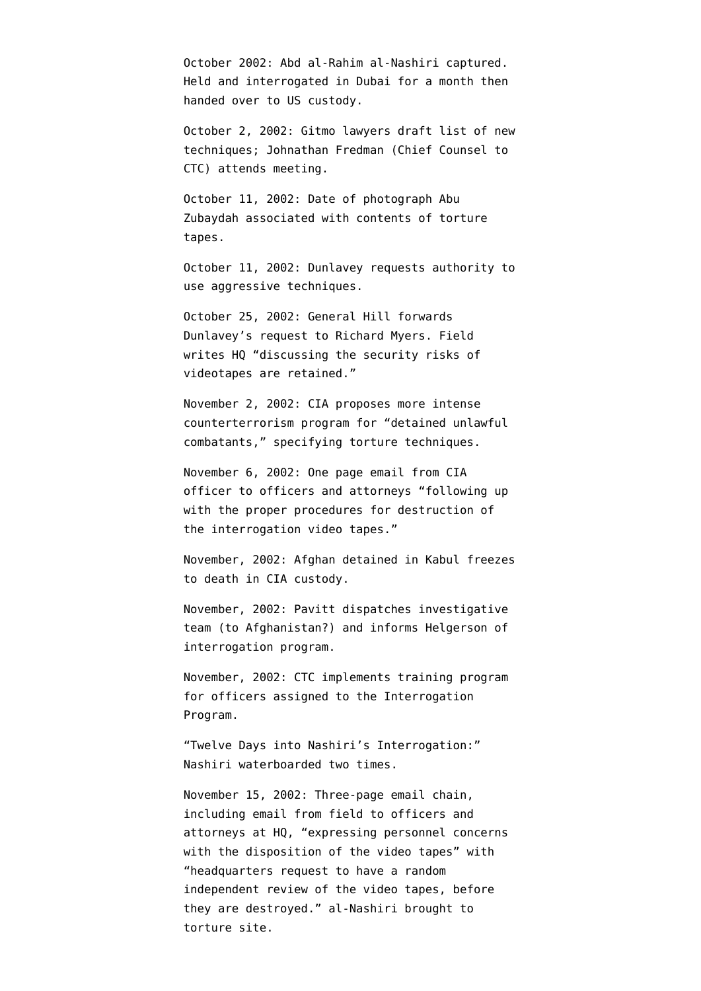October 2002: Abd al-Rahim al-Nashiri [captured.](http://www.google.com/url?sa=t&source=web&ct=res&cd=1&url=http%3A%2F%2Fwww.nybooks.com%2Ficrc-report.pdf&ei=k33zSZ2QPIOMtge8ibGjDw&usg=AFQjCNHXMJ6SZ1Q3LiiwnXFpNKw-jYnAiA) Held and interrogated in Dubai for a month then handed over to US custody.

October 2, 2002: Gitmo lawyers [draft](http://armed-services.senate.gov/Publications/Detainee%20Report%20Final_April%2022%202009.pdf) list of new techniques; Johnathan Fredman (Chief Counsel to CTC) attends meeting.

October 11, 2002: Date of photograph Abu Zubaydah [associated](http://www.aclu.org/torturefoia/legaldocuments/torturefoia_list_20090518.pdf) with contents of torture tapes.

October 11, 2002: Dunlavey requests authority to use aggressive techniques.

October 25, 2002: General Hill forwards Dunlavey's request to Richard Myers. Field [writes](http://www.aclu.org/files/assets/20091120_Govt_Para_4_55_Hardcopy_Vaughn_Index.pdf) HQ "discussing the security risks of videotapes are retained."

November 2, 2002: CIA [proposes](http://www.aclu.org/safefree/torture/40890lgl20090831.html) more intense counterterrorism program for "detained unlawful combatants," specifying torture techniques.

November 6, 2002: One page [email](http://www.aclu.org/files/assets/20091120_Govt_Para_4_55_Hardcopy_Vaughn_Index.pdf) from CIA officer to officers and attorneys "following up with the proper procedures for destruction of the interrogation video tapes."

November, 2002: Afghan detained in Kabul [freezes](http://www.nytimes.com/2007/12/30/washington/30intel.html?pagewanted=3&_r=1) [to death](http://www.nytimes.com/2007/12/30/washington/30intel.html?pagewanted=3&_r=1) in CIA custody.

November, 2002: Pavitt [dispatches](http://www.aclu.org/oigreport) investigative team (to Afghanistan?) and informs Helgerson of interrogation program.

November, 2002: CTC [implements](http://www.aclu.org/oigreport) training program for officers assigned to the Interrogation Program.

"Twelve Days into Nashiri's Interrogation:" Nashiri [waterboarded](http://stream.luxmedia501.com/?file=clients/aclu/olc_05302005_bradbury.pdf&method=dl) two times.

November 15, 2002: Three-page email [chain,](http://www.aclu.org/files/assets/20091120_Govt_Para_4_55_Hardcopy_Vaughn_Index.pdf) including email from field to officers and attorneys at HQ, "expressing personnel concerns with the disposition of the video tapes" with "headquarters request to have a random independent review of the video tapes, before they are destroyed." al-Nashiri [brought](http://judiciary.house.gov/hearings/pdf/OPRFirstReport081222.pdf) to torture site.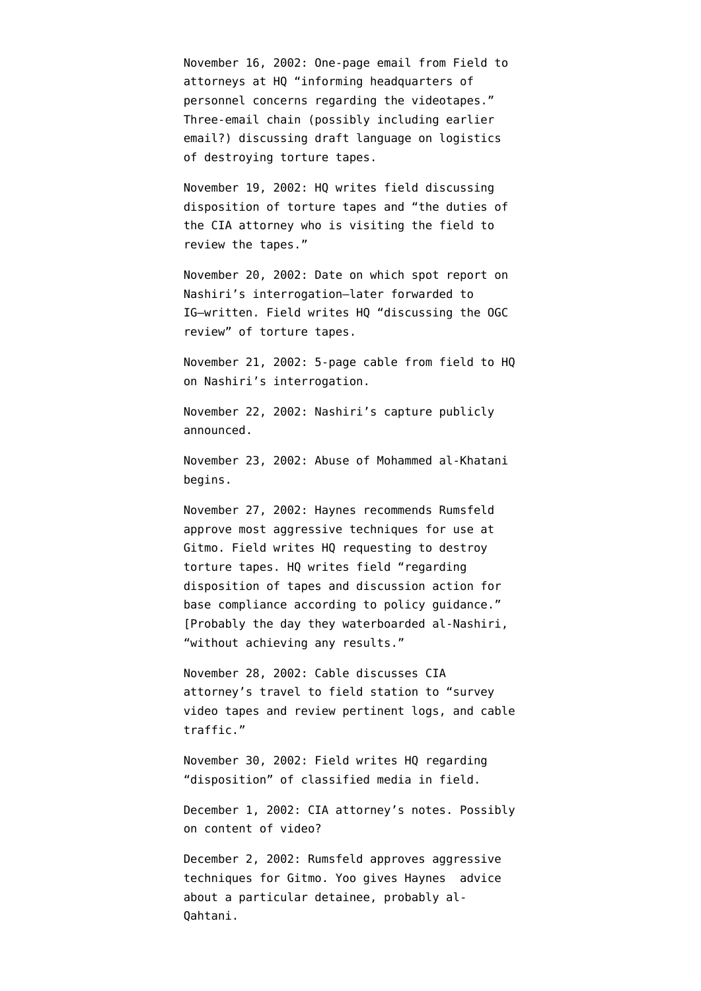November 16, 2002: One-page [email](http://www.aclu.org/files/assets/20091120_Govt_Para_4_55_Hardcopy_Vaughn_Index.pdf) from Field to attorneys at HQ "informing headquarters of personnel concerns regarding the videotapes." Three-email chain (possibly including earlier email?) [discussing](http://www.aclu.org/files/assets/20091120_Govt_Para_4_55_Hardcopy_Vaughn_Index.pdf) draft language on logistics of destroying torture tapes.

November 19, 2002: HQ [writes](http://www.aclu.org/files/assets/20091120_Govt_Para_4_55_Hardcopy_Vaughn_Index.pdf) field discussing disposition of torture tapes and "the duties of the CIA attorney who is visiting the field to review the tapes."

November 20, 2002: Date on which spot report on Nashiri's interrogation–later [forwarded](http://www.aclu.org/torturefoia/released/082409/cia_ig/oig196.pdf) to IG–written. Field [writes](http://www.aclu.org/files/assets/20091120_Govt_Para_4_55_Hardcopy_Vaughn_Index.pdf) HQ "discussing the OGC review" of torture tapes.

November 21, 2002: 5-page [cable](http://www.aclu.org/safefree/torture/40890lgl20090831.html) from field to HQ on Nashiri's interrogation.

November 22, 2002: Nashiri's capture publicly announced.

November 23, 2002: Abuse of Mohammed al-Khatani begins.

November 27, 2002: Haynes recommends Rumsfeld approve most aggressive techniques for use at Gitmo. Field [writes](http://www.aclu.org/files/assets/20091120_Govt_Para_4_55_Hardcopy_Vaughn_Index.pdf) HQ requesting to destroy torture tapes. HQ [writes](http://www.aclu.org/files/assets/20091120_Govt_Para_4_55_Hardcopy_Vaughn_Index.pdf) field "regarding disposition of tapes and discussion action for base compliance according to policy guidance." [Probably the day they waterboarded al-Nashiri, "without achieving any results."

November 28, 2002: Cable [discusses](http://www.aclu.org/files/assets/20091120_Govt_Para_4_55_Hardcopy_Vaughn_Index.pdf) CIA attorney's travel to field station to "survey video tapes and review pertinent logs, and cable traffic."

November 30, 2002: Field [writes](http://www.aclu.org/files/assets/20091120_Govt_Para_4_55_Hardcopy_Vaughn_Index.pdf) HQ regarding "disposition" of classified media in field.

December 1, 2002: CIA attorney's [notes.](http://www.aclu.org/files/assets/20091120_Govt_Para_4_55_Hardcopy_Vaughn_Index.pdf) Possibly on content of video?

December 2, 2002: Rumsfeld approves aggressive techniques for Gitmo. Yoo [gives](http://judiciary.house.gov/hearings/pdf/OPRFirstReport081222.pdf) Haynes advice about a particular detainee, probably al-Qahtani.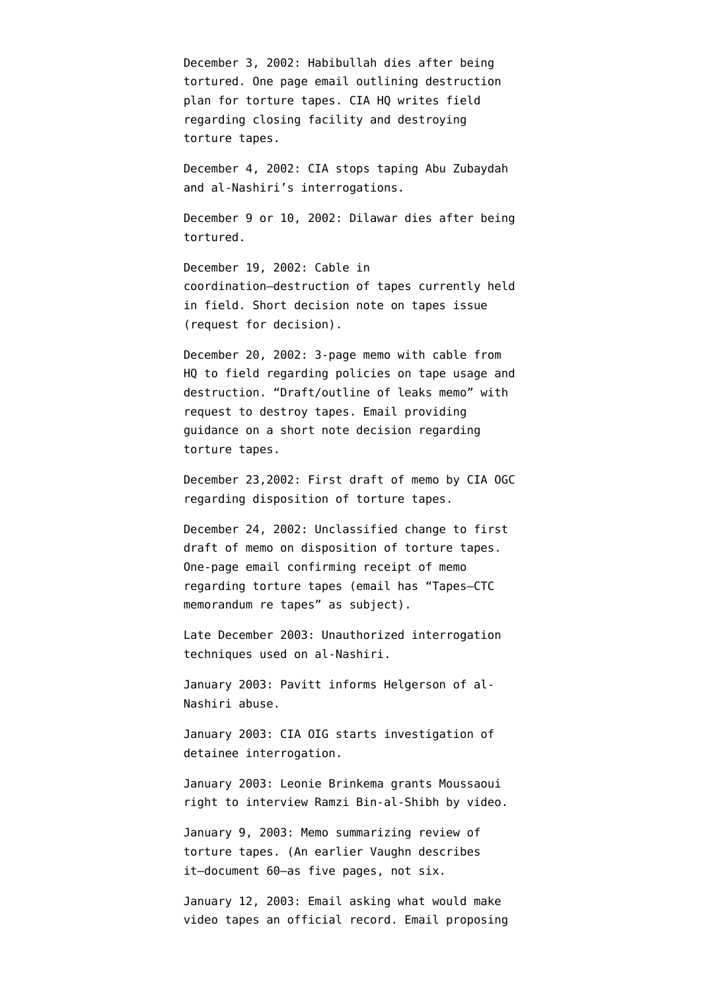December 3, 2002: Habibullah [dies](http://emptywheel.firedoglake.com/2009/05/19/if-the-detainee-dies-doing-sleep-deprivation-is-wrong/) after being tortured. One page email [outlining](http://www.aclu.org/files/assets/20091120_Govt_Para_4_55_Hardcopy_Vaughn_Index.pdf) destruction plan for torture tapes. CIA HQ [writes](http://www.aclu.org/files/assets/20091120_Govt_Para_4_55_Hardcopy_Vaughn_Index.pdf) field regarding closing facility and destroying torture tapes.

December 4, 2002: CIA [stops taping](http://www.aclu.org/torturefoia/legaldocuments/torturefoia_list_20090518.pdf) Abu Zubaydah and al-Nashiri's interrogations.

December 9 or 10, 2002: Dilawar [dies](http://emptywheel.firedoglake.com/2009/05/19/if-the-detainee-dies-doing-sleep-deprivation-is-wrong/) after being tortured.

December 19, 2002: Cable in coordination[–destruction](http://www.aclu.org/files/assets/20091120_Govt_Para_4_55_Hardcopy_Vaughn_Index.pdf) of tapes currently held in field. Short [decision note](http://www.aclu.org/files/assets/20091120_Govt_Para_4_55_Hardcopy_Vaughn_Index.pdf) on tapes issue (request for decision).

December 20, 2002: 3-page [memo](http://www.aclu.org/files/assets/20091120_Govt_Para_4_55_Hardcopy_Vaughn_Index.pdf) with cable from HQ to field regarding policies on tape usage and destruction. ["Draft/outline of leaks memo"](http://www.aclu.org/files/assets/20091120_Govt_Para_4_55_Hardcopy_Vaughn_Index.pdf) with request to destroy tapes. Email [providing](http://www.aclu.org/files/assets/20091120_Govt_Para_4_55_Hardcopy_Vaughn_Index.pdf) guidance on a short note decision regarding torture tapes.

December 23,2002: [First draft](http://www.aclu.org/files/assets/20091120_Govt_Para_4_55_Hardcopy_Vaughn_Index.pdf) of memo by CIA OGC regarding disposition of torture tapes.

December 24, 2002: Unclassified [change](http://www.aclu.org/files/assets/20091120_Govt_Para_4_55_Hardcopy_Vaughn_Index.pdf) to first draft of memo on disposition of torture tapes. One-page email [confirming](http://www.aclu.org/files/assets/20091120_Govt_Para_4_55_Hardcopy_Vaughn_Index.pdf) receipt of memo regarding torture tapes (email has "Tapes–CTC memorandum re tapes" as subject).

Late December 2003: Unauthorized interrogation techniques used on al-Nashiri.

January 2003: Pavitt [informs](http://www.aclu.org/oigreport) Helgerson of al-Nashiri abuse.

January 2003: CIA OIG [starts](http://emptywheel.firedoglake.com/2008/01/13/cia-inspector-general-we-never-had-any-torture-tapes/) investigation of detainee interrogation.

January 2003: Leonie Brinkema grants Moussaoui right to interview Ramzi Bin-al-Shibh by video.

January 9, 2003: Memo [summarizing](http://www.aclu.org/files/assets/20091120_Govt_Para_4_55_Hardcopy_Vaughn_Index.pdf) review of torture tapes. (An earlier Vaughn describes it–[document 60](http://static1.firedoglake.com/28/files//2009/06/090608-vaughn-2.pdf)–as five pages, not six.

January 12, 2003: Email [asking](http://www.aclu.org/files/assets/20091120_Govt_Para_4_55_Hardcopy_Vaughn_Index.pdf) what would make video tapes an official record. Email [proposing](http://www.aclu.org/files/assets/20091120_Govt_Para_4_55_Hardcopy_Vaughn_Index.pdf)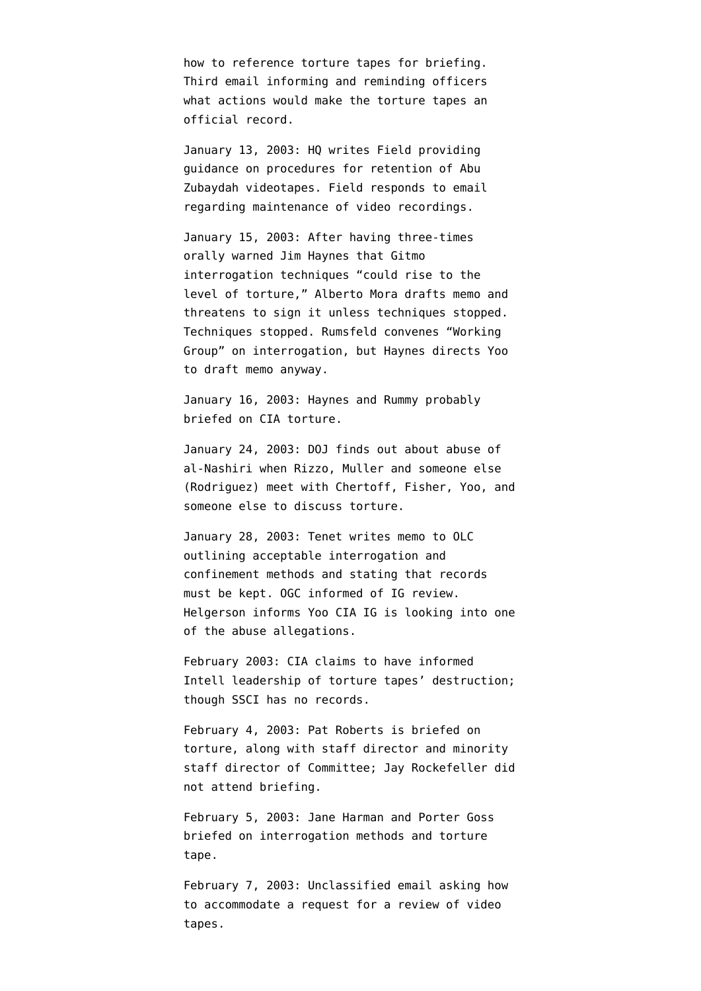how to reference torture tapes for briefing. Third email [informing and reminding](http://www.aclu.org/files/assets/20091120_Govt_Para_4_55_Hardcopy_Vaughn_Index.pdf) officers what actions would make the torture tapes an official record.

January 13, 2003: HQ [writes](http://www.aclu.org/files/assets/20091120_Govt_Para_4_55_Hardcopy_Vaughn_Index.pdf) Field providing guidance on procedures for retention of Abu Zubaydah videotapes. Field responds to email regarding maintenance of video recordings.

January 15, 2003: After having three-times orally warned Jim Haynes that Gitmo interrogation techniques "could rise to the level of torture," Alberto Mora drafts memo and threatens to sign it unless techniques stopped. Techniques stopped. Rumsfeld convenes "Working Group" on interrogation, but Haynes directs Yoo to draft memo anyway.

January 16, 2003: Haynes and Rummy probably briefed on CIA torture.

January 24, 2003: DOJ [finds out](http://judiciary.house.gov/hearings/pdf/OPRFirstReport081222.pdf) about abuse of al-Nashiri when Rizzo, Muller and someone else (Rodriguez) meet with Chertoff, Fisher, Yoo, and someone else to discuss torture.

January 28, 2003: Tenet [writes](http://emptywheel.firedoglake.com/files/28/files//2008/07/030128-tenet-memo-to-olc.pdf) memo to OLC outlining acceptable interrogation and confinement methods and stating that records must be kept. OGC [informed](http://www.aclu.org/safefree/torture/40890lgl20090831.html) of IG review. Helgerson informs Yoo CIA IG is looking into one of the abuse allegations.

February 2003: CIA [claims](http://www.warandpiece.com/blogdirs/006826.html#more) to have informed Intell leadership of torture tapes' destruction; though SSCI has no records.

February 4, 2003: Pat Roberts is [briefed](http://static1.firedoglake.com/28/files//2009/05/2009-05-06-eit-enclosure0001.pdf) on torture, along with staff director and minority staff director of Committee; Jay Rockefeller [did](http://intelligence.senate.gov/pdfs/olcopinion.pdf) [not attend](http://intelligence.senate.gov/pdfs/olcopinion.pdf) briefing.

February 5, 2003: Jane Harman and Porter Goss [briefed](http://www.house.gov/apps/list/press/ca36_harman/Jan_3.shtml) on interrogation methods and torture tape.

February 7, 2003: Unclassified [email](http://www.aclu.org/files/assets/20091120_Govt_Para_4_55_Hardcopy_Vaughn_Index.pdf) asking how to accommodate a request for a review of video tapes.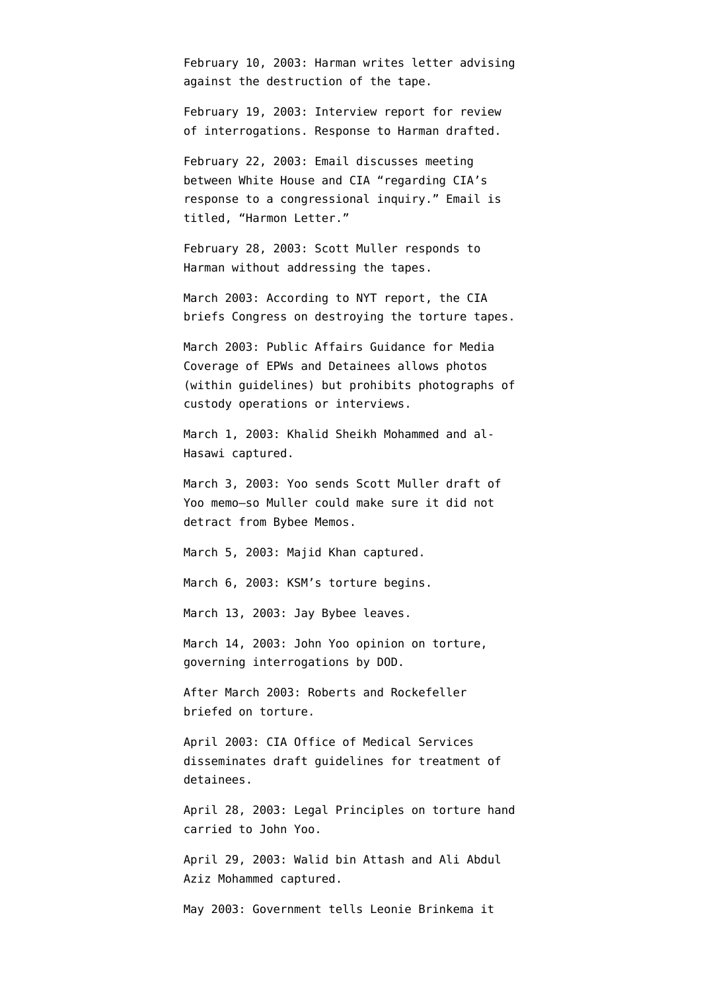February 10, 2003: Harman writes letter [advising](http://www.house.gov/apps/list/press/ca36_harman/Jan_3.shtml) against the destruction of the tape.

February 19, 2003: Interview report for review of interrogations. Response to Harman [drafted](http://www.aclu.org/files/assets/20091120_Govt_Para_4_55_Hardcopy_Vaughn_Index.pdf).

February 22, 2003: Email [discusses](http://www.aclu.org/files/assets/20091120_Govt_Para_4_55_Hardcopy_Vaughn_Index.pdf) meeting between White House and CIA "regarding CIA's response to a congressional inquiry." Email is titled, "Harmon Letter."

February 28, 2003: Scott Muller [responds](http://www.house.gov/apps/list/press/ca36_harman/Jan_3.shtml) to Harman without addressing the tapes.

March 2003: According to [NYT report](http://www.nytimes.com/2007/12/30/washington/30intel.html?pagewanted=3&_r=1), the CIA briefs Congress on destroying the torture tapes.

March 2003: Public Affairs Guidance for Media Coverage of EPWs and Detainees allows photos (within guidelines) but prohibits photographs of custody operations or interviews.

March 1, 2003: Khalid Sheikh Mohammed and al-Hasawi captured.

March 3, 2003: Yoo [sends](http://judiciary.house.gov/hearings/pdf/OPRFirstReport081222.pdf) Scott Muller draft of Yoo memo–so Muller could make sure it did not detract from Bybee Memos.

March 5, 2003: Majid Khan captured.

March 6, 2003: KSM's torture [begins](http://www.washingtonpost.com/wp-dyn/content/article/2009/04/25/AR2009042503122_pf.html).

March 13, 2003: Jay Bybee leaves.

March 14, 2003: John Yoo [opinion on torture](http://www.aclu.org/pdfs/safefree/yoo_army_torture_memo.pdf), governing interrogations by DOD.

After March 2003: Roberts and Rockefeller briefed on torture.

April 2003: CIA Office of Medical Services [disseminates](http://www.aclu.org/oigreport) draft guidelines for treatment of detainees.

April 28, 2003: Legal Principles on torture hand [carried](http://www.aclu.org/torturefoia/released/082409/olcremand/2004olc17.pdf) to John Yoo.

April 29, 2003: Walid bin Attash and Ali Abdul Aziz Mohammed captured.

May 2003: Government tells Leonie Brinkema it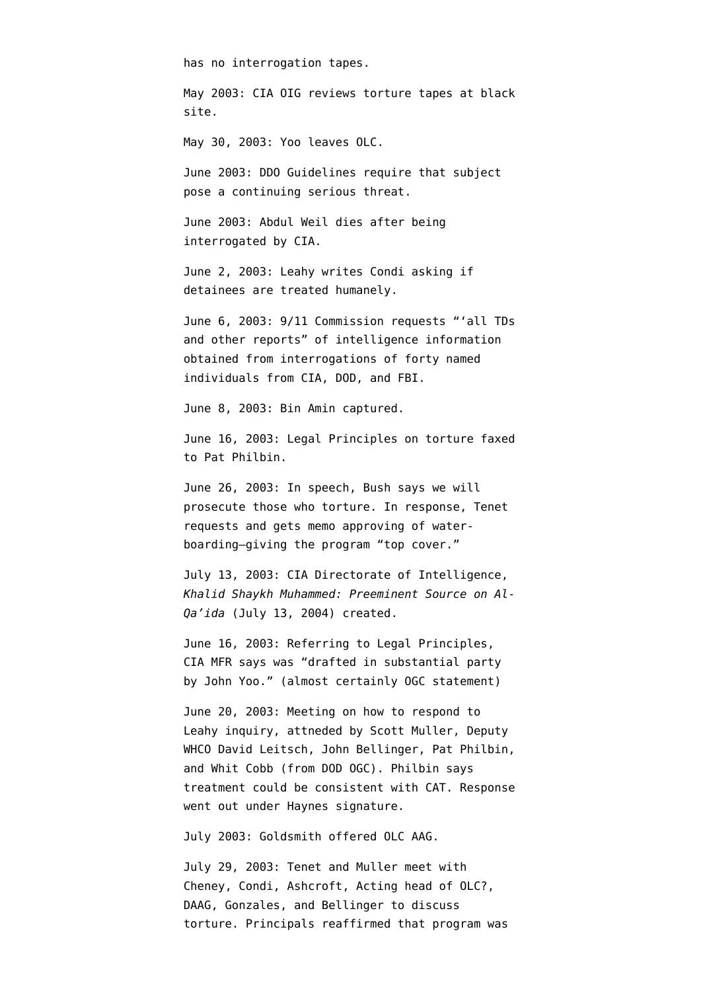has no interrogation tapes.

May 2003: CIA OIG [reviews](http://emptywheel.firedoglake.com/2008/01/13/cia-inspector-general-we-never-had-any-torture-tapes/) torture tapes at black site.

May 30, 2003: Yoo leaves OLC.

June 2003: DDO Guidelines [require](http://www.aclu.org/oigreport) that subject pose a continuing serious threat.

June 2003: Abdul Weil [dies](http://www.aclu.org/oigreport) after being interrogated by CIA.

June 2, 2003: Leahy writes Condi asking if detainees are treated humanely.

June 6, 2003: 9/11 Commission [requests](http://graphics8.nytimes.com/packages/pdf/national/20071222-INTEL-MEMO.pdf) "'all TDs and other reports" of intelligence information obtained from interrogations of forty named individuals from CIA, DOD, and FBI.

June 8, 2003: Bin Amin captured.

June 16, 2003: Legal Principles on torture [faxed](http://www.aclu.org/torturefoia/released/082409/olcremand/2004olc19.pdf) to Pat Philbin.

June 26, 2003: In speech, Bush [says](http://web.archive.org/web/20030820132648/www.whitehouse.gov/news/releases/2003/06/20030626-3.html) we will prosecute those who torture. In response, Tenet [requests and gets](http://www.washingtonpost.com/wp-dyn/content/article/2008/10/14/AR2008101403331.html?hpid=topnews) memo approving of waterboarding–giving the program "top cover."

July 13, 2003: CIA Directorate of Intelligence, *Khalid Shaykh Muhammed: Preeminent Source on Al-Qa'ida* (July 13, 2004) [created.](http://emptywheel.firedoglake.com/2009/04/24/cheney-cherry-picks-intelligence-again/)

June 16, 2003: Referring to Legal Principles, CIA MFR [says](http://emptywheel.firedoglake.com/2009/08/25/was-john-yoo-free-lancing-when-he-approved-the-legal-principles/) was "drafted in substantial party by John Yoo." (almost certainly OGC statement)

June 20, 2003: Meeting on how to respond to Leahy inquiry, attneded by Scott Muller, Deputy WHCO David Leitsch, John Bellinger, Pat Philbin, and Whit Cobb (from DOD OGC). Philbin says treatment could be consistent with CAT. Response went out under Haynes signature.

July 2003: Goldsmith offered OLC AAG.

July 29, 2003: Tenet and Muller [meet](http://www.aclu.org/oigreport) with Cheney, Condi, Ashcroft, Acting head of OLC?, DAAG, Gonzales, and Bellinger to discuss torture. Principals reaffirmed that program was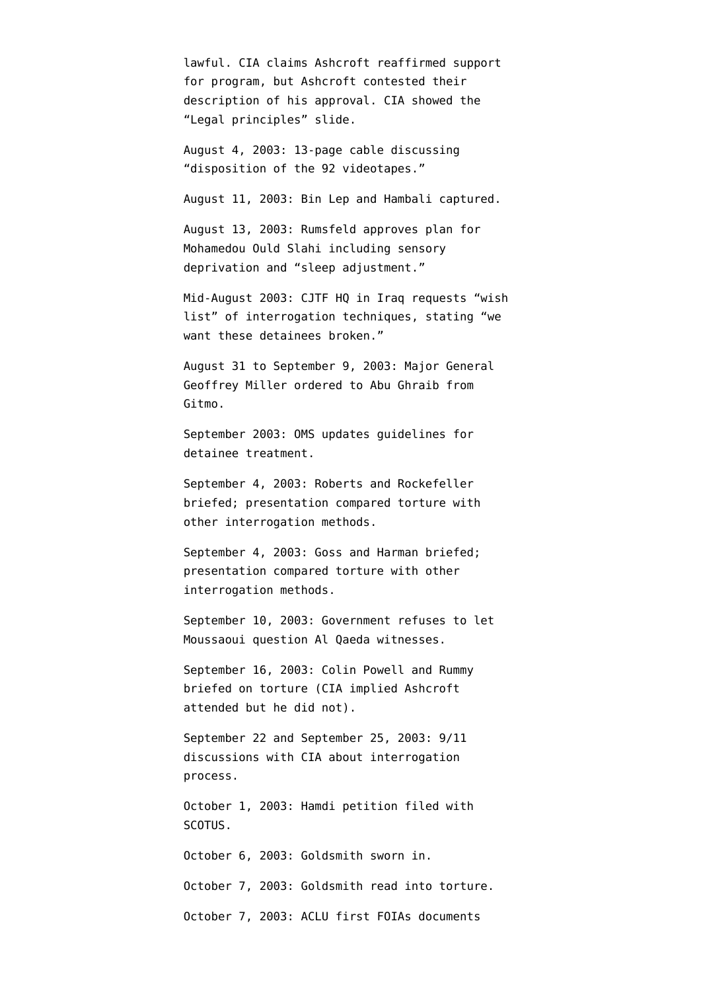lawful. CIA claims Ashcroft reaffirmed support for program, but Ashcroft contested their description of his approval. CIA [showed](http://judiciary.house.gov/hearings/pdf/OPRFirstReport081222.pdf) the "Legal principles" slide.

August 4, 2003: 13-page cable [discussing](http://www.aclu.org/files/assets/20091120_Govt_Para_4_55_Hardcopy_Vaughn_Index.pdf) "disposition of the 92 videotapes."

August 11, 2003: Bin Lep and Hambali captured.

August 13, 2003: Rumsfeld approves plan for Mohamedou Ould Slahi including sensory deprivation and "sleep adjustment."

Mid-August 2003: CJTF HQ in Iraq [requests](http://www.aclu.org/pdfs/safefree/yoo_army_torture_memo.pdf) "wish list" of interrogation techniques, stating "we want these detainees broken."

August 31 to September 9, 2003: Major General Geoffrey Miller [ordered](http://www.npr.org/iraq/2004/prison_abuse_report.pdf) to Abu Ghraib from Gitmo.

September 2003: OMS [updates](http://www.aclu.org/oigreport) guidelines for detainee treatment.

September 4, 2003: Roberts and Rockefeller [briefed;](http://static1.firedoglake.com/28/files//2009/05/2009-05-06-eit-enclosure0001.pdf) presentation compared torture with other interrogation methods.

September 4, 2003: Goss and Harman [briefed](http://static1.firedoglake.com/28/files//2009/05/2009-05-06-eit-enclosure0001.pdf); presentation compared torture with other interrogation methods.

September 10, 2003: Government [refuses t](http://www.courttv.com/trials/moussaoui/091103_judge_ap.html)o let Moussaoui question Al Qaeda witnesses.

September 16, 2003: Colin Powell and Rummy briefed on torture (CIA implied Ashcroft attended but he did not).

September 22 and September 25, 2003: 9/11 discussions with CIA about interrogation process.

October 1, 2003: Hamdi petition filed with SCOTUS.

October 6, 2003: Goldsmith sworn in.

October 7, 2003: Goldsmith read into torture.

October 7, 2003: ACLU first FOIAs documents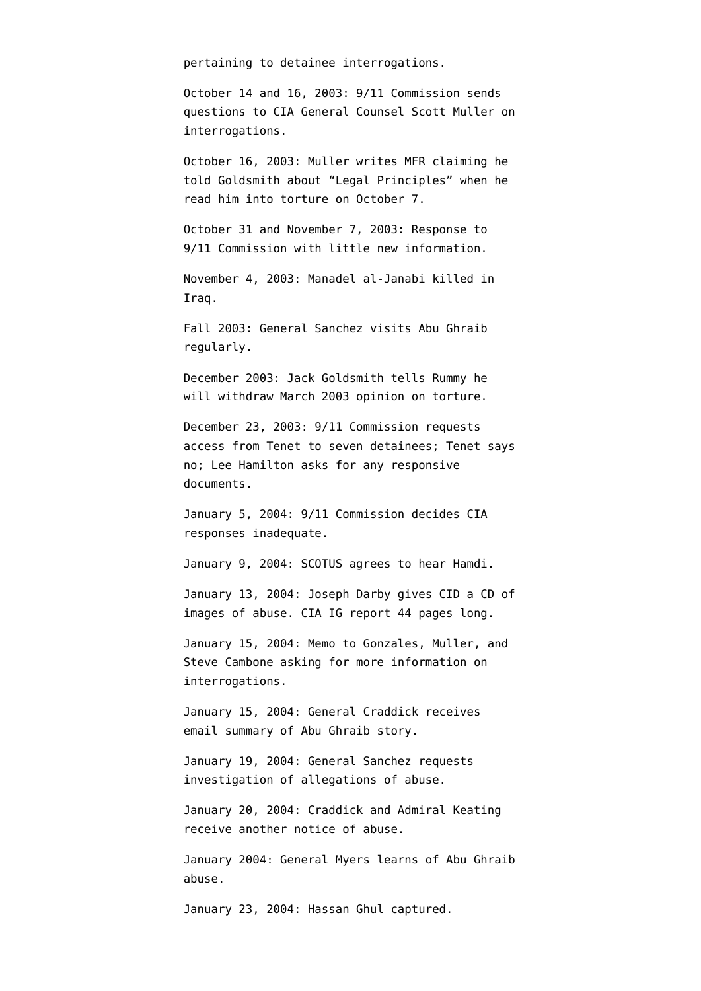pertaining to detainee interrogations.

October 14 and 16, 2003: 9/11 Commission sends questions to CIA General Counsel Scott Muller on interrogations.

October 16, 2003: Muller writes MFR claiming he told Goldsmith about "Legal Principles" when he read him into torture on October 7.

October 31 and November 7, 2003: Response to 9/11 Commission with little new information.

November 4, 2003: Manadel al-Janabi killed in Iraq.

Fall 2003: General Sanchez visits Abu Ghraib regularly.

December 2003: Jack Goldsmith tells Rummy he will withdraw March 2003 opinion on torture.

December 23, 2003: 9/11 Commission requests access from Tenet to seven detainees; Tenet says no; Lee Hamilton asks for any responsive documents.

January 5, 2004: 9/11 Commission decides CIA responses inadequate.

January 9, 2004: SCOTUS [agrees](http://www.talkleft.com/story/2004/01/09/761/35284) to hear Hamdi.

January 13, 2004: Joseph Darby gives CID a CD of images of abuse. CIA IG report 44 [pages long](http://www.aclu.org/safefree/torture/40890lgl20090831.html).

January 15, 2004: Memo to Gonzales, Muller, and Steve Cambone asking for more information on interrogations.

January 15, 2004: General Craddick [receives](http://www.newyorker.com/reporting/2007/06/25/070625fa_fact_hersh) email summary of Abu Ghraib story.

January 19, 2004: General Sanchez [requests](http://www.npr.org/iraq/2004/prison_abuse_report.pdf) investigation of allegations of abuse.

January 20, 2004: Craddick and Admiral Keating receive another notice of abuse.

January 2004: General Myers learns of Abu Ghraib abuse.

January 23, 2004: Hassan Ghul captured.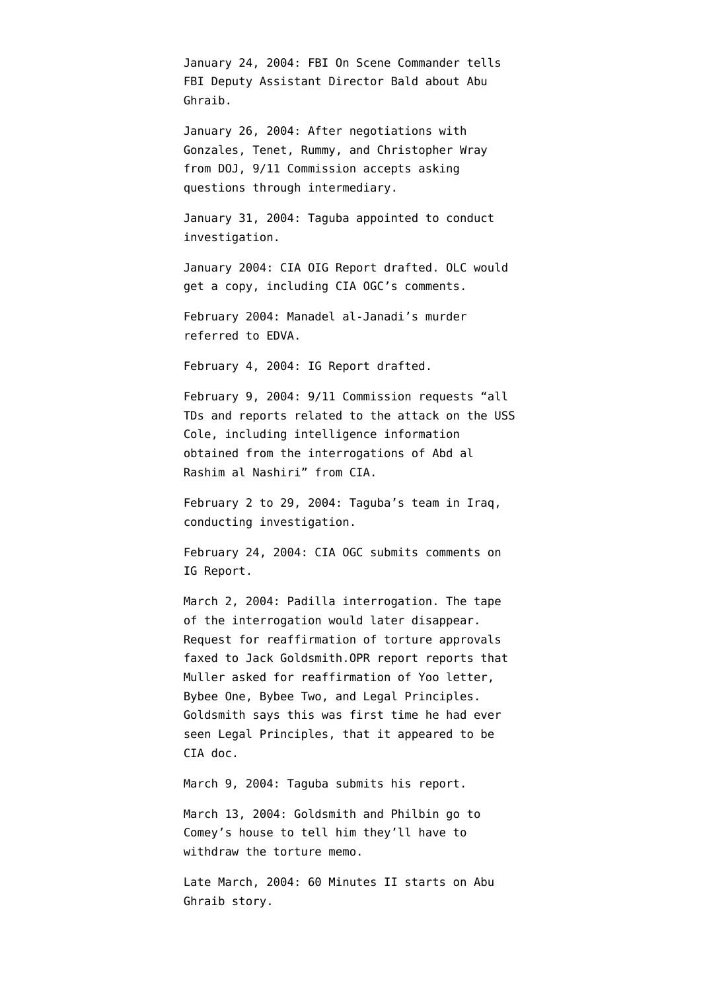January 24, 2004: FBI On Scene Commander [tells](http://www.usdoj.gov/oig/special/s0805/final.pdf) FBI Deputy Assistant Director Bald about Abu Ghraib.

January 26, 2004: After negotiations with Gonzales, Tenet, Rummy, and Christopher Wray from DOJ, 9/11 Commission accepts asking questions through intermediary.

January 31, 2004: Taguba [appointed](http://www.npr.org/iraq/2004/prison_abuse_report.pdf) to conduct investigation.

January 2004: CIA OIG Report [drafted](http://judiciary.house.gov/hearings/pdf/OPRFirstReport081222.pdf). OLC would get a copy, including CIA OGC's comments.

February 2004: Manadel al-Janadi's murder [referred](http://ccrjustice.org/files/April%202008%20release%20-%20in-parts%20Set%20A_0.pdf) to EDVA.

February 4, 2004: IG Report [drafted](http://www.aclu.org/safefree/torture/40890lgl20090831.html).

February 9, 2004: 9/11 Commission requests "all TDs and reports related to the attack on the USS Cole, including intelligence information obtained from the interrogations of Abd al Rashim al Nashiri" from CIA.

February 2 to 29, 2004: Taguba's team in Iraq, conducting investigation.

February 24, 2004: CIA OGC [submits comments](http://emptywheel.firedoglake.com/2009/08/25/was-john-yoo-free-lancing-when-he-approved-the-legal-principles/) on IG Report.

March 2, 2004: Padilla interrogation. The tape of the interrogation would later disappear. Request for reaffirmation of torture approvals [faxed](http://www.aclu.org/torturefoia/released/082409/olcremand/2004olc22.pdf) to Jack Goldsmith.OPR report [reports](http://judiciary.house.gov/hearings/pdf/OPRFirstReport081222.pdf) that Muller asked for reaffirmation of Yoo letter, Bybee One, Bybee Two, and Legal Principles. Goldsmith says this was first time he had ever seen Legal Principles, that it appeared to be CIA doc.

March 9, 2004: Taguba [submits](http://www.npr.org/iraq/2004/prison_abuse_report.pdf) his report.

March 13, 2004: Goldsmith and Philbin [go to](http://judiciary.house.gov/hearings/pdf/OPRFirstReport081222.pdf) [Comey's house](http://judiciary.house.gov/hearings/pdf/OPRFirstReport081222.pdf) to tell him they'll have to withdraw the torture memo.

Late March, 2004: 60 Minutes II starts on Abu Ghraib story.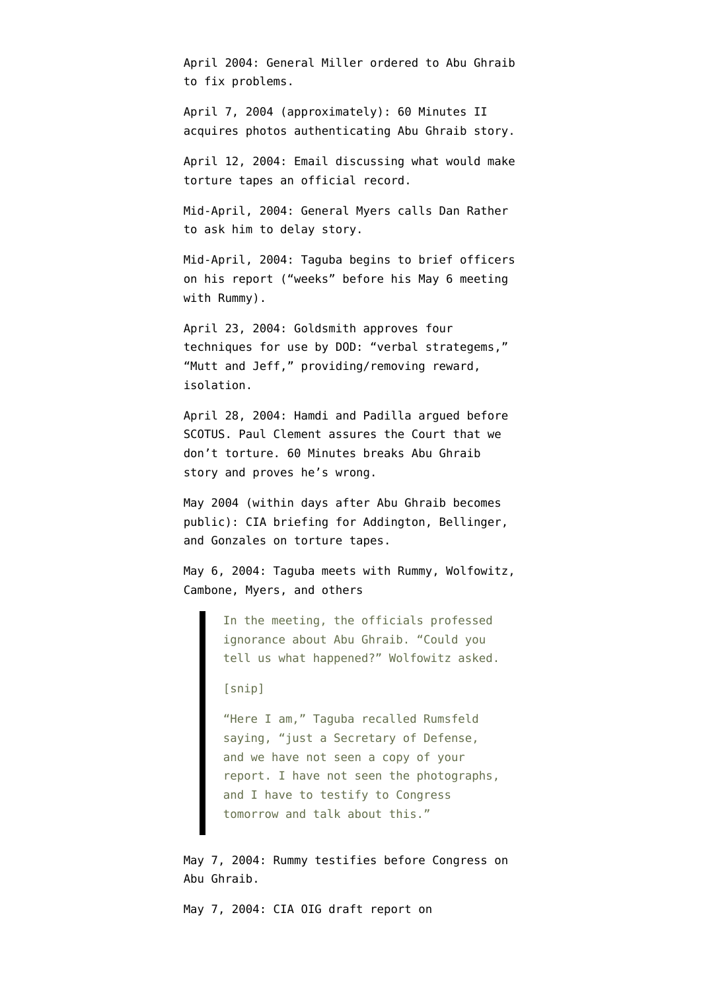April 2004: General Miller ordered to Abu Ghraib to fix problems.

April 7, 2004 (approximately): 60 Minutes II acquires photos authenticating Abu Ghraib story.

April 12, 2004: Email [discussing](http://www.aclu.org/files/assets/20091120_Govt_Para_4_55_Hardcopy_Vaughn_Index.pdf) what would make torture tapes an official record.

Mid-April, 2004: General Myers calls Dan Rather to ask him to delay story.

Mid-April, 2004: Taguba [begins](http://www.newyorker.com/reporting/2007/06/25/070625fa_fact_hersh) to brief officers on his report ("weeks" before his May 6 meeting with Rummy).

April 23, 2004: Goldsmith [approves](http://www.aclu.org/torturefoia/released/103009/cia-olc/10.pdf) four techniques for use by DOD: "verbal strategems," "Mutt and Jeff," providing/removing reward, isolation.

April 28, 2004: Hamdi and Padilla argued before SCOTUS. Paul Clement assures the Court that we don't torture. 60 Minutes breaks [Abu Ghraib](http://www.cbsnews.com/stories/2004/04/27/60II/main614063.shtml) [story](http://www.cbsnews.com/stories/2004/04/27/60II/main614063.shtml) and proves he's wrong.

May 2004 (within days after Abu Ghraib becomes public): CIA briefing for Addington, Bellinger, and Gonzales on torture tapes.

May 6, 2004: Taguba [meets](http://www.newyorker.com/reporting/2007/06/25/070625fa_fact_hersh) with Rummy, Wolfowitz, Cambone, Myers, and others

> In the meeting, the officials professed ignorance about Abu Ghraib. "Could you tell us what happened?" Wolfowitz asked.

[snip]

"Here I am," Taguba recalled Rumsfeld saying, "just a Secretary of Defense, and we have not seen a copy of your report. I have not seen the photographs, and I have to testify to Congress tomorrow and talk about this."

May 7, 2004: Rummy testifies before Congress on Abu Ghraib.

May 7, 2004: CIA OIG [draft report](http://www.aclu.org/oigreport) on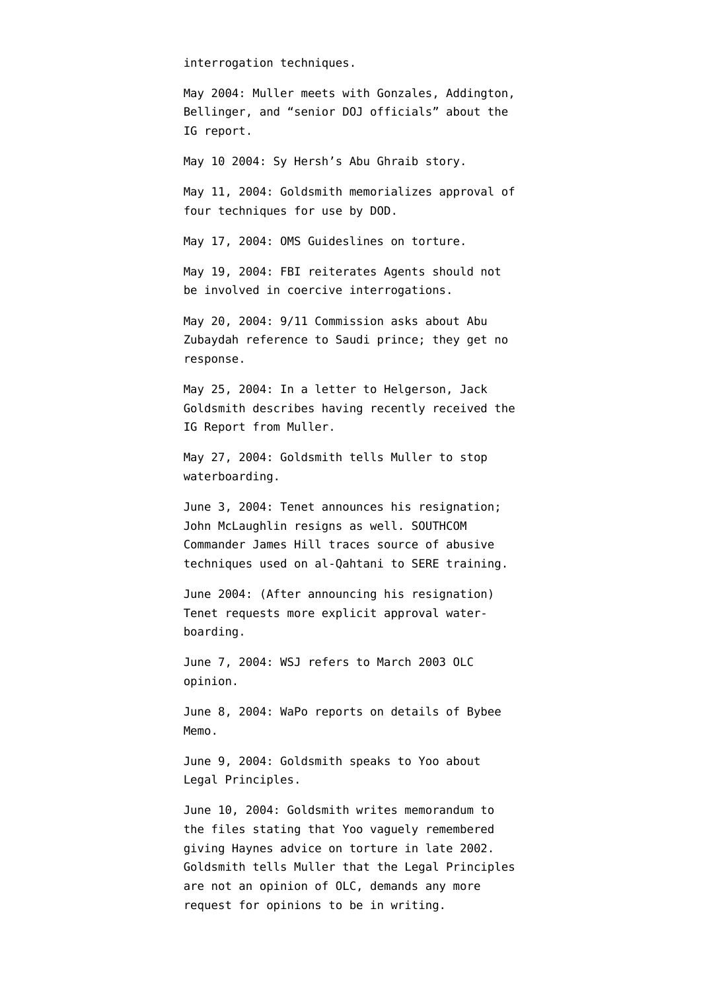interrogation techniques.

May 2004: Muller meets with Gonzales, Addington, Bellinger, and "senior DOJ officials" about the IG report.

May 10 2004: Sy Hersh's [Abu Ghraib story.](http://www.newyorker.com/archive/2004/05/10/040510fa_fact)

May 11, 2004: Goldsmith [memorializes](http://www.aclu.org/torturefoia/released/103009/cia-olc/10.pdf) approval of four techniques for use by DOD.

May 17, 2004: OMS Guideslines on torture.

May 19, 2004: FBI [reiterates](http://www.aclu.org/torturefoia/released/103009/cia-olc/14.pdf) Agents should not be involved in coercive interrogations.

May 20, 2004: 9/11 Commission asks about Abu Zubaydah reference to Saudi prince; they get no response.

May 25, 2004: In a [letter to Helgerson,](http://www.aclu.org/torturefoia/released/082409/olcremand/2004olc26.pdf) Jack Goldsmith describes having recently received the IG Report from Muller.

May 27, 2004: Goldsmith [tells](http://www.aclu.org/torturefoia/released/082409/olcremand/2004olc28.pdf) Muller to stop waterboarding.

June 3, 2004: Tenet [announces](http://www.washingtonpost.com/wp-dyn/articles/A12296-2004Jun3.html) his resignation; John McLaughlin resigns as well. SOUTHCOM Commander James Hill [traces](http://armed-services.senate.gov/Publications/Detainee%20Report%20Final_April%2022%202009.pdf) source of abusive techniques used on al-Qahtani to SERE training.

June 2004: (After announcing his resignation) Tenet [requests](http://www.washingtonpost.com/wp-dyn/content/article/2008/10/14/AR2008101403331.html?hpid=topnews) more explicit approval waterboarding.

June 7, 2004: WSJ refers to March 2003 OLC opinion.

June 8, 2004: WaPo [reports](http://www.washingtonpost.com/wp-dyn/articles/A23373-2004Jun7.html) on details of Bybee Memo.

June 9, 2004: Goldsmith [speaks to](http://judiciary.house.gov/hearings/pdf/OPRFirstReport081222.pdf) Yoo about Legal Principles.

June 10, 2004: Goldsmith [writes](http://judiciary.house.gov/hearings/pdf/OPRFirstReport081222.pdf) memorandum to the files stating that Yoo vaguely remembered giving Haynes advice on torture in late 2002. Goldsmith [tells](http://www.aclu.org/torturefoia/released/082409/olcremand/2004olc29.pdf) Muller that the Legal Principles are not an opinion of OLC, demands any more request for opinions to be in writing.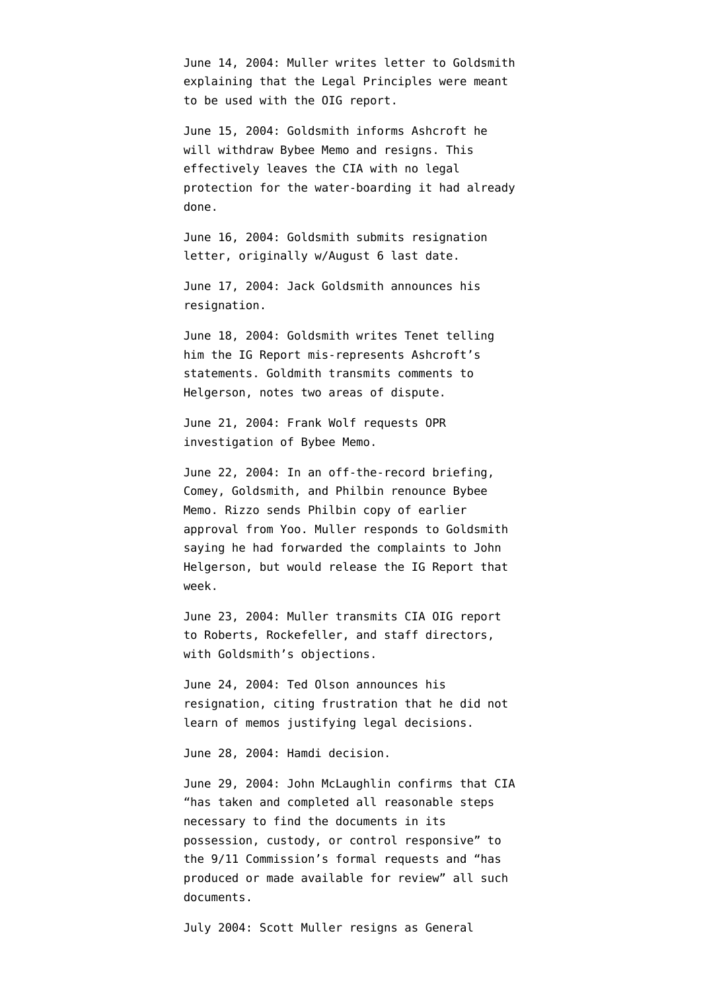June 14, 2004: Muller [writes](http://judiciary.house.gov/hearings/pdf/OPRFirstReport081222.pdf) letter to Goldsmith explaining that the Legal Principles were meant to be used with the OIG report.

June 15, 2004: Goldsmith informs Ashcroft he will withdraw Bybee Memo and resigns. This effectively leaves the CIA with no legal protection for the water-boarding it had already done.

June 16, 2004: Goldsmith [submits](http://judiciary.house.gov/hearings/pdf/OPRFirstReport081222.pdf) resignation letter, originally w/August 6 last date.

June 17, 2004: Jack Goldsmith announces his resignation.

June 18, 2004: Goldsmith [writes](http://www.aclu.org/torturefoia/released/082409/olcremand/2004olc36.pdf) Tenet telling him the IG Report mis-represents Ashcroft's statements. Goldmith [transmits](http://judiciary.house.gov/hearings/pdf/OPRFirstReport081222.pdf) comments to Helgerson, notes two areas of dispute.

June 21, 2004: Frank Wolf requests OPR investigation of Bybee Memo.

June 22, 2004: In an off-the-record briefing, Comey, Goldsmith, and Philbin renounce Bybee Memo. Rizzo [sends](http://www.aclu.org/torturefoia/released/082409/olcremand/2004olc49.pdf) Philbin copy of earlier approval from Yoo. Muller [responds](http://www.aclu.org/torturefoia/released/082409/olcremand/2004olc36.pdf) to Goldsmith saying he had forwarded the complaints to John Helgerson, but would release the IG Report that week.

June 23, 2004: Muller [transmits](http://judiciary.house.gov/hearings/pdf/OPRFirstReport081222.pdf) CIA OIG report to Roberts, Rockefeller, and staff directors, with Goldsmith's objections.

June 24, 2004: Ted Olson announces his resignation, citing frustration that he did not learn of memos justifying legal decisions.

June 28, 2004: Hamdi decision.

June 29, 2004: John McLaughlin confirms that CIA "has taken and completed all reasonable steps necessary to find the documents in its possession, custody, or control responsive" to the 9/11 Commission's formal requests and "has produced or made available for review" all such documents.

July 2004: Scott Muller [resigns](http://www.dpw.com/lawyers/bio/smuller.htm) as General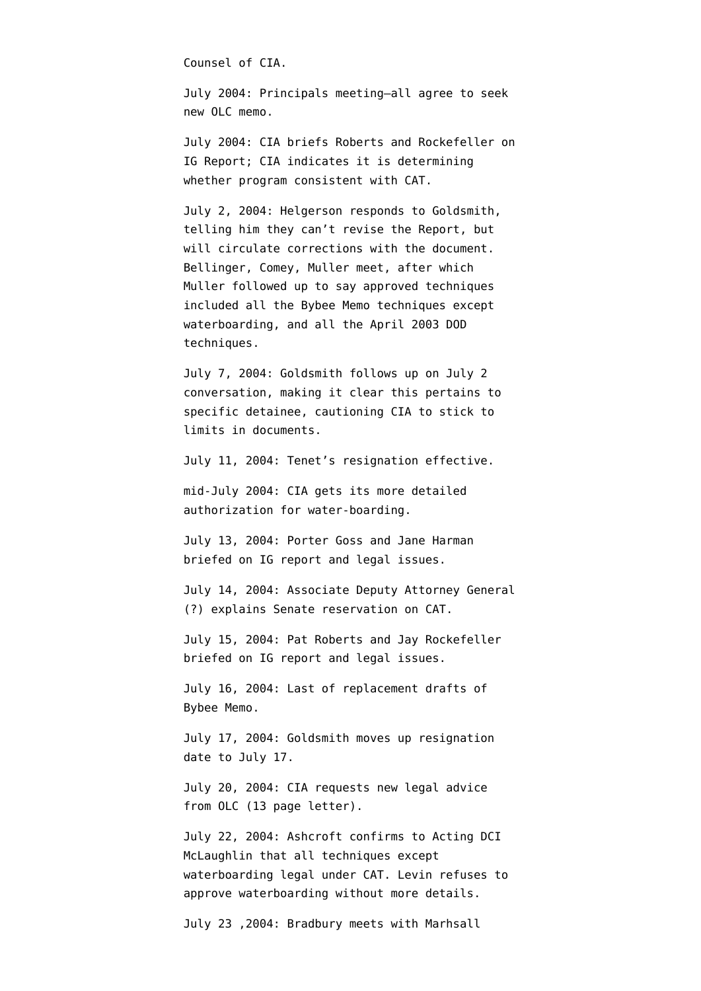Counsel of CIA.

July 2004: Principals meeting–all agree to seek new OLC memo.

July 2004: CIA briefs Roberts and Rockefeller on IG Report; CIA indicates it is determining whether program consistent with CAT.

July 2, 2004: Helgerson [responds](http://www.aclu.org/torturefoia/released/082409/olcremand/2004olc38.pdf) to Goldsmith, telling him they can't revise the Report, but will circulate corrections with the document. Bellinger, Comey, Muller meet, after which Muller [followed up](http://www.aclu.org/torturefoia/released/082409/olcremand/2004olc43.pdf) to say approved techniques included all the Bybee Memo techniques except waterboarding, and all the April 2003 DOD techniques.

July 7, 2004: Goldsmith [follows up](http://www.aclu.org/torturefoia/released/082409/olcremand/2004olc48.pdf) on July 2 conversation, making it clear this pertains to specific detainee, cautioning CIA to stick to limits in documents.

July 11, 2004: Tenet's resignation effective.

mid-July 2004: CIA [gets](http://www.washingtonpost.com/wp-dyn/content/article/2008/10/14/AR2008101403331_3.html?hpid=topnews) its more detailed authorization for water-boarding.

July 13, 2004: Porter Goss and Jane Harman [briefed](http://static1.firedoglake.com/28/files//2009/05/2009-05-06-eit-enclosure0001.pdf) on IG report and legal issues.

July 14, 2004: Associate Deputy Attorney General (?) explains Senate reservation on CAT.

July 15, 2004: Pat Roberts and Jay Rockefeller [briefed](http://static1.firedoglake.com/28/files//2009/05/2009-05-06-eit-enclosure0001.pdf) on IG report and legal issues.

July 16, 2004: Last of replacement drafts of Bybee Memo.

July 17, 2004: Goldsmith [moves up](http://judiciary.house.gov/hearings/pdf/OPRFirstReport081222.pdf) resignation date to July 17.

July 20, 2004: CIA [requests](http://ccrjustice.org/files/2008-4-21%20Declaration%20of%20Ralph%20Dimaio%20-%20Exh%20A2%20-%20CIA%20docs%20released.pdf) new legal advice from OLC (13 page letter).

July 22, 2004: Ashcroft [confirms](http://emptywheel.firedoglake.com/files/28/files//2009/08/040722-ashcroft-mclaughlin.pdf) to Acting DCI McLaughlin that all techniques except waterboarding legal under CAT. Levin [refuses](http://www.aclu.org/torturefoia/released/082409/olcremand/2004olc65.pdf) to approve waterboarding without more details.

July 23 ,2004: Bradbury meets with Marhsall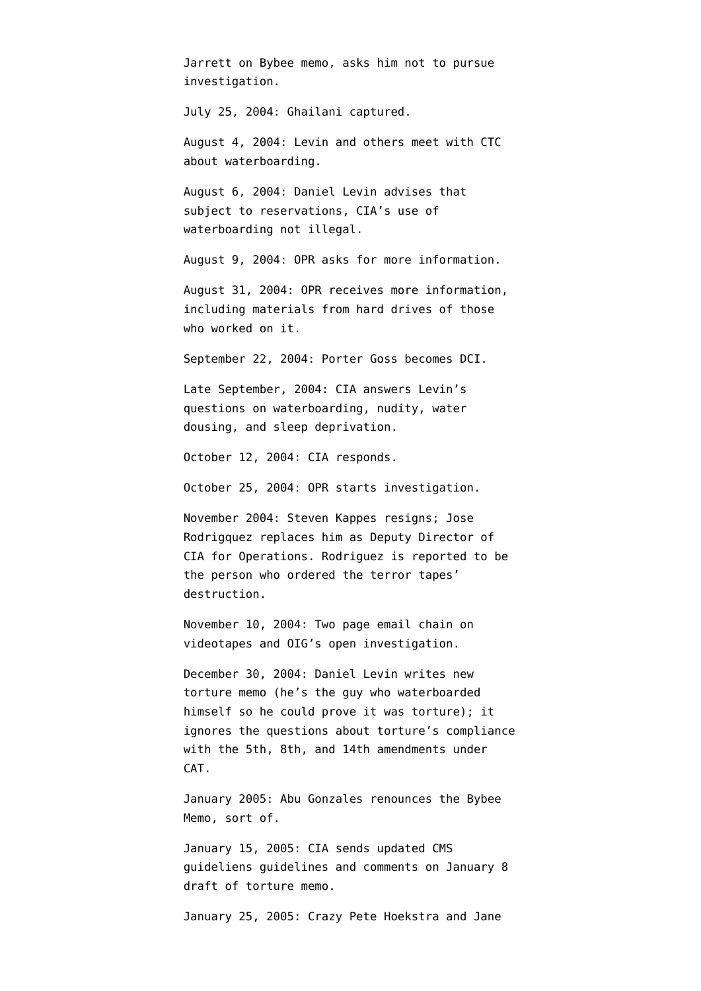Jarrett on Bybee memo, asks him not to pursue investigation. July 25, 2004: Ghailani captured. August 4, 2004: Levin and others meet with CTC about waterboarding. August 6, 2004: Daniel Levin [advises](http://www.aclu.org/torturefoia/released/082409/olcremand/2004olc74.pdf) that subject to reservations, CIA's use of waterboarding not illegal. August 9, 2004: OPR asks for more information. August 31, 2004: OPR receives more information, including materials from hard drives of those who worked on it. September 22, 2004: Porter Goss becomes DCI. Late September, 2004: CIA answers Levin's questions on waterboarding, nudity, water dousing, and sleep deprivation. October 12, 2004: CIA responds. October 25, 2004: OPR starts investigation. November 2004: Steven Kappes resigns; Jose Rodrigquez replaces him as Deputy Director of CIA for Operations. Rodriguez [is reported](http://news.google.com/news/url?sa=t&ct=us/0-0&fp=475a12b743eb15b6&ei=ThVaR8KsBJO4-QG0poCOAQ&url=http%3A//www.time.com/time/nation/article/0%2C8599%2C1692571%2C00.html&cid=1124562758) to be the person who ordered the terror tapes' destruction. November 10, 2004: Two page email [chain](http://www.aclu.org/files/assets/20091120_Govt_Para_4_55_Hardcopy_Vaughn_Index.pdf) on videotapes and OIG's open investigation. December 30, 2004: Daniel Levin writes [new](http://www.usdoj.gov/olc/18usc23402340a2.htm) [torture memo](http://www.usdoj.gov/olc/18usc23402340a2.htm) (he's the guy who waterboarded himself so he could prove it was torture); it ignores the questions about torture's compliance with the 5th, 8th, and 14th amendments under

CAT.

January 2005: Abu Gonzales renounces the Bybee Memo, [sort of](http://writ.news.findlaw.com/dean/20050114.html).

January 15, 2005: CIA sends updated CMS guideliens guidelines and comments on January 8 draft of torture memo.

January 25, 2005: Crazy Pete Hoekstra and Jane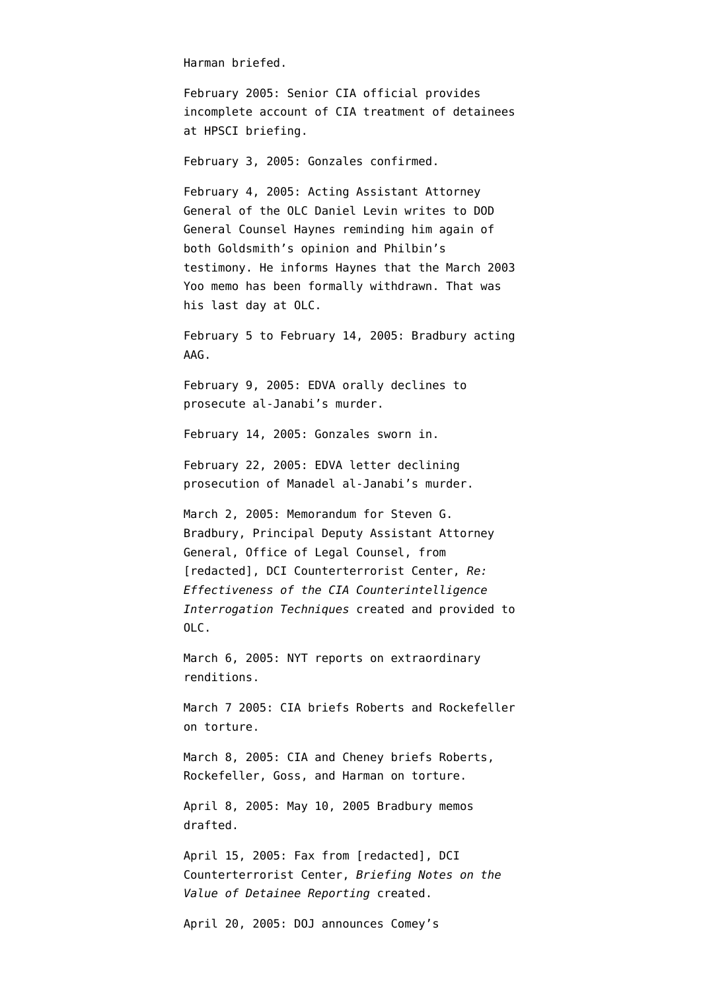Harman [briefed](http://static1.firedoglake.com/28/files//2009/05/2009-05-06-eit-enclosure0001.pdf).

February 2005: Senior CIA official provides [incomplete account](http://www.washingtonpost.com/wp-dyn/content/article/2006/05/13/AR2006051301311_pf.html) of CIA treatment of detainees at HPSCI briefing.

February 3, 2005: Gonzales confirmed.

February 4, 2005: Acting Assistant Attorney General of the OLC Daniel Levin writes to DOD General Counsel Haynes reminding him again of both Goldsmith's opinion and Philbin's testimony. He informs Haynes that the March 2003 Yoo memo has been formally withdrawn. That was his [last day](http://judiciary.house.gov/hearings/printers/110th/40743.PDF) at OLC.

February 5 to February 14, 2005: Bradbury [acting](http://judiciary.house.gov/hearings/pdf/OPRSecondReport09.pdf) AAG.

February 9, 2005: EDVA orally [declines](http://ccrjustice.org/files/April%202008%20release%20-%20in-parts%20Set%20A_0.pdf) to prosecute al-Janabi's murder.

February 14, 2005: Gonzales sworn in.

February 22, 2005: EDVA letter [declining](http://ccrjustice.org/files/April%202008%20release%20-%20in-parts%20Set%20A_0.pdf) prosecution of Manadel al-Janabi's murder.

March 2, 2005: Memorandum for Steven G. Bradbury, Principal Deputy Assistant Attorney General, Office of Legal Counsel, from [redacted], DCI Counterterrorist Center, *Re: Effectiveness of the CIA Counterintelligence Interrogation Techniques* [created](http://stream.luxmedia501.com/?file=clients/aclu/olc_05302005_bradbury.pdf&method=dl) and [provided](http://judiciary.house.gov/hearings/pdf/OPRFirstReport081222.pdf) to OLC.

March 6, 2005: NYT [reports](http://www.nytimes.com/2005/03/06/politics/06intel.html?scp=5&sq=detainee&st=nyt) on extraordinary renditions.

March 7 2005: CIA [briefs](http://static1.firedoglake.com/28/files//2009/05/2009-05-06-eit-enclosure0001.pdf) Roberts and Rockefeller on torture.

March 8, 2005: CIA and Cheney [briefs](http://static1.firedoglake.com/28/files//2009/05/2009-05-06-eit-enclosure0001.pdf) Roberts, Rockefeller, Goss, and Harman on torture.

April 8, 2005: May 10, 2005 Bradbury memos [drafted.](http://ccrjustice.org/files/2008-4-21%20Declaration%20of%20Ralph%20Dimaio%20-%20Exh%20A1%20-%20CIA%20docs%20released.pdf)

April 15, 2005: Fax from [redacted], DCI Counterterrorist Center, *Briefing Notes on the Value of Detainee Reporting* [created](http://stream.luxmedia501.com/?file=clients/aclu/olc_05302005_bradbury.pdf&method=dl).

April 20, 2005: DOJ announces Comey's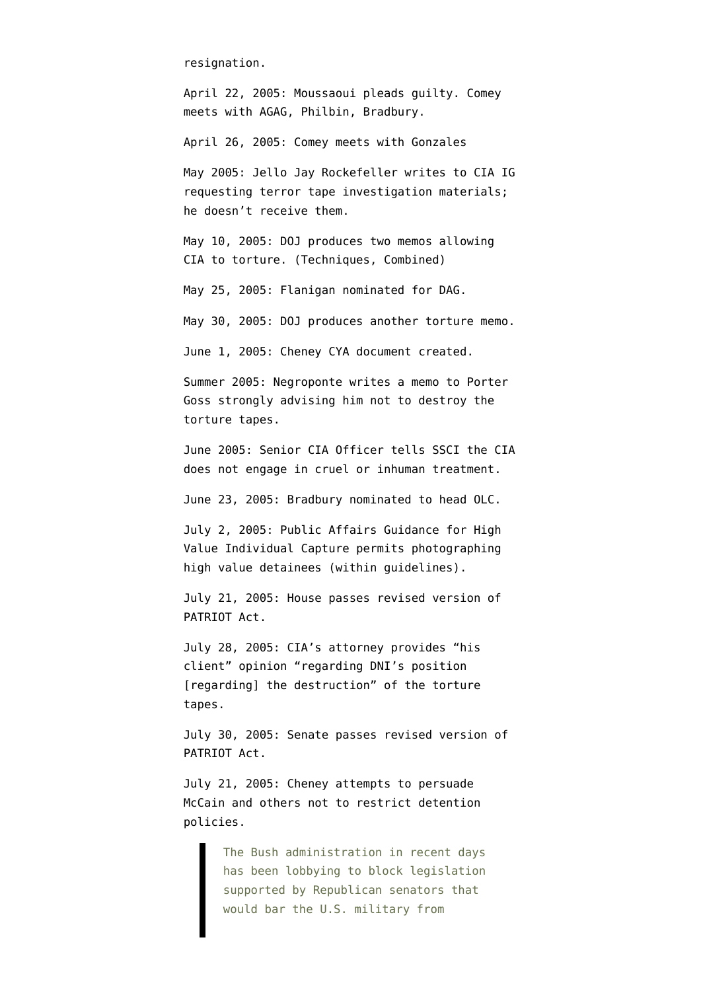resignation.

April 22, 2005: Moussaoui pleads guilty. Comey meets with AGAG, Philbin, Bradbury.

April 26, 2005: Comey meets with Gonzales

May 2005: Jello Jay Rockefeller [writes](http://www.warandpiece.com/blogdirs/006826.html#more) to CIA IG requesting terror tape investigation materials; he doesn't receive them.

May 10, 2005: DOJ produces two memos allowing CIA to torture. ([Techniques](http://stream.luxmedia501.com/?file=clients/aclu/olc_05102005_bradbury46pg.pdf&method=dl), [Combined](http://stream.luxmedia501.com/?file=clients/aclu/olc_05102005_bradbury_20pg.pdf&method=dl))

May 25, 2005: Flanigan nominated for DAG.

May 30, 2005: DOJ [produces](http://stream.luxmedia501.com/?file=clients/aclu/olc_05302005_bradbury.pdf&method=dl) another torture memo.

June 1, 2005: Cheney CYA document [created.](http://theplumline.whorunsgov.com/wp-content/uploads/2009/04/cheney-foia.pdf)

Summer 2005: Negroponte [writes a memo](http://emptywheel.firedoglake.com/2007/12/16/isikoff-to-congress-make-sure-you-ask-for-the-negroponte-memo/) to Porter Goss strongly advising him not to destroy the torture tapes.

June 2005: Senior CIA Officer [tells](http://www.washingtonpost.com/wp-dyn/content/article/2006/05/13/AR2006051301311_pf.html) SSCI the CIA does not engage in cruel or inhuman treatment.

June 23, 2005: Bradbury nominated to head OLC.

July 2, 2005: Public Affairs Guidance for High Value Individual Capture permits photographing high value detainees (within guidelines).

July 21, 2005: House passes revised version of PATRIOT Act.

July 28, 2005: CIA's attorney [provides](http://www.aclu.org/files/assets/20091120_Govt_Para_4_55_Hardcopy_Vaughn_Index.pdf) "his client" opinion "regarding DNI's position [regarding] the destruction" of the torture tapes.

July 30, 2005: Senate passes revised version of PATRIOT Act.

July 21, 2005: Cheney [attempts](http://www.washingtonpost.com/wp-dyn/content/article/2005/07/22/AR2005072201727.html) to persuade McCain and others not to restrict detention policies.

> The Bush administration in recent days has been lobbying to block legislation supported by Republican senators that would bar the U.S. military from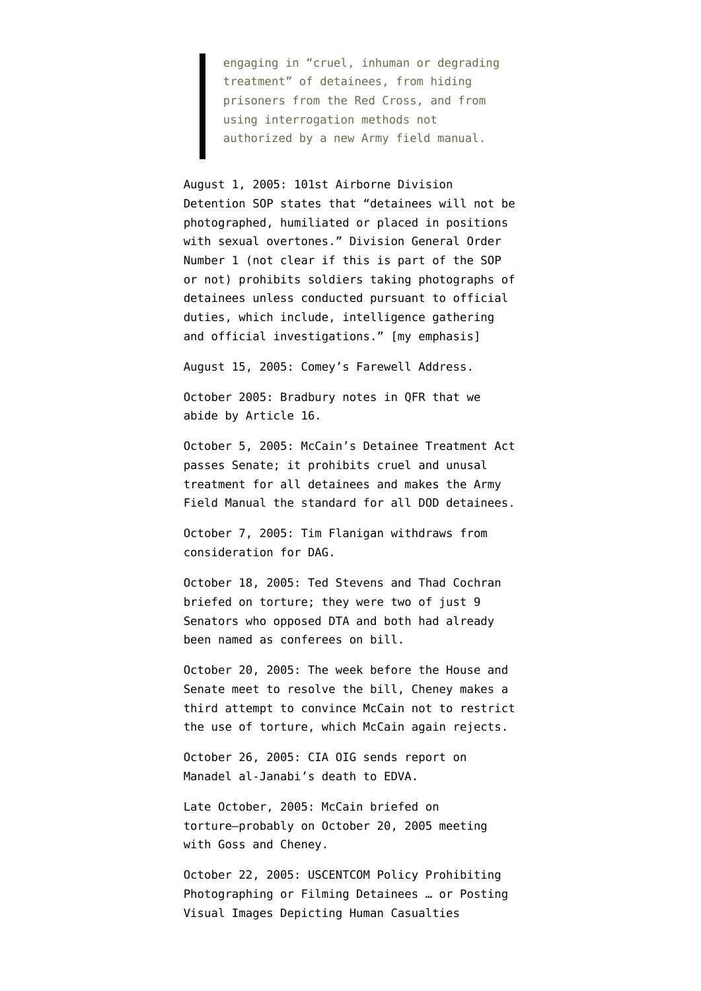engaging in "cruel, inhuman or degrading treatment" of detainees, from hiding prisoners from the Red Cross, and from using interrogation methods not authorized by a new Army field manual.

August 1, 2005: 101st Airborne Division Detention SOP states that "detainees will not be photographed, humiliated or placed in positions with sexual overtones." Division General Order Number 1 (not clear if this is part of the SOP or not) prohibits soldiers taking photographs of detainees unless conducted pursuant to official duties, which include, intelligence gathering and official investigations." [my emphasis]

August 15, 2005: Comey's Farewell Address.

October 2005: Bradbury notes in QFR that we abide by Article 16.

October 5, 2005: McCain's Detainee Treatment Act [passes](http://www.senate.gov/legislative/LIS/roll_call_lists/roll_call_vote_cfm.cfm?congress=109&session=1&vote=00249) Senate; it prohibits cruel and unusal treatment for all detainees and makes the Army Field Manual the standard for all DOD detainees.

October 7, 2005: Tim Flanigan withdraws from consideration for DAG.

October 18, 2005: Ted Stevens and Thad Cochran [briefed](http://static1.firedoglake.com/28/files//2009/05/2009-05-06-eit-enclosure0001.pdf) on torture; they were two of just 9 Senators who opposed DTA and both had already been named as conferees on bill.

October 20, 2005: The week before the House and Senate meet to resolve the bill, Cheney makes a [third attempt](http://www.washingtonpost.com/wp-dyn/content/article/2005/10/24/AR2005102402051.html) to convince McCain not to restrict the use of torture, which McCain again rejects.

October 26, 2005: CIA OIG [sends](http://ccrjustice.org/files/April%202008%20release%20-%20in-parts%20Set%20A_0.pdf) report on Manadel al-Janabi's death to EDVA.

Late October, 2005: McCain [briefed](http://static1.firedoglake.com/28/files//2009/05/2009-05-06-eit-enclosure0001.pdf) on torture–probably on October 20, 2005 meeting with Goss and Cheney.

October 22, 2005: USCENTCOM Policy Prohibiting Photographing or Filming Detainees … or Posting Visual Images Depicting Human Casualties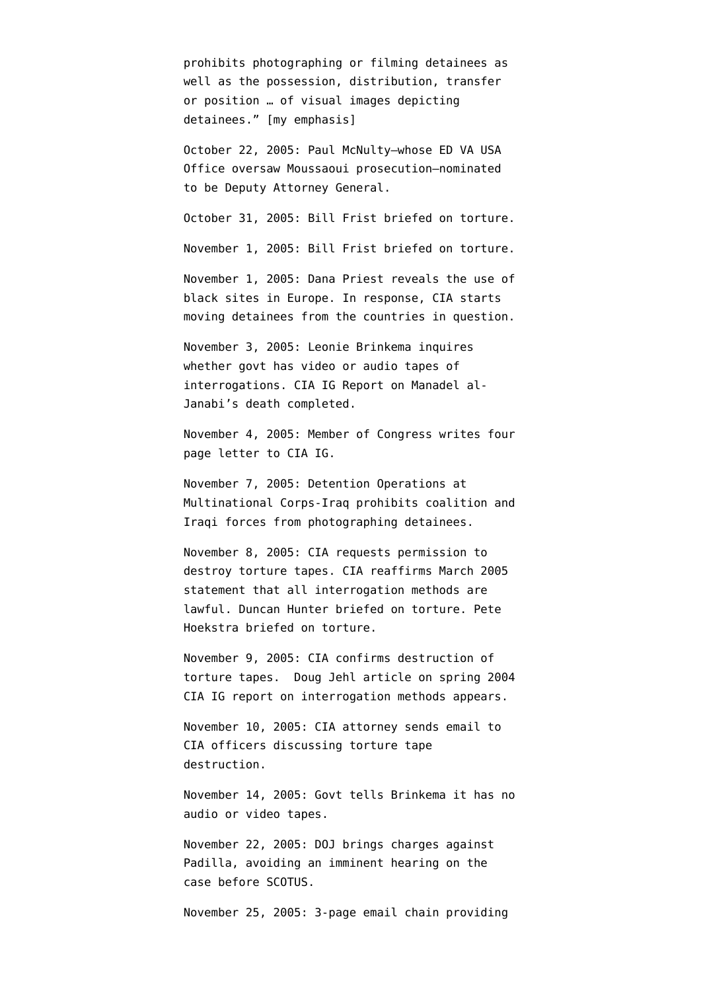prohibits photographing or filming detainees as well as the possession, distribution, transfer or position … of visual images depicting detainees." [my emphasis]

October 22, 2005: Paul McNulty–whose ED VA USA Office oversaw Moussaoui prosecution–nominated to be Deputy Attorney General.

October 31, 2005: Bill Frist [briefed](http://static1.firedoglake.com/28/files//2009/05/2009-05-06-eit-enclosure0001.pdf) on torture.

November 1, 2005: Bill Frist [briefed](http://static1.firedoglake.com/28/files//2009/05/2009-05-06-eit-enclosure0001.pdf) on torture.

November 1, 2005: Dana Priest [reveals](http://www.washingtonpost.com/wp-dyn/content/article/2005/11/01/AR2005110101644.html) the use of black sites in Europe. In response, CIA starts moving detainees from the countries in question.

November 3, 2005: Leonie Brinkema inquires whether govt has video or audio tapes of interrogations. CIA IG Report on Manadel al-Janabi's death [completed.](http://ccrjustice.org/files/April%202008%20release-in-parts%20Set%20F_0.pdf)

November 4, 2005: Member of Congress [writes](http://ccrjustice.org/files/2008-4-21%20Declaration%20of%20Ralph%20Dimaio%20-%20Exh%20A3%20-%20CIA%20docs%20released.pdf) four page letter to CIA IG.

November 7, 2005: Detention Operations at Multinational Corps-Iraq prohibits coalition and Iraqi forces from photographing detainees.

November 8, 2005: CIA [requests](http://www.aclu.org/files/assets/20091120_Govt_Para_4_55_Hardcopy_Vaughn_Index.pdf) permission to destroy torture tapes. CIA [reaffirms](http://www.nytimes.com/2005/11/09/politics/09detain.html?pagewanted=1) March 2005 statement that all interrogation methods are lawful. Duncan Hunter [briefed](http://static1.firedoglake.com/28/files//2009/05/2009-05-06-eit-enclosure0001.pdf) on torture. Pete Hoekstra [briefed](http://static1.firedoglake.com/28/files//2009/05/2009-05-06-eit-enclosure0001.pdf) on torture.

November 9, 2005: CIA [confirms](http://www.aclu.org/files/assets/20091120_Govt_Para_4_55_Hardcopy_Vaughn_Index.pdf) destruction of torture tapes. [Doug Jehl article](http://www.nytimes.com/2005/11/09/politics/09detain.html?pagewanted=1) on spring 2004 CIA IG report on interrogation methods appears.

November 10, 2005: CIA attorney [sends](http://www.aclu.org/files/assets/20091120_Govt_Para_4_55_Hardcopy_Vaughn_Index.pdf) email to CIA officers discussing torture tape destruction.

November 14, 2005: Govt tells Brinkema it has no audio or video tapes.

November 22, 2005: DOJ [brings charges](http://www.washingtonpost.com/wp-dyn/content/article/2005/11/22/AR2005112201061.html) against Padilla, avoiding an imminent hearing on the case before SCOTUS.

November 25, 2005: 3-page email chain [providing](http://www.aclu.org/files/assets/20091120_Govt_Para_4_55_Hardcopy_Vaughn_Index.pdf)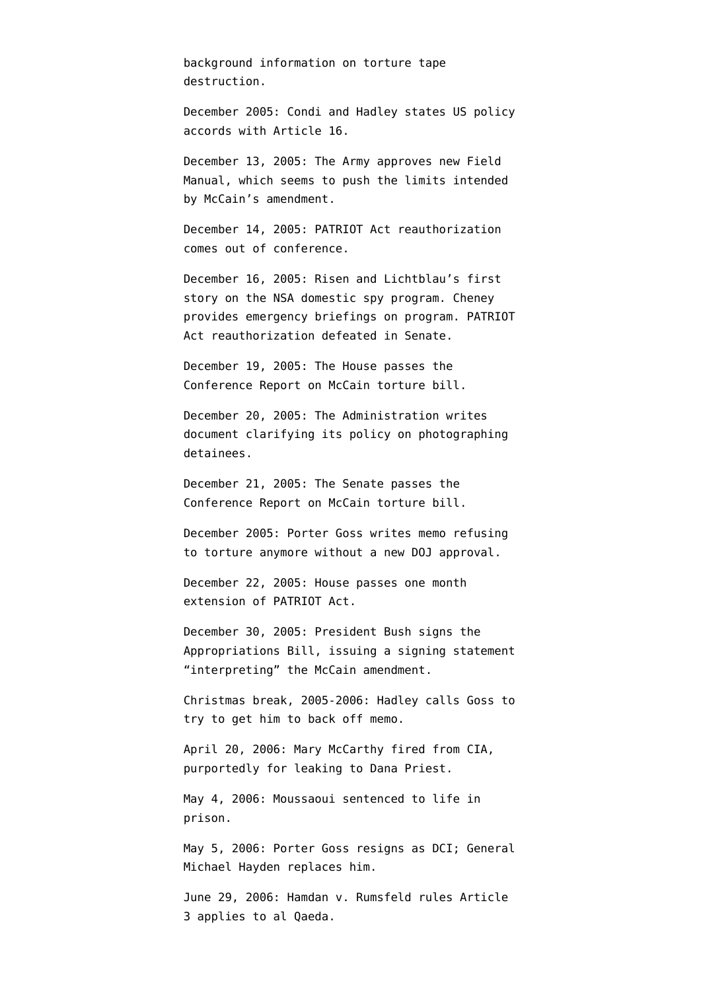background information on torture tape destruction.

December 2005: Condi and Hadley states US policy accords with Article 16.

December 13, 2005: The Army [approves](http://select.nytimes.com/search/restricted/article?res=F00B15FC34550C778DDDAB0994DD404482) new Field Manual, which seems to push the limits intended by McCain's amendment.

December 14, 2005: PATRIOT Act reauthorization comes out of conference.

December 16, 2005: Risen and Lichtblau's first story on the NSA domestic spy program. Cheney provides emergency briefings on program. PATRIOT Act reauthorization defeated in Senate.

December 19, 2005: The House passes the Conference Report on McCain torture bill.

December 20, 2005: The Administration writes document clarifying its policy on photographing detainees.

December 21, 2005: The Senate passes the Conference Report on McCain torture bill.

December 2005: Porter Goss [writes](http://www.nytimes.com/2009/05/04/us/politics/04detain.html?hp=&pagewanted=all) memo refusing to torture anymore without a new DOJ approval.

December 22, 2005: House passes one month extension of PATRIOT Act.

December 30, 2005: President Bush signs the Appropriations Bill, issuing a [signing statement](http://www.whitehouse.gov/news/releases/2005/12/20051230-8.html) "interpreting" the McCain amendment.

Christmas break, 2005-2006: Hadley [calls](http://www.nytimes.com/2009/05/04/us/politics/04detain.html?hp=&pagewanted=all) Goss to try to get him to back off memo.

April 20, 2006: Mary McCarthy fired from CIA, purportedly for leaking to Dana Priest.

May 4, 2006: Moussaoui sentenced to life in prison.

May 5, 2006: Porter Goss resigns as DCI; General Michael Hayden replaces him.

June 29, 2006: Hamdan v. Rumsfeld rules Article 3 applies to al Qaeda.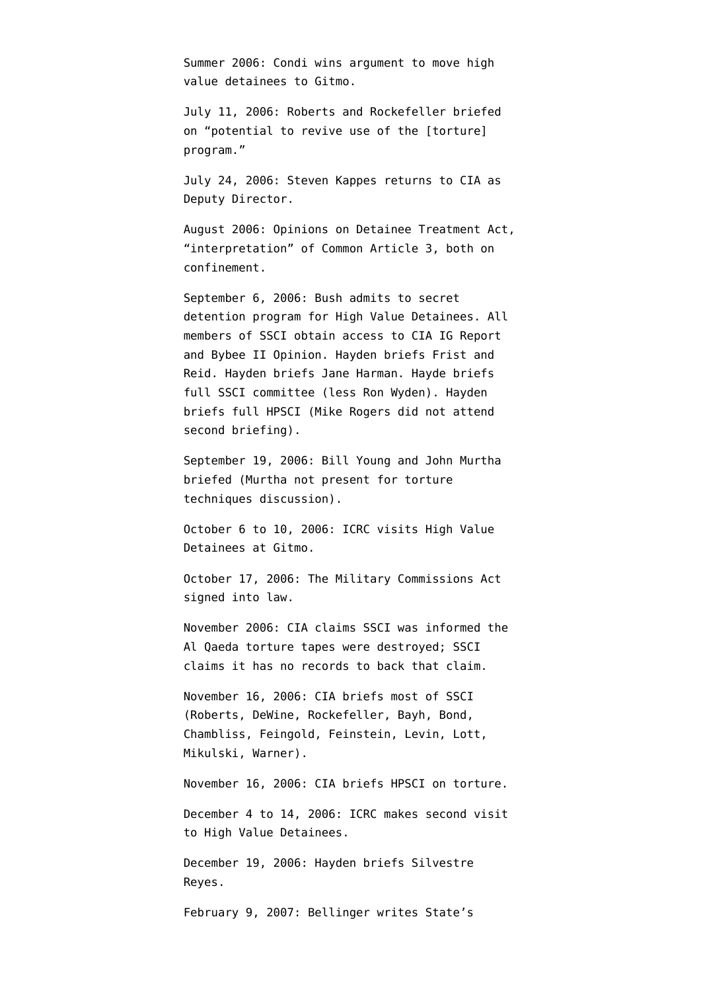Summer 2006: Condi [wins](http://www.nytimes.com/2009/05/04/us/politics/04detain.html?hp=&pagewanted=all) argument to move high value detainees to Gitmo.

July 11, 2006: Roberts and Rockefeller [briefed](http://static1.firedoglake.com/28/files//2009/05/2009-05-06-eit-enclosure0001.pdf) on "potential to revive use of the [torture] program."

July 24, 2006: Steven Kappes returns to CIA as Deputy Director.

August 2006: Opinions on Detainee Treatment Act, "interpretation" of Common Article 3, both on confinement.

September 6, 2006: Bush [admits to](http://www.whitehouse.gov/news/releases/2006/09/20060906-3.html) secret detention program for High Value Detainees. All members of SSCI [obtain](http://intelligence.senate.gov/pdfs/olcopinion.pdf) access to CIA IG Report and Bybee II Opinion. Hayden [briefs](http://static1.firedoglake.com/28/files//2009/05/2009-05-06-eit-enclosure0001.pdf) Frist and Reid. Hayden [briefs](http://static1.firedoglake.com/28/files//2009/05/2009-05-06-eit-enclosure0001.pdf) Jane Harman. Hayde [briefs](http://static1.firedoglake.com/28/files//2009/05/2009-05-06-eit-enclosure0001.pdf) full SSCI committee (less Ron Wyden). Hayden [briefs](http://static1.firedoglake.com/28/files//2009/05/2009-05-06-eit-enclosure0001.pdf) full HPSCI (Mike Rogers did not attend second briefing).

September 19, 2006: Bill Young and John Murtha [briefed](http://static1.firedoglake.com/28/files//2009/05/2009-05-06-eit-enclosure0001.pdf) (Murtha not present for torture techniques discussion).

October 6 to 10, 2006: ICRC visits High Value Detainees at Gitmo.

October 17, 2006: The Military Commissions Act signed into law.

November 2006: CIA [claims](http://www.warandpiece.com/blogdirs/006826.html#more) SSCI was informed the Al Qaeda torture tapes were destroyed; SSCI claims it has no records to back that claim.

November 16, 2006: CIA [briefs](http://static1.firedoglake.com/28/files//2009/05/2009-05-06-eit-enclosure0001.pdf) most of SSCI (Roberts, DeWine, Rockefeller, Bayh, Bond, Chambliss, Feingold, Feinstein, Levin, Lott, Mikulski, Warner).

November 16, 2006: CIA [briefs](http://static1.firedoglake.com/28/files//2009/05/2009-05-06-eit-enclosure0001.pdf) HPSCI on torture.

December 4 to 14, 2006: ICRC makes second visit to High Value Detainees.

December 19, 2006: Hayden [briefs](http://static1.firedoglake.com/28/files//2009/05/2009-05-06-eit-enclosure0001.pdf) Silvestre Reyes.

February 9, 2007: Bellinger [writes](http://judiciary.house.gov/hearings/pdf/OPRFirstReport081222.pdf) State's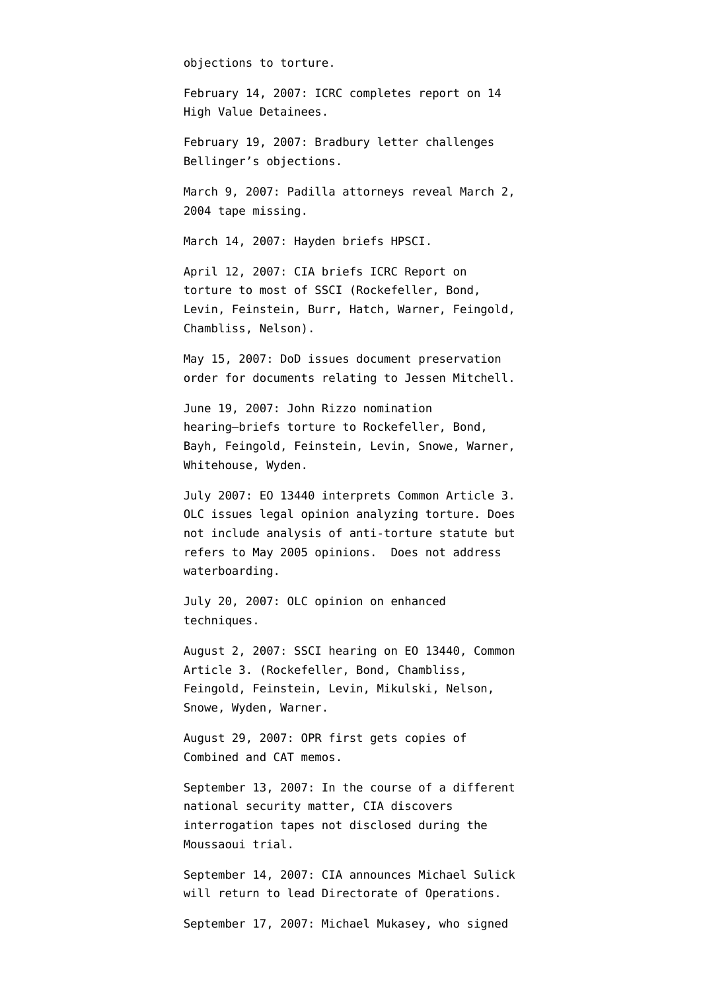objections to torture.

February 14, 2007: ICRC [completes](http://www.google.com/url?sa=t&source=web&ct=res&cd=1&url=http%3A%2F%2Fwww.nybooks.com%2Ficrc-report.pdf&ei=doXzSYaHCOCLtge098yuDw&usg=AFQjCNHXMJ6SZ1Q3LiiwnXFpNKw-jYnAiA) report on 14 High Value Detainees.

February 19, 2007: Bradbury letter [challenges](http://judiciary.house.gov/hearings/pdf/OPRFirstReport081222.pdf) Bellinger's objections.

March 9, 2007: Padilla attorneys reveal March 2, 2004 tape missing.

March 14, 2007: Hayden [briefs](http://static1.firedoglake.com/28/files//2009/05/2009-05-06-eit-enclosure0001.pdf) HPSCI.

April 12, 2007: CIA [briefs](http://static1.firedoglake.com/28/files//2009/05/2009-05-06-eit-enclosure0001.pdf) ICRC Report on torture to most of SSCI (Rockefeller, Bond, Levin, Feinstein, Burr, Hatch, Warner, Feingold, Chambliss, Nelson).

May 15, 2007: DoD [issues](http://www.salon.com/news/feature/2007/06/21/cia_sere/print.html) document preservation order for documents relating to Jessen Mitchell.

June 19, 2007: John Rizzo nomination hearing–[briefs](http://static1.firedoglake.com/28/files//2009/05/2009-05-06-eit-enclosure0001.pdf) torture to Rockefeller, Bond, Bayh, Feingold, Feinstein, Levin, Snowe, Warner, Whitehouse, Wyden.

July 2007: EO 13440 interprets Common Article 3. OLC issues legal opinion analyzing torture. Does not include analysis of anti-torture statute but refers to May 2005 opinions. Does not address waterboarding.

July 20, 2007: OLC [opinion](http://www.aclu.org/torturefoia/released/082409/olc/2007%20OLC%20opinion%20on%20Interrogation%20Techniques.pdf) on enhanced techniques.

August 2, 2007: SSCI [hearing](http://static1.firedoglake.com/28/files//2009/05/2009-05-06-eit-enclosure0001.pdf) on EO 13440, Common Article 3. (Rockefeller, Bond, Chambliss, Feingold, Feinstein, Levin, Mikulski, Nelson, Snowe, Wyden, Warner.

August 29, 2007: OPR first gets copies of Combined and CAT memos.

September 13, 2007: In the course of a different national security matter, CIA [discovers](http://graphics8.nytimes.com/packages/pdf/world/20071207_intel_letter.pdf) interrogation tapes not disclosed during the Moussaoui trial.

September 14, 2007: CIA [announces](http://www.nytimes.com/2007/09/15/washington/15cia.html) Michael Sulick will return to lead Directorate of Operations.

September 17, 2007: Michael Mukasey, who signed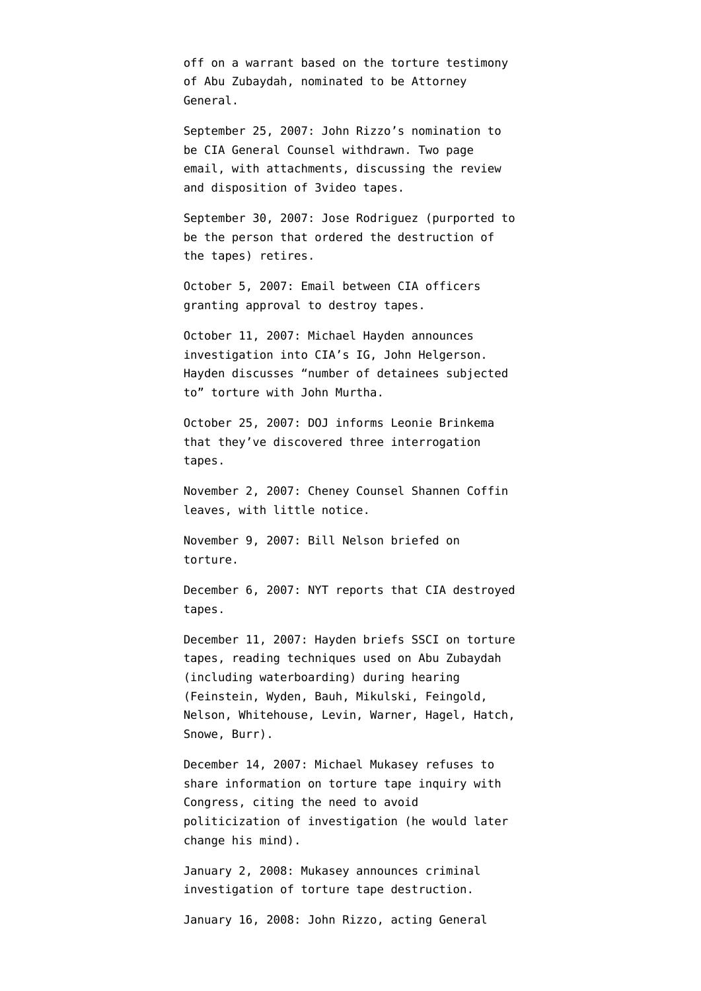off on a warrant based on the torture testimony of Abu Zubaydah, nominated to be Attorney General.

September 25, 2007: John Rizzo's nomination to be CIA General Counsel [withdrawn.](http://www.msnbc.msn.com/id/20979794/) Two page email, with attachments, [discussing](http://www.aclu.org/files/assets/20091120_Govt_Para_4_55_Hardcopy_Vaughn_Index.pdf) the review and disposition of 3video tapes.

September 30, 2007: Jose Rodriguez (purported to be the person that ordered the destruction of the tapes) retires.

October 5, 2007: Email between CIA officers [granting](http://www.aclu.org/files/assets/20091120_Govt_Para_4_55_Hardcopy_Vaughn_Index.pdf) approval to destroy tapes.

October 11, 2007: Michael Hayden [announces](http://www.nytimes.com/2007/10/11/washington/12intel.html) [investigation](http://www.nytimes.com/2007/10/11/washington/12intel.html) into CIA's IG, John Helgerson. Hayden [discusses](http://static1.firedoglake.com/28/files//2009/05/2009-05-06-eit-enclosure0001.pdf) "number of detainees subjected to" torture with John Murtha.

October 25, 2007: DOJ [informs](http://graphics8.nytimes.com/packages/pdf/world/20071207_intel_letter.pdf) Leonie Brinkema that they've discovered three interrogation tapes.

November 2, 2007: Cheney Counsel Shannen Coffin [leaves](http://www.usnews.com/blogs/news-desk/2007/11/1/cheney-lawyer-is-leaving.html), with little notice.

November 9, 2007: Bill Nelson [briefed](http://static1.firedoglake.com/28/files//2009/05/2009-05-06-eit-enclosure0001.pdf) on torture.

December 6, 2007: NYT [reports](http://www.nytimes.com/2007/12/06/washington/06cnd-intel.html?hp) that CIA destroyed tapes.

December 11, 2007: Hayden briefs SSCI on torture tapes, reading techniques used on Abu Zubaydah (including waterboarding) during hearing (Feinstein, Wyden, Bauh, Mikulski, Feingold, Nelson, Whitehouse, Levin, Warner, Hagel, Hatch, Snowe, Burr).

December 14, 2007: Michael Mukasey [refuses](http://www.washingtonpost.com/wp-dyn/content/article/2007/12/14/AR2007121401269.html) to share information on torture tape inquiry with Congress, citing the need to avoid politicization of investigation (he would later change his mind).

January 2, 2008: Mukasey [announces](http://www.usdoj.gov/opa/pr/2008/January/08_opa_001.html) criminal investigation of torture tape destruction.

January 16, 2008: John Rizzo, acting General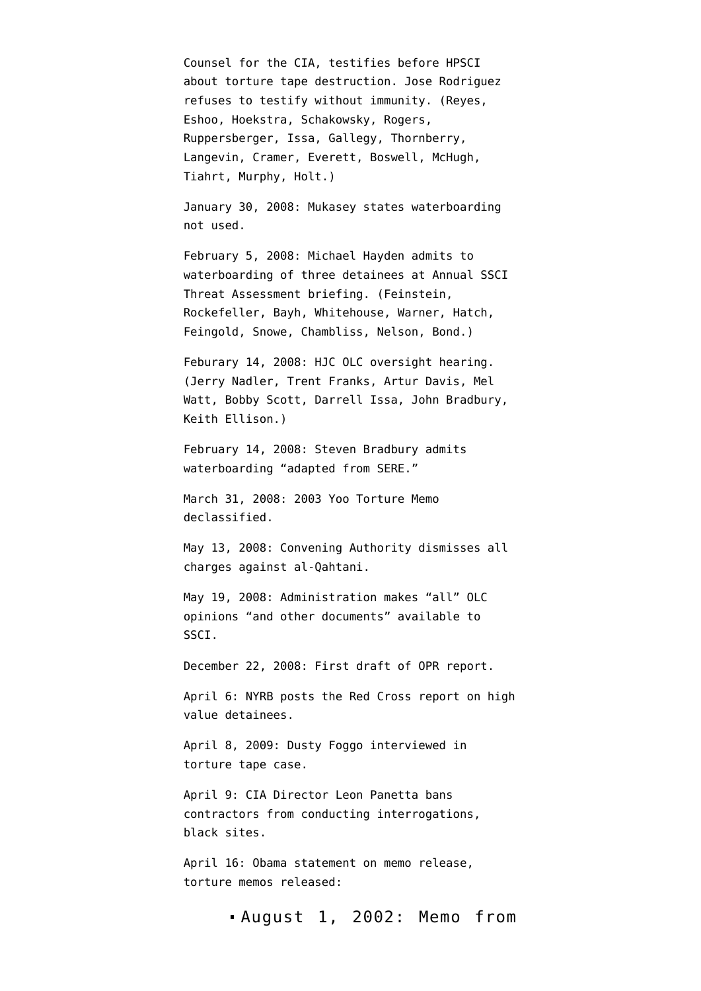Counsel for the CIA, [testifies](http://www.washingtonpost.com/wp-dyn/content/article/2008/01/16/AR2008011604031.html) before HPSCI about torture tape destruction. Jose Rodriguez refuses to testify without immunity. (Reyes, Eshoo, Hoekstra, Schakowsky, Rogers, Ruppersberger, Issa, Gallegy, Thornberry, Langevin, Cramer, Everett, Boswell, McHugh, Tiahrt, Murphy, Holt.)

January 30, 2008: Mukasey states waterboarding not used.

February 5, 2008: Michael Hayden [admits](http://static1.firedoglake.com/28/files//2009/05/2009-05-06-eit-enclosure0001.pdf) to waterboarding of three detainees at Annual SSCI Threat Assessment briefing. (Feinstein, Rockefeller, Bayh, Whitehouse, Warner, Hatch, Feingold, Snowe, Chambliss, Nelson, Bond.)

Feburary 14, 2008: HJC OLC oversight [hearing](http://static1.firedoglake.com/28/files//2009/05/2009-05-06-eit-enclosure0001.pdf). (Jerry Nadler, Trent Franks, Artur Davis, Mel Watt, Bobby Scott, Darrell Issa, John Bradbury, Keith Ellison.)

February 14, 2008: Steven Bradbury admits waterboarding "adapted from SERE."

March 31, 2008: 2003 Yoo Torture Memo declassified.

May 13, 2008: Convening Authority dismisses all charges against al-Qahtani.

May 19, 2008: Administration [makes](http://intelligence.senate.gov/pdfs/olcopinion.pdf) "all" OLC opinions "and other documents" available to SSCI.

December 22, 2008: First draft of OPR report.

April 6: NYRB posts the [Red Cross report](http://www.nybooks.com/icrc-report.pdf) on high value detainees.

April 8, 2009: Dusty Foggo [interviewed](http://emptywheel.firedoglake.com/2009/04/02/what-does-dusty-foggo-know-about-the-torture-tapes/) in torture tape case.

April 9: CIA Director Leon Panetta [bans](http://online.wsj.com/article/SB123930070735305799.html) contractors from conducting interrogations, black sites.

April 16: Obama [statement](http://emptywheel.firedoglake.com/2009/04/16/obama-on-the-olc-memo-release/) on memo release, torture memos released:

[August 1, 2002:](http://stream.luxmedia501.com/?file=clients/aclu/olc_08012002_bybee.pdf&method=dl) Memo from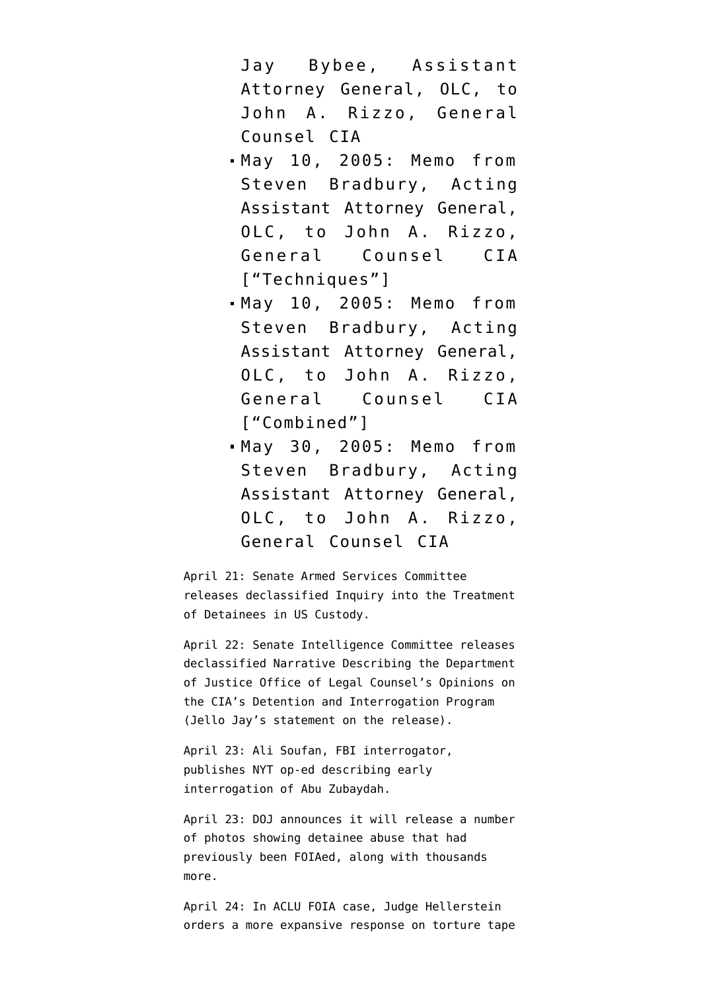Jay Bybee, Assistant Attorney General, OLC, to John A. Rizzo, General Counsel CIA

- [May 10, 2005:](http://stream.luxmedia501.com/?file=clients/aclu/olc_05102005_bradbury46pg.pdf&method=dl) Memo from Steven Bradbury, Acting Assistant Attorney General, OLC, to John A. Rizzo, General Counsel CIA ["Techniques"]
- [May 10, 2005:](http://stream.luxmedia501.com/?file=clients/aclu/olc_05102005_bradbury_20pg.pdf&method=dl) Memo from Steven Bradbury, Acting Assistant Attorney General, OLC, to John A. Rizzo, General Counsel CIA ["Combined"]
- [May 30, 2005:](http://stream.luxmedia501.com/?file=clients/aclu/olc_05302005_bradbury.pdf&method=dl) Memo from Steven Bradbury, Acting Assistant Attorney General, OLC, to John A. Rizzo, General Counsel CIA

April 21: Senate Armed Services Committee releases declassified [Inquiry into the Treatment](http://armed-services.senate.gov/Publications/Detainee%20Report%20Final_April%2022%202009.pdf) [of Detainees in US Custody.](http://armed-services.senate.gov/Publications/Detainee%20Report%20Final_April%2022%202009.pdf)

April 22: Senate Intelligence Committee releases declassified [Narrative Describing the Department](http://intelligence.senate.gov/pdfs/olcopinion.pdf) [of Justice Office of Legal Counsel's Opinions on](http://intelligence.senate.gov/pdfs/olcopinion.pdf) [the CIA's Detention and Interrogation Program](http://intelligence.senate.gov/pdfs/olcopinion.pdf) (Jello Jay's [statement](http://www.fas.org/irp/congress/2009_cr/ssci_olc.html) on the release).

April 23: Ali Soufan, FBI interrogator, publishes [NYT op-ed](http://www.nytimes.com/2009/04/23/opinion/23soufan.html?_r=1&ref=opinion) describing early interrogation of Abu Zubaydah.

April 23: DOJ [announces](http://www.aclu.org/pdfs/safefree/letter_singh_20090423.pdf) it will release a number of photos showing detainee abuse that had previously been FOIAed, along with thousands more.

April 24: In ACLU FOIA case, Judge Hellerstein [orders](http://www.aclu.org/images/torture/asset_upload_file811_39459.pdf) a more expansive response on torture tape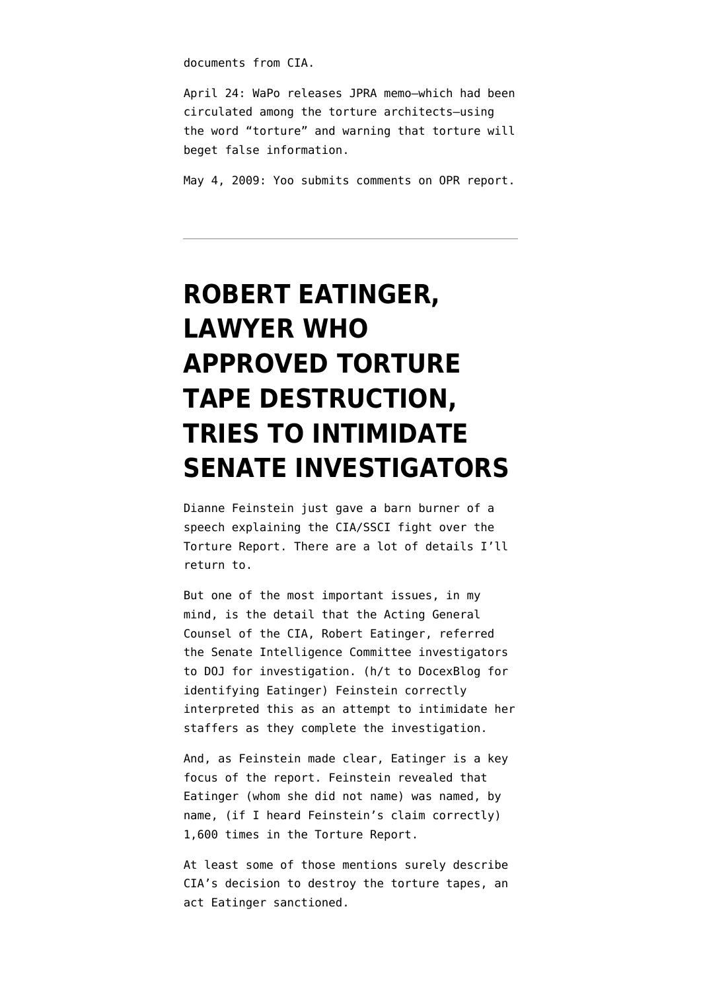documents from CIA.

April 24: WaPo [releases](http://www.washingtonpost.com/wp-dyn/content/article/2009/04/24/AR2009042403171.html?hpid=topnews&sid=ST2009042403231) [JPRA memo–](http://www.washingtonpost.com/wp-srv/nation/pdf/JPRA-Memo_042409.pdf)which had been circulated among the torture architects–using the word "torture" and warning that torture will beget false information.

May 4, 2009: Yoo submits comments on OPR report.

# **[ROBERT EATINGER,](https://www.emptywheel.net/2014/03/11/robert-eatinger-lawyer-who-approved-torture-tape-destruction-tries-to-intimidate-senate-investigators/) [LAWYER WHO](https://www.emptywheel.net/2014/03/11/robert-eatinger-lawyer-who-approved-torture-tape-destruction-tries-to-intimidate-senate-investigators/) [APPROVED TORTURE](https://www.emptywheel.net/2014/03/11/robert-eatinger-lawyer-who-approved-torture-tape-destruction-tries-to-intimidate-senate-investigators/) [TAPE DESTRUCTION,](https://www.emptywheel.net/2014/03/11/robert-eatinger-lawyer-who-approved-torture-tape-destruction-tries-to-intimidate-senate-investigators/) [TRIES TO INTIMIDATE](https://www.emptywheel.net/2014/03/11/robert-eatinger-lawyer-who-approved-torture-tape-destruction-tries-to-intimidate-senate-investigators/) [SENATE INVESTIGATORS](https://www.emptywheel.net/2014/03/11/robert-eatinger-lawyer-who-approved-torture-tape-destruction-tries-to-intimidate-senate-investigators/)**

Dianne Feinstein just gave a barn burner of a speech explaining the CIA/SSCI fight over the Torture Report. There are a lot of details I'll return to.

But one of the most important issues, in my mind, is the detail that the Acting General Counsel of the CIA, Robert Eatinger, referred the Senate Intelligence Committee investigators to DOJ for investigation. (h/t to [DocexBlog](https://twitter.com/docexblog/status/443386321059725314) for [identifying](http://www.americanbar.org/news/abanews/aba-news-archives/2013/10/cia_nsa_odni_andn.html) Eatinger) Feinstein correctly interpreted this as an attempt to intimidate her staffers as they complete the investigation.

And, as Feinstein made clear, Eatinger is a key focus of the report. Feinstein revealed that Eatinger (whom she did not name) was named, by name, (if I heard Feinstein's claim correctly) 1,600 times in the Torture Report.

At least some of those mentions surely describe CIA's decision to destroy the torture tapes, an act Eatinger [sanctioned.](http://www.washingtonpost.com/wp-dyn/content/article/2009/01/24/AR2009012401856.html?wpisrc=newsletter)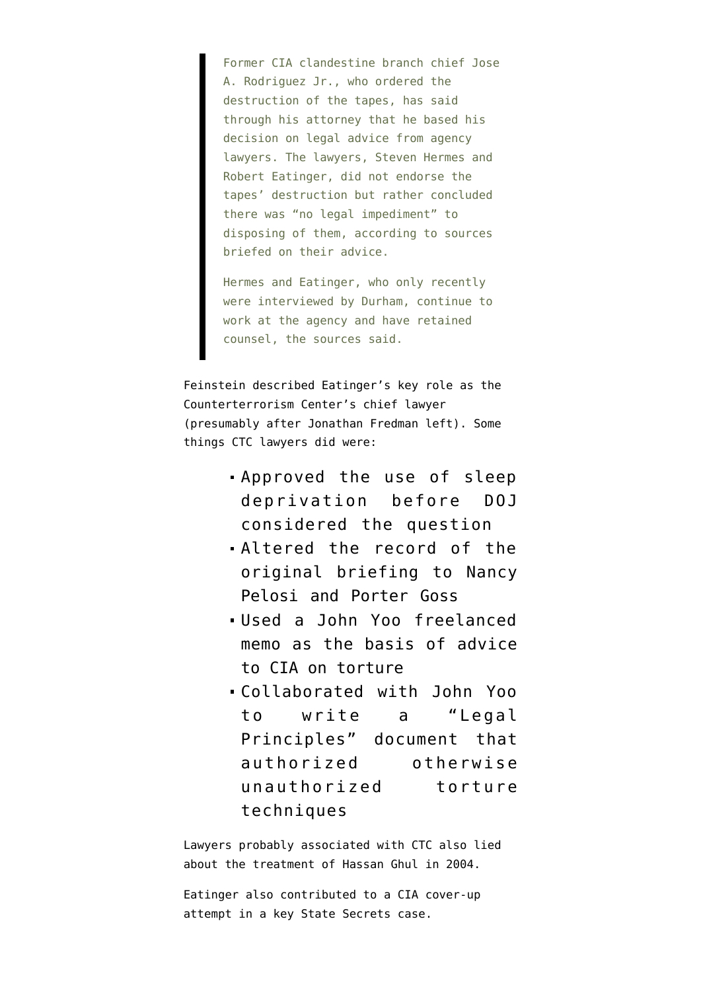Former CIA clandestine branch chief Jose A. Rodriguez Jr., who ordered the destruction of the tapes, has said through his attorney that he based his decision on legal advice from agency lawyers. The lawyers, Steven Hermes and Robert Eatinger, did not endorse the tapes' destruction but rather concluded there was "no legal impediment" to disposing of them, according to sources briefed on their advice.

Hermes and Eatinger, who only recently were interviewed by Durham, continue to work at the agency and have retained counsel, the sources said.

Feinstein described Eatinger's key role as the Counterterrorism Center's chief lawyer (presumably after Jonathan Fredman left). Some things CTC lawyers did [were](http://www.emptywheel.net/2013/04/02/pulling-weeds-for-think-tank-employees-my-response-to-wittes-response/):

- Approved the use of sleep deprivation before DOJ considered the question
- Altered the record of the original briefing to Nancy Pelosi and Porter Goss
- Used a John Yoo freelanced memo as the basis of advice to CIA on torture
- Collaborated with John Yoo to write a "Legal Principles" document that authorized otherwise unauthorized torture techniques

Lawyers probably associated with CTC also [lied](http://www.emptywheel.net/2014/01/09/the-senate-torture-report-and-cias-lies-about-hassan-ghuls-2004-torture/) about the treatment of Hassan Ghul in 2004.

Eatinger also [contributed to a CIA cover-up](http://www.emptywheel.net/2009/07/20/cia-fraud-in-state-secrets-assertions/) attempt in a key State Secrets case.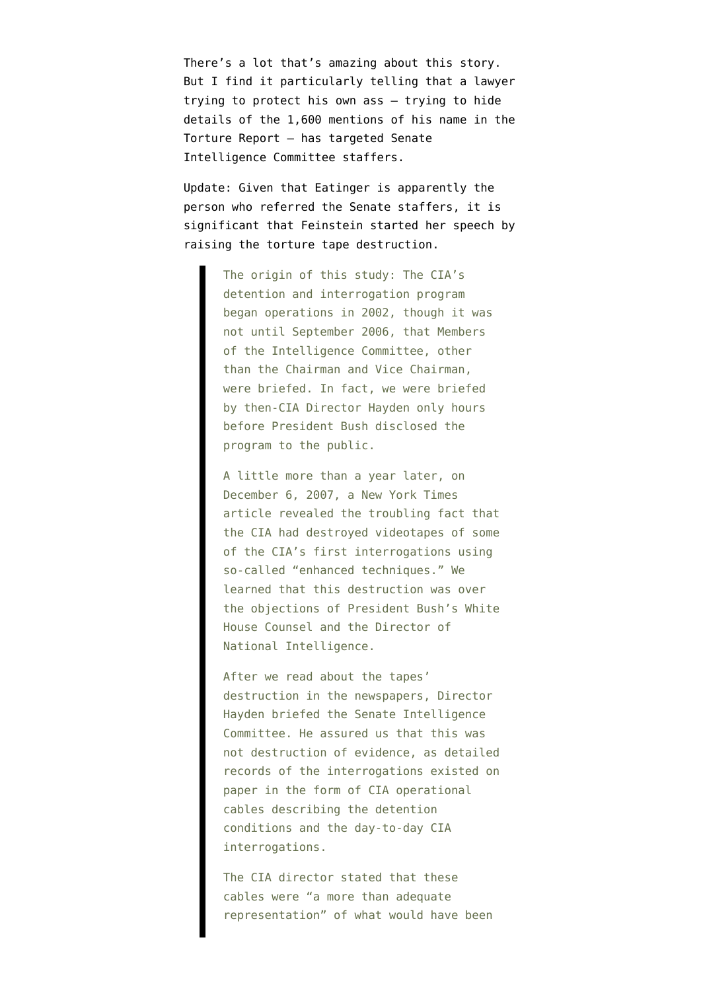There's a lot that's amazing about this story. But I find it particularly telling that a lawyer trying to protect his own ass — trying to hide details of the 1,600 mentions of his name in the Torture Report — has targeted Senate Intelligence Committee staffers.

Update: Given that Eatinger is apparently the person who referred the Senate staffers, it is significant that Feinstein [started her speech](http://blogs.rollcall.com/wgdb/feinsteins-full-speech-on-the-cia/) by raising the torture tape destruction.

> The origin of this study: The CIA's detention and interrogation program began operations in 2002, though it was not until September 2006, that Members of the Intelligence Committee, other than the Chairman and Vice Chairman, were briefed. In fact, we were briefed by then-CIA Director Hayden only hours before President Bush disclosed the program to the public.

A little more than a year later, on December 6, 2007, a New York Times article revealed the troubling fact that the CIA had destroyed videotapes of some of the CIA's first interrogations using so-called "enhanced techniques." We learned that this destruction was over the objections of President Bush's White House Counsel and the Director of National Intelligence.

After we read about the tapes' destruction in the newspapers, Director Hayden briefed the Senate Intelligence Committee. He assured us that this was not destruction of evidence, as detailed records of the interrogations existed on paper in the form of CIA operational cables describing the detention conditions and the day-to-day CIA interrogations.

The CIA director stated that these cables were "a more than adequate representation" of what would have been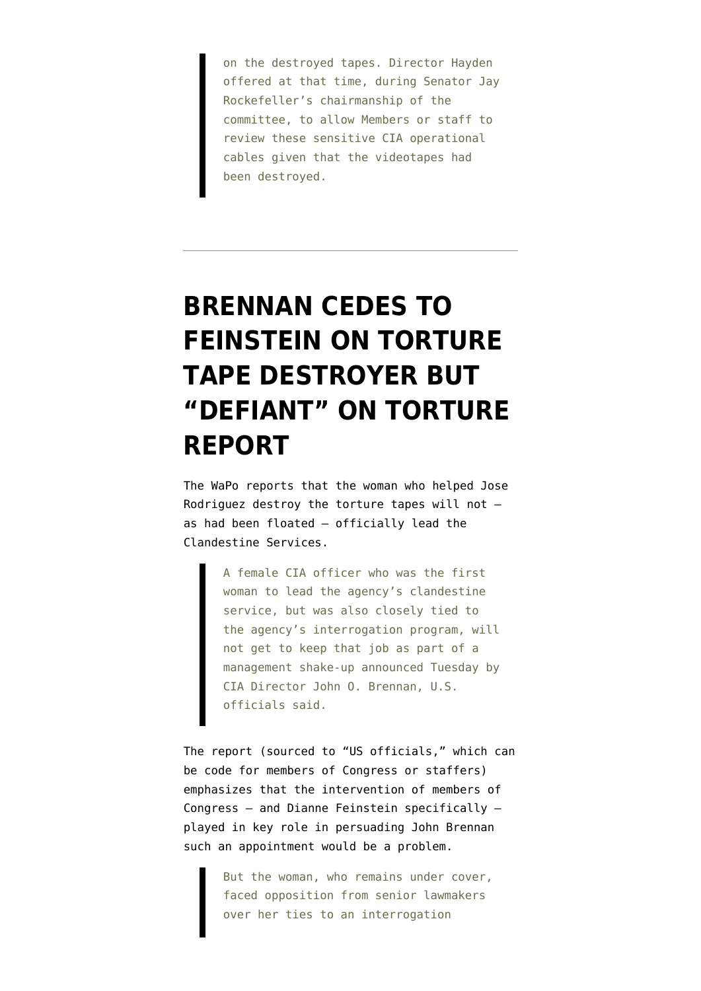on the destroyed tapes. Director Hayden offered at that time, during Senator Jay Rockefeller's chairmanship of the committee, to allow Members or staff to review these sensitive CIA operational cables given that the videotapes had been destroyed.

# **[BRENNAN CEDES TO](https://www.emptywheel.net/2013/05/07/brennan-cedes-to-feinstein-on-torture-tape-destroyer-but-defiant-on-torture-report/) [FEINSTEIN ON TORTURE](https://www.emptywheel.net/2013/05/07/brennan-cedes-to-feinstein-on-torture-tape-destroyer-but-defiant-on-torture-report/) [TAPE DESTROYER BUT](https://www.emptywheel.net/2013/05/07/brennan-cedes-to-feinstein-on-torture-tape-destroyer-but-defiant-on-torture-report/) ["DEFIANT" ON TORTURE](https://www.emptywheel.net/2013/05/07/brennan-cedes-to-feinstein-on-torture-tape-destroyer-but-defiant-on-torture-report/) [REPORT](https://www.emptywheel.net/2013/05/07/brennan-cedes-to-feinstein-on-torture-tape-destroyer-but-defiant-on-torture-report/)**

The WaPo [reports](http://www.washingtonpost.com/world/national-security/cia-selects-new-head-of-clandestine-service-passing-over-female-officer-tied-to-interrogation-program/2013/05/07/c43e5f94-b727-11e2-92f3-f291801936b8_story.html) that the woman who helped Jose Rodriguez destroy the torture tapes will not as had been floated — officially lead the Clandestine Services.

> A female CIA officer who was the first woman to lead the agency's clandestine service, but was also closely tied to the agency's interrogation program, will not get to keep that job as part of a management shake-up announced Tuesday by CIA Director John O. Brennan, U.S. officials said.

The report (sourced to "US officials," which can be code for members of Congress or staffers) emphasizes that the intervention of members of Congress — and Dianne Feinstein specifically played in key role in persuading John Brennan such an appointment would be a problem.

> But the woman, who remains under cover, faced opposition from senior lawmakers over her ties to an interrogation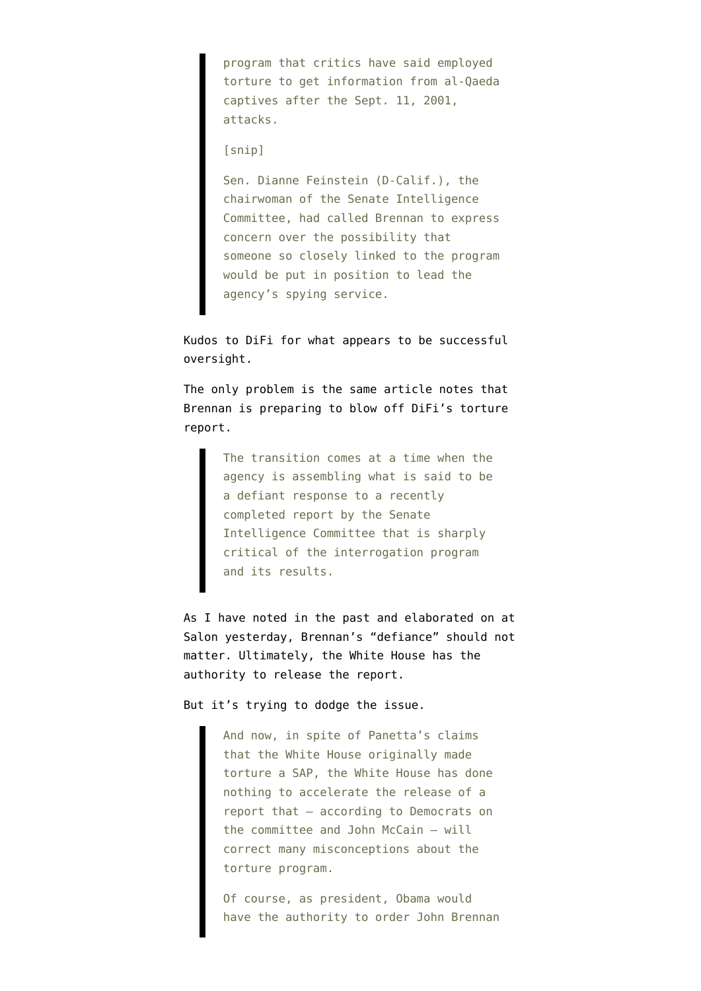program that critics have said employed torture to get information from al-Qaeda captives after the Sept. 11, 2001, attacks.

### [snip]

Sen. Dianne Feinstein (D-Calif.), the chairwoman of the Senate Intelligence Committee, had called Brennan to express concern over the possibility that someone so closely linked to the program would be put in position to lead the agency's spying service.

Kudos to DiFi for what appears to be successful oversight.

The only problem is the same article notes that Brennan is preparing to blow off DiFi's torture report.

> The transition comes at a time when the agency is assembling what is said to be a defiant response to a recently completed report by the Senate Intelligence Committee that is sharply critical of the interrogation program and its results.

As I have [noted in the past](http://www.emptywheel.net/2013/05/01/mark-udall-to-obama-you-can-force-john-brennan-to-excise-the-demons/) and [elaborated on at](http://www.salon.com/2013/05/06/why_is_obama_withholding_secret_torture_report_from_americans/) [Salon](http://www.salon.com/2013/05/06/why_is_obama_withholding_secret_torture_report_from_americans/) yesterday, Brennan's "defiance" should not matter. Ultimately, the White House has the authority to release the report.

But it's trying to dodge the issue.

And now, in spite of Panetta's claims that the White House originally made torture a SAP, the White House has done nothing to accelerate the release of a report that — according to Democrats on the committee and John McCain — will correct many misconceptions about the torture program.

Of course, as president, Obama would have the authority to order John Brennan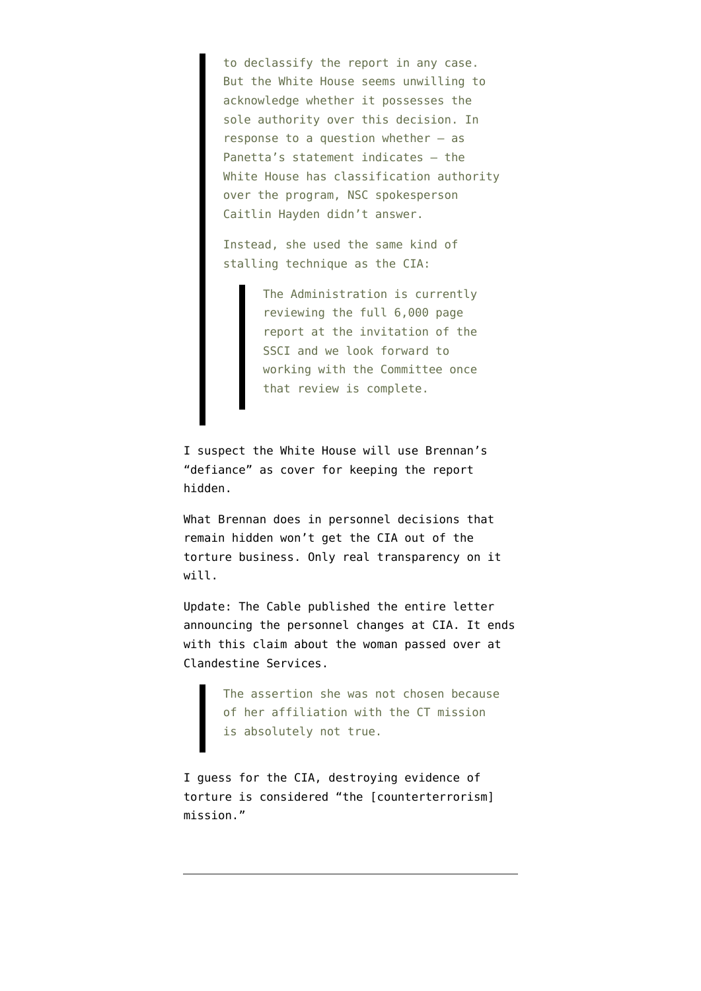to declassify the report in any case. But the White House seems unwilling to acknowledge whether it possesses the sole authority over this decision. In response to a question whether — as Panetta's statement indicates — the White House has classification authority over the program, NSC spokesperson Caitlin Hayden didn't answer.

Instead, she used the same kind of stalling technique as the CIA:

> The Administration is currently reviewing the full 6,000 page report at the invitation of the SSCI and we look forward to working with the Committee once that review is complete.

I suspect the White House will use Brennan's "defiance" as cover for keeping the report hidden.

What Brennan does in personnel decisions that remain hidden won't get the CIA out of the torture business. Only real transparency on it will.

Update: The Cable [published](http://thecable.foreignpolicy.com/posts/2013/05/07/cias_new_clandestine_service_chief_remains_undercover) the entire letter announcing the personnel changes at CIA. It ends with this claim about the woman passed over at Clandestine Services.

> The assertion she was not chosen because of her affiliation with the CT mission is absolutely not true.

I guess for the CIA, destroying evidence of torture is considered "the [counterterrorism] mission."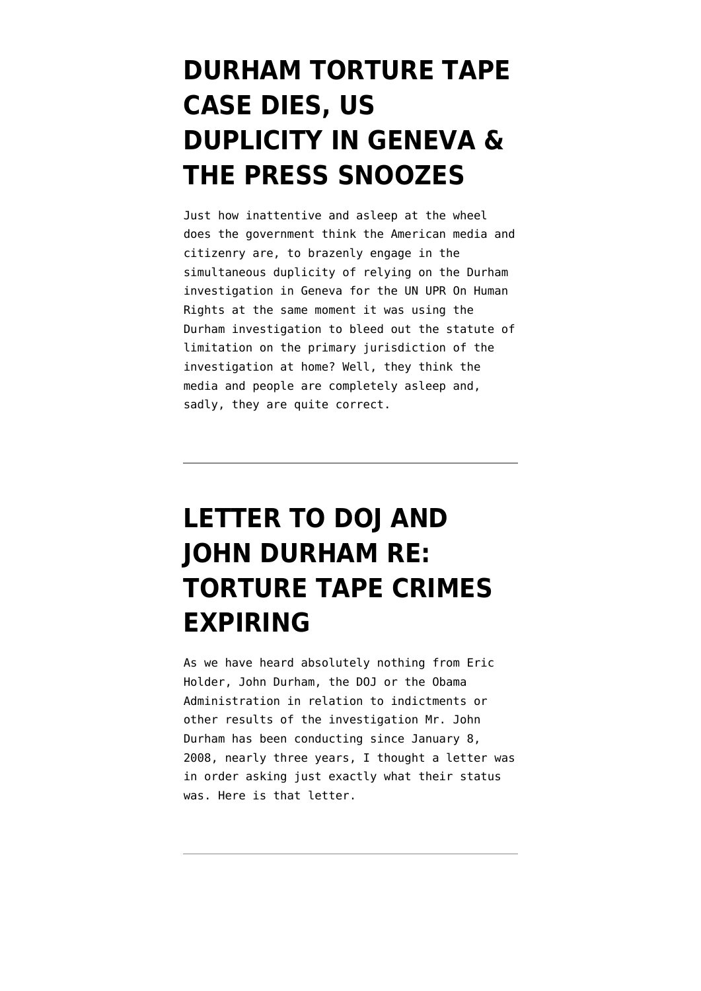## **[DURHAM TORTURE TAPE](https://www.emptywheel.net/2010/11/09/durham-torture-tape-case-dies-us-duplicity-in-geneva-the-press-snoozes/) [CASE DIES, US](https://www.emptywheel.net/2010/11/09/durham-torture-tape-case-dies-us-duplicity-in-geneva-the-press-snoozes/) [DUPLICITY IN GENEVA &](https://www.emptywheel.net/2010/11/09/durham-torture-tape-case-dies-us-duplicity-in-geneva-the-press-snoozes/) [THE PRESS SNOOZES](https://www.emptywheel.net/2010/11/09/durham-torture-tape-case-dies-us-duplicity-in-geneva-the-press-snoozes/)**

Just how inattentive and asleep at the wheel does the government think the American media and citizenry are, to brazenly engage in the simultaneous duplicity of relying on the Durham investigation in Geneva for the UN UPR On Human Rights at the same moment it was using the Durham investigation to bleed out the statute of limitation on the primary jurisdiction of the investigation at home? Well, they think the media and people are completely asleep and, sadly, they are quite correct.

# **[LETTER TO DOJ AND](https://www.emptywheel.net/2010/11/04/letter-to-doj-and-john-durham-re-torture-tape-crimes-expiring/) [JOHN DURHAM RE:](https://www.emptywheel.net/2010/11/04/letter-to-doj-and-john-durham-re-torture-tape-crimes-expiring/) [TORTURE TAPE CRIMES](https://www.emptywheel.net/2010/11/04/letter-to-doj-and-john-durham-re-torture-tape-crimes-expiring/) [EXPIRING](https://www.emptywheel.net/2010/11/04/letter-to-doj-and-john-durham-re-torture-tape-crimes-expiring/)**

As we have heard absolutely nothing from Eric Holder, John Durham, the DOJ or the Obama Administration in relation to indictments or other results of the investigation Mr. John Durham has been conducting since January 8, 2008, nearly three years, I thought a letter was in order asking just exactly what their status was. Here is that letter.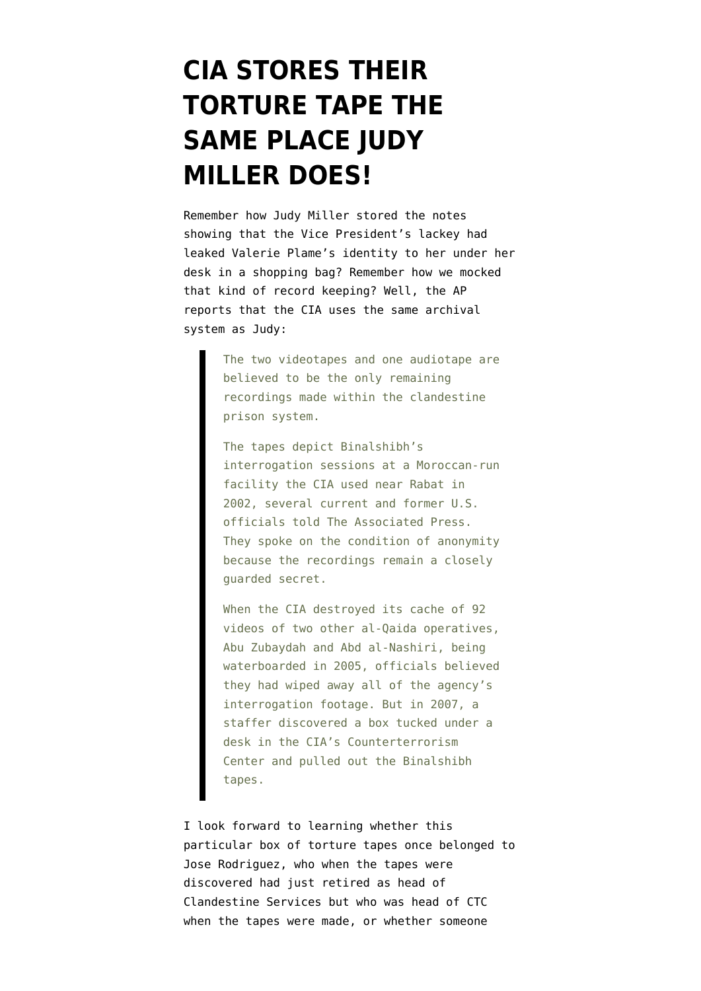## **[CIA STORES THEIR](https://www.emptywheel.net/2010/08/17/cia-stores-their-torture-tape-the-same-place-judy-miller-does/) [TORTURE TAPE THE](https://www.emptywheel.net/2010/08/17/cia-stores-their-torture-tape-the-same-place-judy-miller-does/) [SAME PLACE JUDY](https://www.emptywheel.net/2010/08/17/cia-stores-their-torture-tape-the-same-place-judy-miller-does/) [MILLER DOES!](https://www.emptywheel.net/2010/08/17/cia-stores-their-torture-tape-the-same-place-judy-miller-does/)**

Remember how Judy Miller stored the notes showing that the Vice President's lackey had leaked Valerie Plame's identity to her under her desk in a shopping bag? Remember how we mocked that kind of record keeping? Well, the AP [reports](http://m.apnews.com/ap/db_8559/contentdetail.htm?contentguid=mqWph6Pd) that the CIA uses the same archival system as Judy:

> The two videotapes and one audiotape are believed to be the only remaining recordings made within the clandestine prison system.

> The tapes depict Binalshibh's interrogation sessions at a Moroccan-run facility the CIA used near Rabat in 2002, several current and former U.S. officials told The Associated Press. They spoke on the condition of anonymity because the recordings remain a closely guarded secret.

> When the CIA destroyed its cache of 92 videos of two other al-Qaida operatives, Abu Zubaydah and Abd al-Nashiri, being waterboarded in 2005, officials believed they had wiped away all of the agency's interrogation footage. But in 2007, a staffer discovered a box tucked under a desk in the CIA's Counterterrorism Center and pulled out the Binalshibh tapes.

I look forward to learning whether this particular box of torture tapes once belonged to Jose Rodriguez, who when the tapes were discovered had just retired as head of Clandestine Services but who was head of CTC when the tapes were made, or whether someone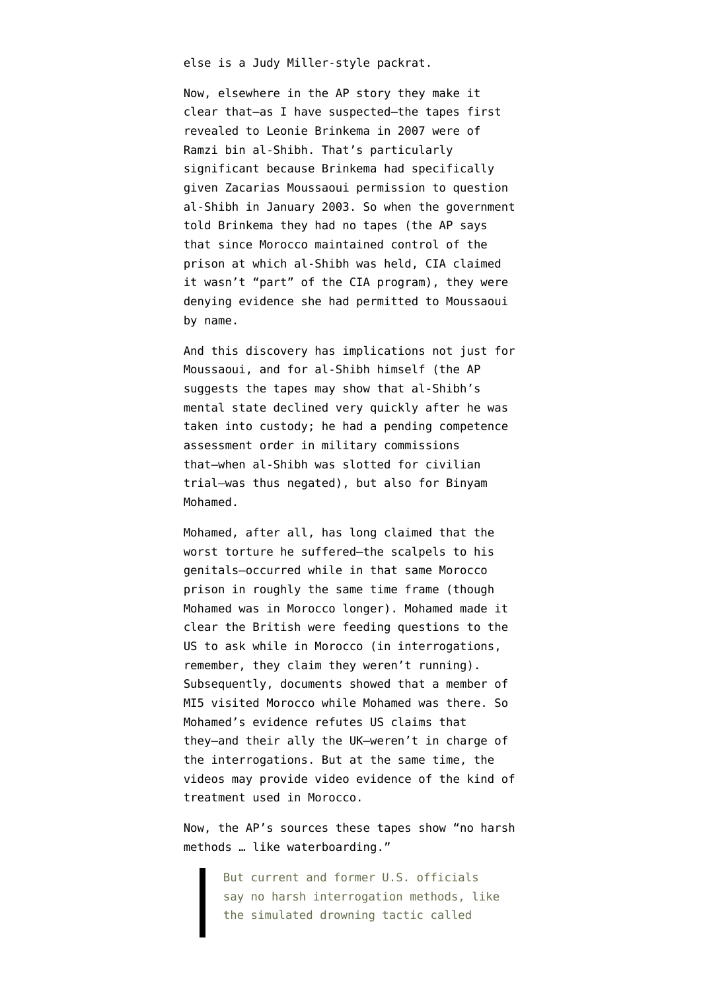else is a Judy Miller-style packrat.

Now, elsewhere in the AP story they make it clear that–as I have suspected–the tapes first revealed to Leonie Brinkema in 2007 were of Ramzi bin al-Shibh. That's particularly significant because Brinkema [had specifically](http://emptywheel.firedoglake.com/2007/12/07/was-ramzi-bin-al-shibh-the-second-al-qaeda-detainee/) [given](http://emptywheel.firedoglake.com/2007/12/07/was-ramzi-bin-al-shibh-the-second-al-qaeda-detainee/) Zacarias Moussaoui permission to question al-Shibh in January 2003. So when the government told Brinkema they had no tapes (the AP says that since Morocco maintained control of the prison at which al-Shibh was held, CIA claimed it wasn't "part" of the CIA program), they were denying evidence she had permitted to Moussaoui by name.

And this discovery has implications not just for Moussaoui, and for al-Shibh himself (the AP suggests the tapes may show that al-Shibh's mental state declined very quickly after he was taken into custody; he had a pending competence assessment order in military commissions that–when al-Shibh was slotted for civilian trial–was thus negated), but also for Binyam Mohamed.

Mohamed, after all, has long [claimed](http://www.cnn.com/2010/WORLD/europe/02/10/britain.us.torture/index.html) that the worst torture he suffered–the scalpels to his genitals–occurred while in that same Morocco prison in roughly the same time frame (though Mohamed was in Morocco longer). Mohamed [made it](http://www.dailymail.co.uk/news/article-1160238/How-MI5-colluded-torture-Binyam-Mohamed-claims-British-agents-fed-Moroccan-torturers-questions--WORLD-EXCLUSIVE.html) [clear](http://www.dailymail.co.uk/news/article-1160238/How-MI5-colluded-torture-Binyam-Mohamed-claims-British-agents-fed-Moroccan-torturers-questions--WORLD-EXCLUSIVE.html) the British were feeding questions to the US to ask while in Morocco (in interrogations, remember, they claim they weren't running). Subsequently, documents showed that a member of MI5 [visited](http://www.guardian.co.uk/world/2009/jul/31/binyam-mohamed-new-evidence-guantanamo) Morocco while Mohamed was there. So Mohamed's evidence refutes US claims that they–and their ally the UK–weren't in charge of the interrogations. But at the same time, the videos may provide video evidence of the kind of treatment used in Morocco.

Now, the AP's sources these tapes show "no harsh methods … like waterboarding."

> But current and former U.S. officials say no harsh interrogation methods, like the simulated drowning tactic called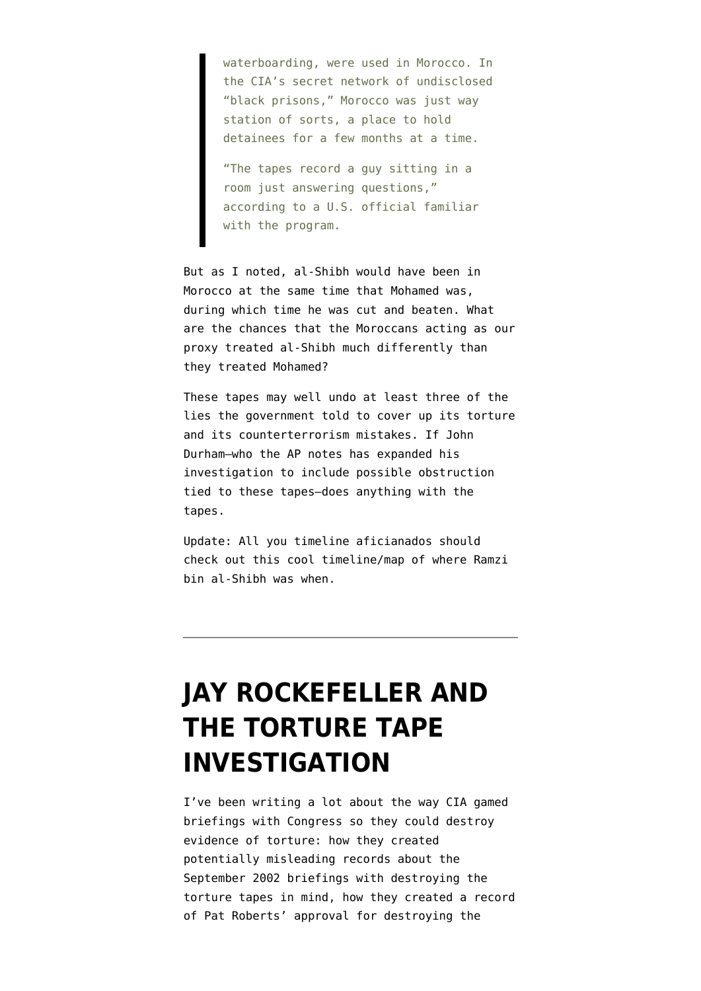waterboarding, were used in Morocco. In the CIA's secret network of undisclosed "black prisons," Morocco was just way station of sorts, a place to hold detainees for a few months at a time.

"The tapes record a guy sitting in a room just answering questions," according to a U.S. official familiar with the program.

But as I noted, al-Shibh would have been in Morocco at the same time that Mohamed was, during which time he was cut and beaten. What are the chances that the Moroccans acting as our proxy treated al-Shibh much differently than they treated Mohamed?

These tapes may well undo at least three of the lies the government told to cover up its torture and its counterterrorism mistakes. If John Durham–who the AP notes has expanded his investigation to include possible obstruction tied to these tapes–does anything with the tapes.

Update: All you timeline aficianados should [check out this cool timeline/map](http://hosted.ap.org/specials/interactives/wdc/binalshibh/) of where Ramzi bin al-Shibh was when.

### **[JAY ROCKEFELLER AND](https://www.emptywheel.net/2010/07/27/jay-rockefeller-and-the-torture-tape-investigation/) [THE TORTURE TAPE](https://www.emptywheel.net/2010/07/27/jay-rockefeller-and-the-torture-tape-investigation/) [INVESTIGATION](https://www.emptywheel.net/2010/07/27/jay-rockefeller-and-the-torture-tape-investigation/)**

I've been [writing](http://emptywheel.firedoglake.com/2010/07/26/the-aps-most-complete-published-account-that-leaves-out-torture/) a lot about the way [CIA gamed](http://emptywheel.firedoglake.com/2010/06/14/briefing-congress-and-destroying-torture-tapes/) [briefings](http://emptywheel.firedoglake.com/2010/06/14/briefing-congress-and-destroying-torture-tapes/) with Congress so they could destroy evidence of torture: how they created potentially misleading records about the September 2002 briefings with destroying the torture tapes in mind, how they created a record of Pat Roberts' approval for destroying the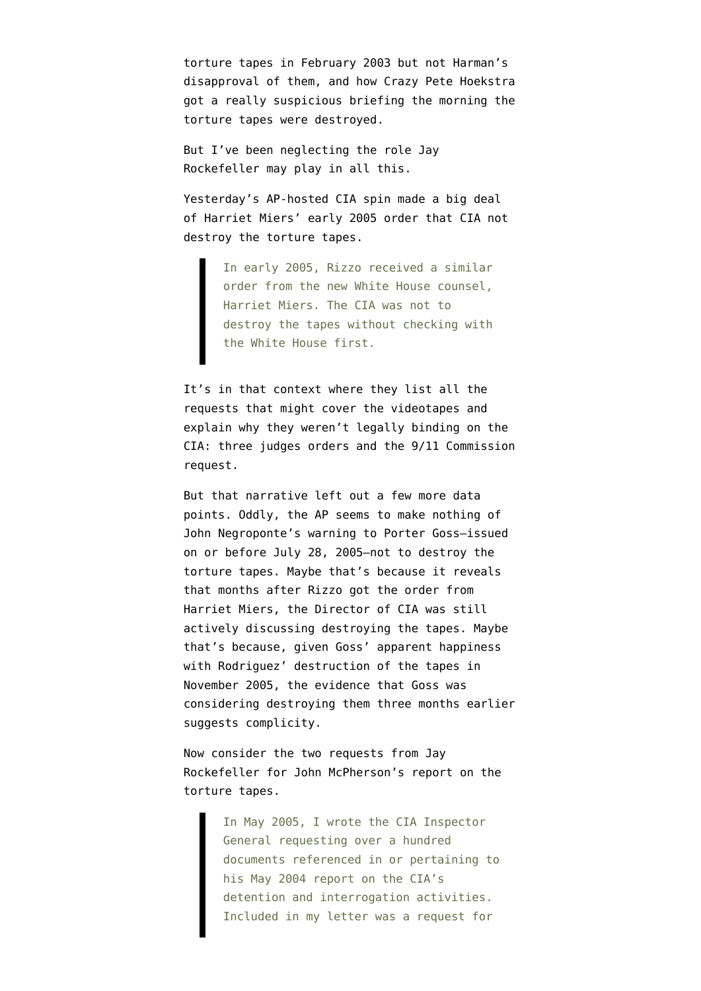torture tapes in February 2003 but not Harman's disapproval of them, and how Crazy Pete Hoekstra got a really suspicious briefing the morning the torture tapes were destroyed.

But I've been neglecting the role Jay Rockefeller may play in all this.

Yesterday's [AP-hosted CIA spin](http://news.yahoo.com/s/ap/20100726/ap_on_go_ca_st_pe/us_cia_tapes;_ylt=A0wNdPVymk1Mi2oBgQms0NUE;_ylu=X3oDMTNnZnN0MGRyBGFzc2V0A2FwLzIwMTAwNzI2L3VzX2NpYV90YXBlcwRjY29kZQNtb3N0cG9wdWxhcgRjcG9zAzYEcG9zAzMEcHQDaG9tZV9jb2tlBHNlYwN5bl9oZWFkbGluZV9saXN0BHNsawNrZXlvbWlzc2lvbmk-) made a big deal of Harriet Miers' early 2005 order that CIA not destroy the torture tapes.

> In early 2005, Rizzo received a similar order from the new White House counsel, Harriet Miers. The CIA was not to destroy the tapes without checking with the White House first.

It's in that context where they list all the requests that might cover the videotapes and explain why they weren't legally binding on the CIA: three judges orders and the 9/11 Commission request.

But that narrative left out a few more data points. Oddly, the AP seems to make nothing of [John Negroponte's warning to Porter Goss–](http://emptywheel.firedoglake.com/2009/11/27/the-negroponte-warning/)issued on or before July 28, 2005–not to destroy the torture tapes. Maybe that's because it reveals that months after Rizzo got the order from Harriet Miers, the Director of CIA was still actively discussing destroying the tapes. Maybe that's because, given Goss' apparent happiness with Rodriguez' destruction of the tapes in November 2005, the evidence that Goss was considering destroying them three months earlier suggests complicity.

Now consider the [two requests from Jay](http://www.warandpiece.com/blogdirs/006826.html#more) [Rockefeller](http://www.warandpiece.com/blogdirs/006826.html#more) for John McPherson's report on the torture tapes.

> In May 2005, I wrote the CIA Inspector General requesting over a hundred documents referenced in or pertaining to his May 2004 report on the CIA's detention and interrogation activities. Included in my letter was a request for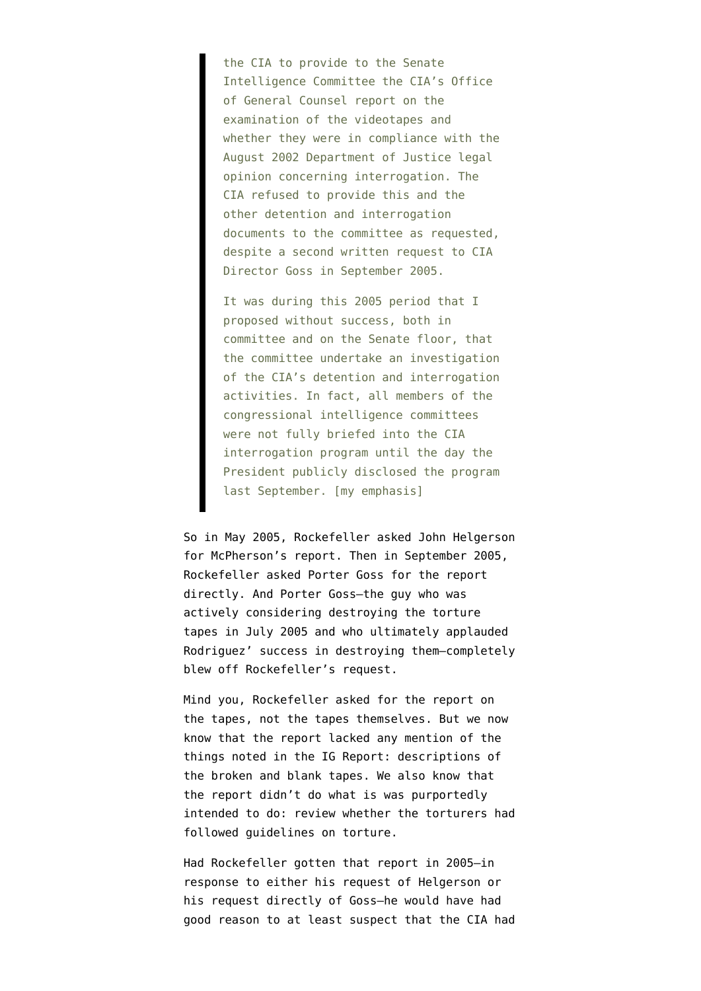the CIA to provide to the Senate Intelligence Committee the CIA's Office of General Counsel report on the examination of the videotapes and whether they were in compliance with the August 2002 Department of Justice legal opinion concerning interrogation. The CIA refused to provide this and the other detention and interrogation documents to the committee as requested, despite a second written request to CIA Director Goss in September 2005.

It was during this 2005 period that I proposed without success, both in committee and on the Senate floor, that the committee undertake an investigation of the CIA's detention and interrogation activities. In fact, all members of the congressional intelligence committees were not fully briefed into the CIA interrogation program until the day the President publicly disclosed the program last September. [my emphasis]

So in May 2005, Rockefeller asked John Helgerson for McPherson's report. Then in September 2005, Rockefeller asked Porter Goss for the report directly. And Porter Goss–the guy who was actively considering destroying the torture tapes in July 2005 and who ultimately applauded Rodriguez' success in destroying them–completely blew off Rockefeller's request.

Mind you, Rockefeller asked for the report on the tapes, not the tapes themselves. But we [now](http://emptywheel.firedoglake.com/2010/04/16/cias-lawyer-did-not-record-destroyed-tapes/) [know](http://emptywheel.firedoglake.com/2010/04/16/cias-lawyer-did-not-record-destroyed-tapes/) that the report lacked any mention of the things noted in the IG Report: descriptions of the broken and blank tapes. We also know that the report didn't do what is was purportedly intended to do: review whether the torturers had followed guidelines on torture.

Had Rockefeller gotten that report in 2005–in response to either his request of Helgerson or his request directly of Goss–he would have had good reason to at least suspect that the CIA had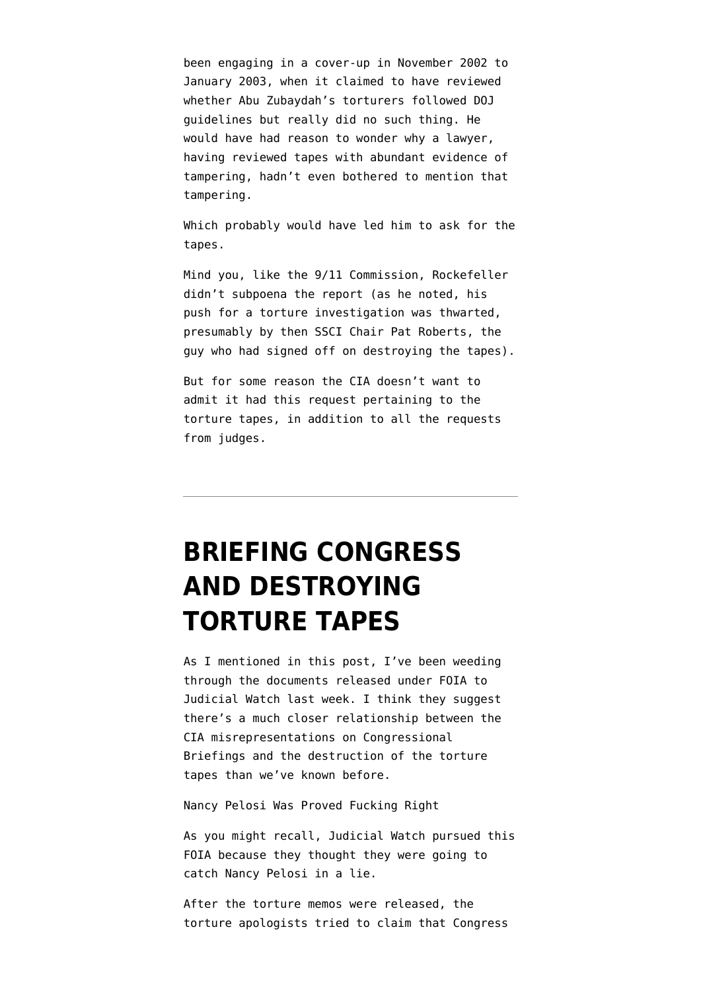been engaging in a cover-up in November 2002 to January 2003, when it claimed to have reviewed whether Abu Zubaydah's torturers followed DOJ guidelines but really did no such thing. He would have had reason to wonder why a lawyer, having reviewed tapes with abundant evidence of tampering, hadn't even bothered to mention that tampering.

Which probably would have led him to ask for the tapes.

Mind you, like the 9/11 Commission, Rockefeller didn't subpoena the report (as he noted, his push for a torture investigation was thwarted, presumably by then SSCI Chair Pat Roberts, the guy who had signed off on destroying the tapes).

But for some reason the CIA doesn't want to admit it had this request pertaining to the torture tapes, in addition to all the requests from judges.

## **[BRIEFING CONGRESS](https://www.emptywheel.net/2010/06/14/briefing-congress-and-destroying-torture-tapes/) [AND DESTROYING](https://www.emptywheel.net/2010/06/14/briefing-congress-and-destroying-torture-tapes/) [TORTURE TAPES](https://www.emptywheel.net/2010/06/14/briefing-congress-and-destroying-torture-tapes/)**

As I mentioned in [this post](http://emptywheel.firedoglake.com/2010/06/13/they-changed-the-pelosi-briefing-description-after-deciding-to-destroy-torture-tapes/), I've been weeding through the documents [released under FOIA to](http://www.judicialwatch.org/news/2010/jun/judicial-watch-obtains-additional-top-secret-records-detailing-congressional-briefings) [Judicial Watch](http://www.judicialwatch.org/news/2010/jun/judicial-watch-obtains-additional-top-secret-records-detailing-congressional-briefings) last week. I think they suggest there's a much closer relationship between the [CIA misrepresentations on Congressional](http://emptywheel.firedoglake.com/2009/05/19/the-cias-comedy-of-briefing-list-errors/) [Briefings](http://emptywheel.firedoglake.com/2009/05/19/the-cias-comedy-of-briefing-list-errors/) and the destruction of the torture tapes than we've known before.

Nancy Pelosi Was Proved Fucking Right

As you might recall, Judicial Watch pursued this FOIA because they thought they were going to catch Nancy Pelosi in a lie.

After the torture memos were released, the torture apologists tried to claim that Congress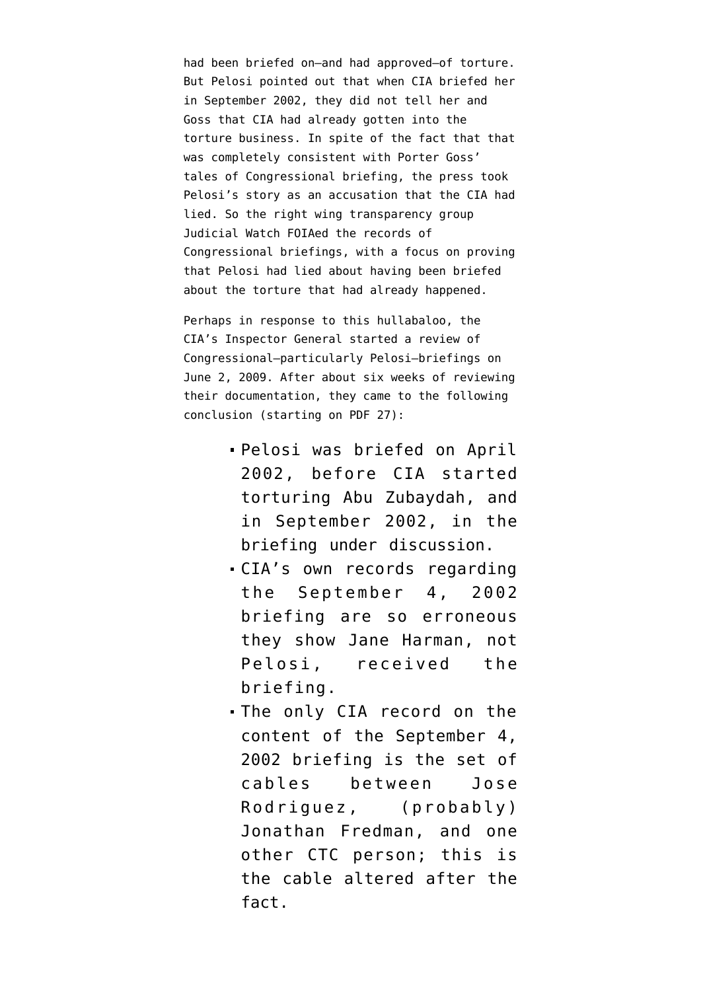had been briefed on–and had approved–of torture. But Pelosi pointed out that when CIA briefed her in September 2002, [they did not tell her](http://emptywheel.firedoglake.com/2009/05/14/pelosi-cia-told-us-waterboarding-was-not-being-employed/) and Goss that CIA had already gotten into the torture business. In spite of the fact that that was [completely consistent with Porter Goss'](http://emptywheel.firedoglake.com/2009/05/21/goss-wont-elaborate-on-torture-techniques-that-were-to-be-employed/) [tales](http://emptywheel.firedoglake.com/2009/05/21/goss-wont-elaborate-on-torture-techniques-that-were-to-be-employed/) of Congressional briefing, the press took Pelosi's story as an accusation that the CIA had lied. So the right wing transparency group Judicial Watch FOIAed the records of Congressional briefings, with a focus on proving that Pelosi had lied about having been briefed about the torture that had already happened.

Perhaps in response to this hullabaloo, the CIA's Inspector General started a review of Congressional–particularly Pelosi–briefings on June 2, 2009. After about six weeks of reviewing their documentation, they came to the following conclusion (starting on [PDF 27\)](http://www.judicialwatch.org/files/documents/2010/CIApart5-06042010.pdf):

- Pelosi was briefed on April 2002, before CIA started torturing Abu Zubaydah, and in September 2002, in the briefing under discussion.
- CIA's own records regarding the September 4, 2002 briefing are so erroneous they show Jane Harman, not Pelosi, received the briefing.
- The only CIA record on the content of the September 4, 2002 briefing is the set of cables between Jose Rodriguez, (probably) Jonathan Fredman, and one other CTC person; this is the cable altered after the fact.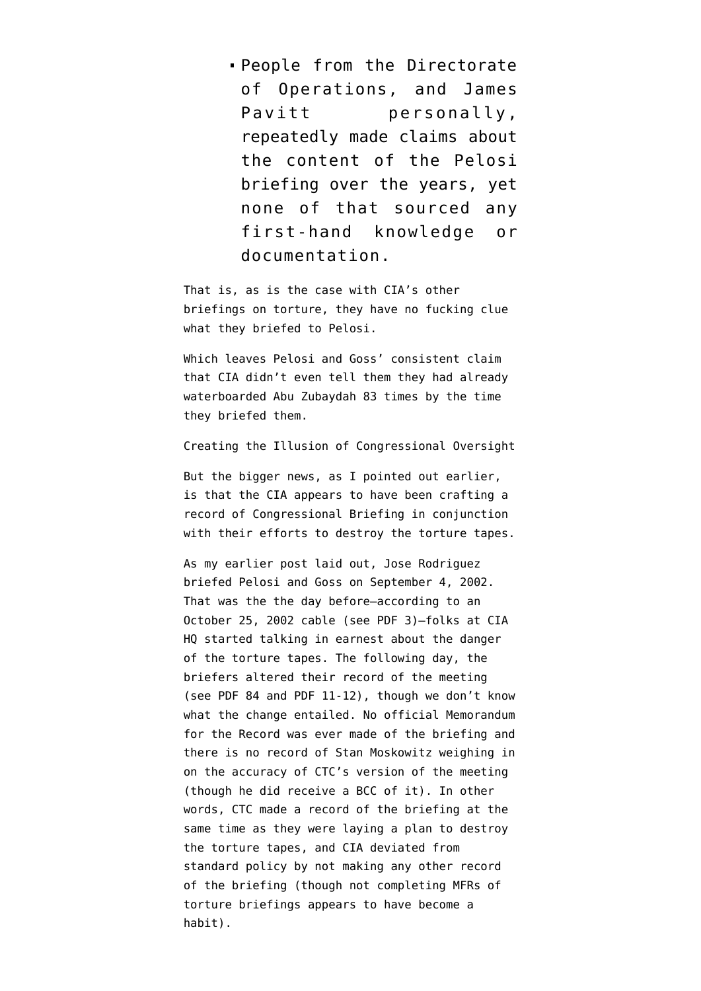People from the Directorate of Operations, and James Pavitt personally, repeatedly made claims about the content of the Pelosi briefing over the years, yet none of that sourced any first-hand knowledge or documentation.

That is, [as is the case with CIA's other](http://emptywheel.firedoglake.com/2010/03/16/cia-documents-prove-cia-claims-about-briefing-congress-on-torture-were-fabrications/) [briefings on torture](http://emptywheel.firedoglake.com/2010/03/16/cia-documents-prove-cia-claims-about-briefing-congress-on-torture-were-fabrications/), they have no fucking clue what they briefed to Pelosi.

Which leaves [Pelosi and Goss' consistent claim](http://emptywheel.firedoglake.com/2009/05/21/goss-wont-elaborate-on-torture-techniques-that-were-to-be-employed/) that CIA didn't even tell them they had already waterboarded Abu Zubaydah 83 times by the time they briefed them.

Creating the Illusion of Congressional Oversight

But the bigger news, as I [pointed out earlier](http://www.emptywheel.net/2010/06/13/they-changed-the-pelosi-briefing-description-after-deciding-to-destroy-torture-tapes/), is that the CIA appears to have been crafting a record of Congressional Briefing in conjunction with their efforts to destroy the torture tapes.

As my earlier post laid out, Jose Rodriguez briefed Pelosi and Goss on September 4, 2002. That was the the day before–according to an October 25, 2002 cable (see [PDF 3\)](http://www.aclu.org/files/assets/cia_release20100415_p01-09.pdf)–folks at CIA HQ started talking in earnest about the danger of the torture tapes. The following day, the briefers altered their record of the meeting (see [PDF 84](http://www.judicialwatch.org/files/documents/2010/CIApart2-06042010.pdf) and [PDF 11-12\)](http://www.judicialwatch.org/files/documents/2010/CIApart5-06042010.pdf), though we don't know what the change entailed. No official Memorandum for the Record was ever made of the briefing and there is no record of Stan Moskowitz weighing in on the accuracy of CTC's version of the meeting (though he did receive a BCC of it). In other words, CTC made a record of the briefing at the same time as they were laying a plan to destroy the torture tapes, and CIA deviated from standard policy by not making any other record of the briefing (though not completing MFRs of torture briefings appears to have become a habit).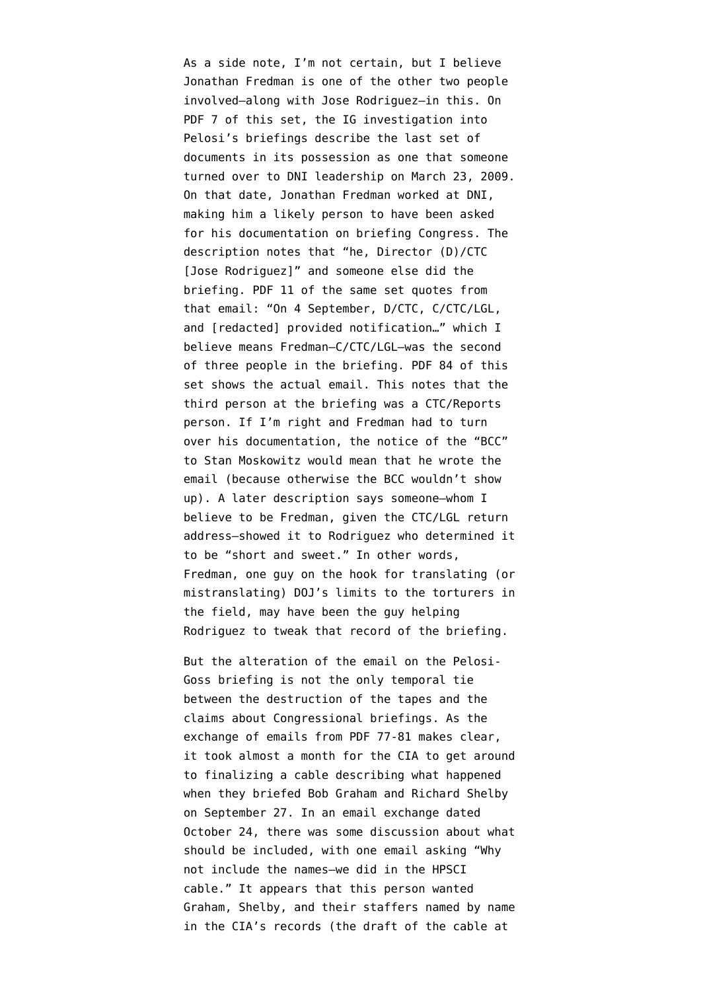As a side note, I'm not certain, but I believe Jonathan Fredman is one of the other two people involved–along with Jose Rodriguez–in this. On [PDF 7 of this set,](http://www.judicialwatch.org/files/documents/2010/CIApart5-06042010.pdf) the IG investigation into Pelosi's briefings describe the last set of documents in its possession as one that someone turned over to DNI leadership on March 23, 2009. On that date, [Jonathan Fredman worked at DNI](http://washingtonindependent.com/40110/key-player-in-enhanced-interrogations-still-at-cia), making him a likely person to have been asked for his documentation on briefing Congress. The description notes that "he, Director (D)/CTC [Jose Rodriguez]" and someone else did the briefing. PDF 11 of the same set quotes from that email: "On 4 September, D/CTC, C/CTC/LGL, and [redacted] provided notification…" which I believe means Fredman–C/CTC/LGL–was the second of three people in the briefing. [PDF 84 of this](http://www.judicialwatch.org/files/documents/2010/CIApart2-06042010.pdf) [set](http://www.judicialwatch.org/files/documents/2010/CIApart2-06042010.pdf) shows the actual email. This notes that the third person at the briefing was a CTC/Reports person. If I'm right and Fredman had to turn over his documentation, the notice of the "BCC" to Stan Moskowitz would mean that he wrote the email (because otherwise the BCC wouldn't show up). A later description says someone–whom I believe to be Fredman, given the CTC/LGL return address–showed it to Rodriguez who determined it to be "short and sweet." In other words, Fredman, one guy on the hook for translating (or mistranslating) DOJ's limits to the torturers in the field, may have been the guy helping Rodriguez to tweak that record of the briefing.

But the alteration of the email on the Pelosi-Goss briefing is not the only temporal tie between the destruction of the tapes and the claims about Congressional briefings. As the exchange of emails from [PDF 77-81](http://www.judicialwatch.org/files/documents/2010/CIApart6-06042010.pdf) makes clear, it took almost a month for the CIA to get around to finalizing a cable describing what happened when they briefed Bob Graham and Richard Shelby on September 27. In an email exchange dated October 24, there was some discussion about what should be included, with one email asking "Why not include the names–we did in the HPSCI cable." It appears that this person wanted Graham, Shelby, and their staffers named by name in the CIA's records (the draft of the cable at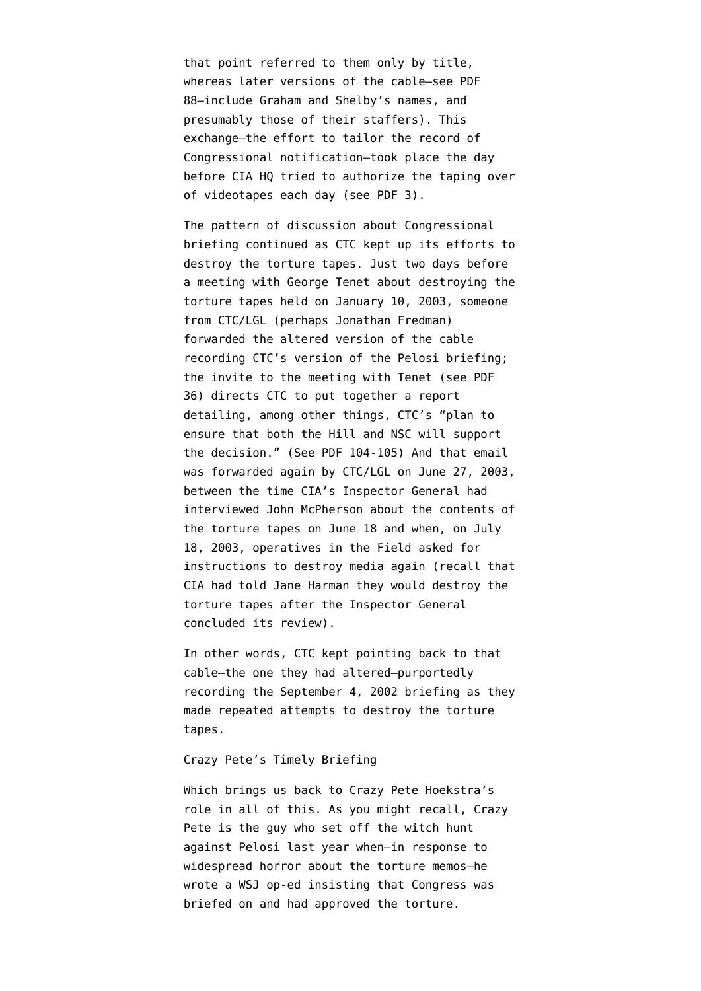that point referred to them only by title, whereas later versions of the cable–see [PDF](http://www.judicialwatch.org/files/documents/2010/CIApart2-06042010.pdf) [88–](http://www.judicialwatch.org/files/documents/2010/CIApart2-06042010.pdf)include Graham and Shelby's names, and presumably those of their staffers). This exchange–the effort to tailor the record of Congressional notification–took place the day before CIA HO tried to authorize the taping over of videotapes each day (see [PDF 3\)](http://www.aclu.org/files/assets/cia_release20100415_p01-09.pdf).

The pattern of discussion about Congressional briefing continued as CTC kept up its efforts to destroy the torture tapes. Just [two days before](http://emptywheel.firedoglake.com/2010/04/18/the-timeline-of-torture-tape-destruction-in-john-durhams-documents/) a meeting with George Tenet about destroying the torture tapes held on January 10, 2003, someone from CTC/LGL (perhaps Jonathan Fredman) forwarded the altered version of the cable recording CTC's version of the Pelosi briefing; the invite to the meeting with Tenet ([see PDF](http://www.aclu.org/files/assets/cia_release20100415_p19-27.pdf) [36\)](http://www.aclu.org/files/assets/cia_release20100415_p19-27.pdf) directs CTC to put together a report detailing, among other things, CTC's "plan to ensure that both the Hill and NSC will support the decision." (See [PDF 104-105\)](http://www.judicialwatch.org/files/documents/2010/CIApart6-06042010.pdf) And that email was forwarded again by CTC/LGL on June 27, 2003, [between the time](http://emptywheel.firedoglake.com/2010/04/18/the-timeline-of-torture-tape-destruction-in-john-durhams-documents/) CIA's Inspector General had interviewed John McPherson about the contents of the torture tapes on June 18 and when, on July 18, 2003, operatives in the Field asked for instructions to destroy media again (recall that CIA had told Jane Harman they would destroy the torture tapes after the Inspector General concluded its review).

In other words, CTC kept pointing back to that cable–the one they had altered–purportedly recording the September 4, 2002 briefing as they made repeated attempts to destroy the torture tapes.

### Crazy Pete's Timely Briefing

Which brings us back to Crazy Pete Hoekstra's role in all of this. As you might recall, Crazy Pete is the guy who set off the witch hunt against Pelosi last year when–in response to widespread horror about the torture memos[–he](http://online.wsj.com/article/SB124044188941045415.html) [wrote a WSJ op-ed](http://online.wsj.com/article/SB124044188941045415.html) insisting that Congress was briefed on and had approved the torture.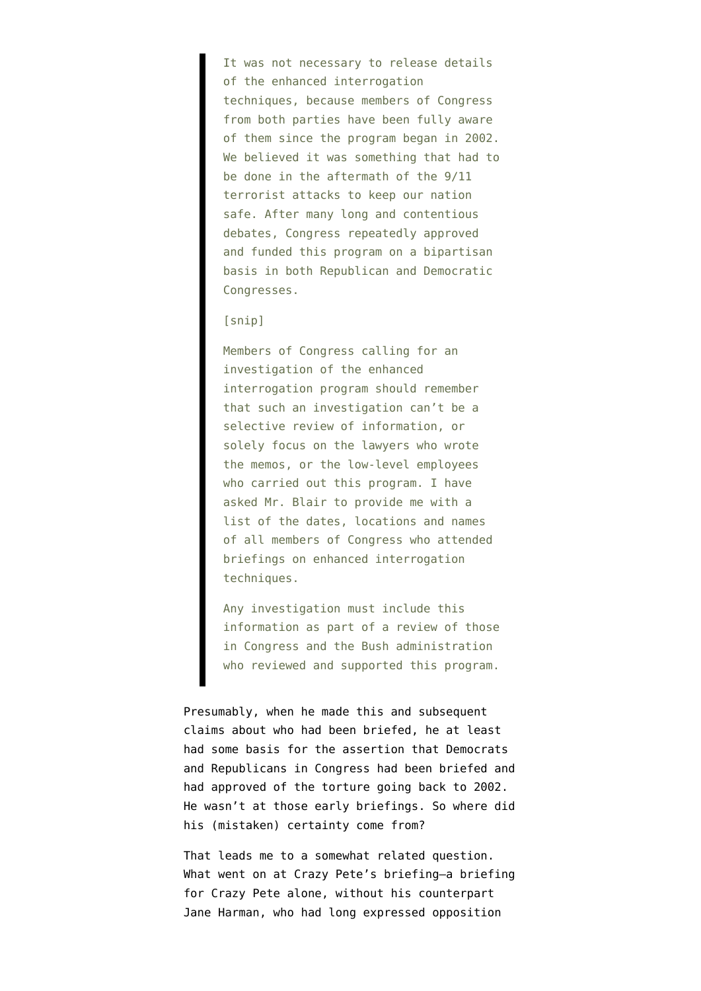It was not necessary to release details of the enhanced interrogation techniques, because members of Congress from both parties have been fully aware of them since the program began in 2002. We believed it was something that had to be done in the aftermath of the 9/11 terrorist attacks to keep our nation safe. After many long and contentious debates, Congress repeatedly approved and funded this program on a bipartisan basis in both Republican and Democratic Congresses.

### [snip]

Members of Congress calling for an investigation of the enhanced interrogation program should remember that such an investigation can't be a selective review of information, or solely focus on the lawyers who wrote the memos, or the low-level employees who carried out this program. I have asked Mr. Blair to provide me with a list of the dates, locations and names of all members of Congress who attended briefings on enhanced interrogation techniques.

Any investigation must include this information as part of a review of those in Congress and the Bush administration who reviewed and supported this program.

Presumably, when he made this and subsequent claims about who had been briefed, he at least had some basis for the assertion that Democrats and Republicans in Congress had been briefed and had approved of the torture going back to 2002. He wasn't at those early briefings. So where did his (mistaken) certainty come from?

That leads me to a somewhat related question. What went on at Crazy Pete's briefing–a briefing for Crazy Pete alone, without his counterpart Jane Harman, who had long expressed opposition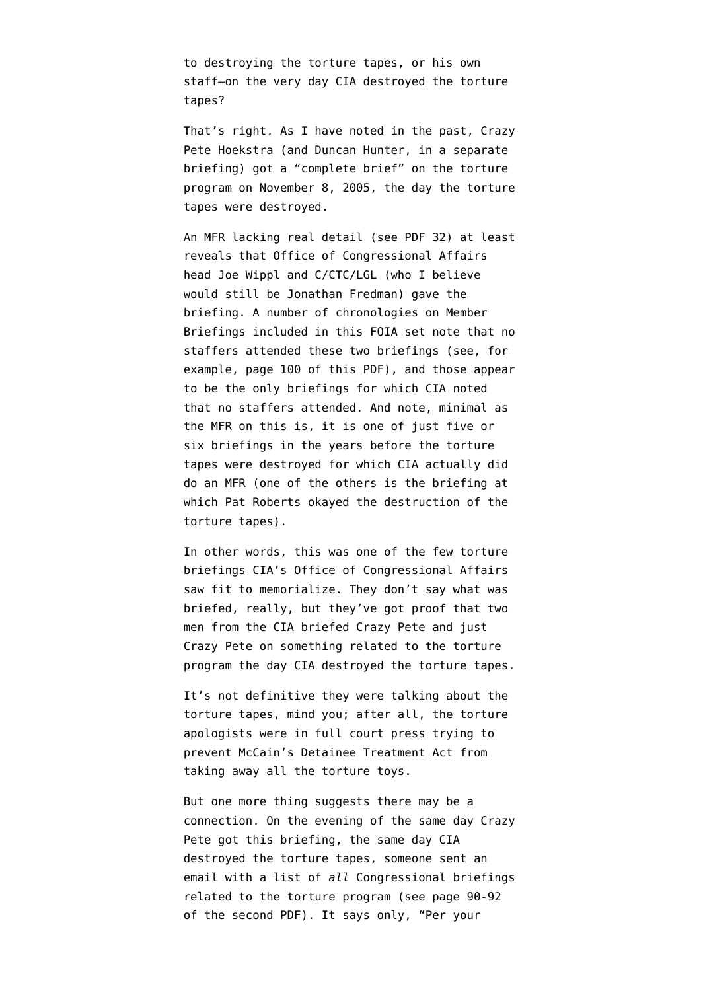to destroying the torture tapes, or his own staff–on the very day CIA destroyed the torture tapes?

That's right. As I have noted in the past, Crazy Pete Hoekstra (and Duncan Hunter, in a separate briefing) got a "complete brief" on the torture program on November 8, 2005, the day the torture tapes were destroyed.

An MFR lacking real detail (see [PDF 32\)](http://www.judicialwatch.org/files/documents/2010/CIApart5-06042010.pdf) at least reveals that Office of Congressional Affairs head Joe Wippl and C/CTC/LGL (who I believe would still be Jonathan Fredman) gave the briefing. A number of chronologies on Member Briefings included in this FOIA set note that no staffers attended these two briefings (see, for example, [page 100 of this PDF](http://www.judicialwatch.org/files/documents/2010/CIApart2-06042010.pdf)), and those appear to be the only briefings for which CIA noted that no staffers attended. And note, minimal as the MFR on this is, it is one of just five or six briefings in the years before the torture tapes were destroyed for which CIA actually did do an MFR (one of the others is the briefing at which Pat Roberts okayed the destruction of the torture tapes).

In other words, this was one of the few torture briefings CIA's Office of Congressional Affairs saw fit to memorialize. They don't say what was briefed, really, but they've got proof that two men from the CIA briefed Crazy Pete and just Crazy Pete on something related to the torture program the day CIA destroyed the torture tapes.

It's not definitive they were talking about the torture tapes, mind you; after all, the torture apologists were in full court press trying to prevent McCain's Detainee Treatment Act from taking away all the torture toys.

But one more thing suggests there may be a connection. On the evening of the same day Crazy Pete got this briefing, the same day CIA destroyed the torture tapes, someone sent an email with a list of *all* Congressional briefings related to the torture program ([see page 90-92](http://www.judicialwatch.org/files/documents/2010/CIApart2-06042010.pdf) [of the second PDF\)](http://www.judicialwatch.org/files/documents/2010/CIApart2-06042010.pdf). It says only, "Per your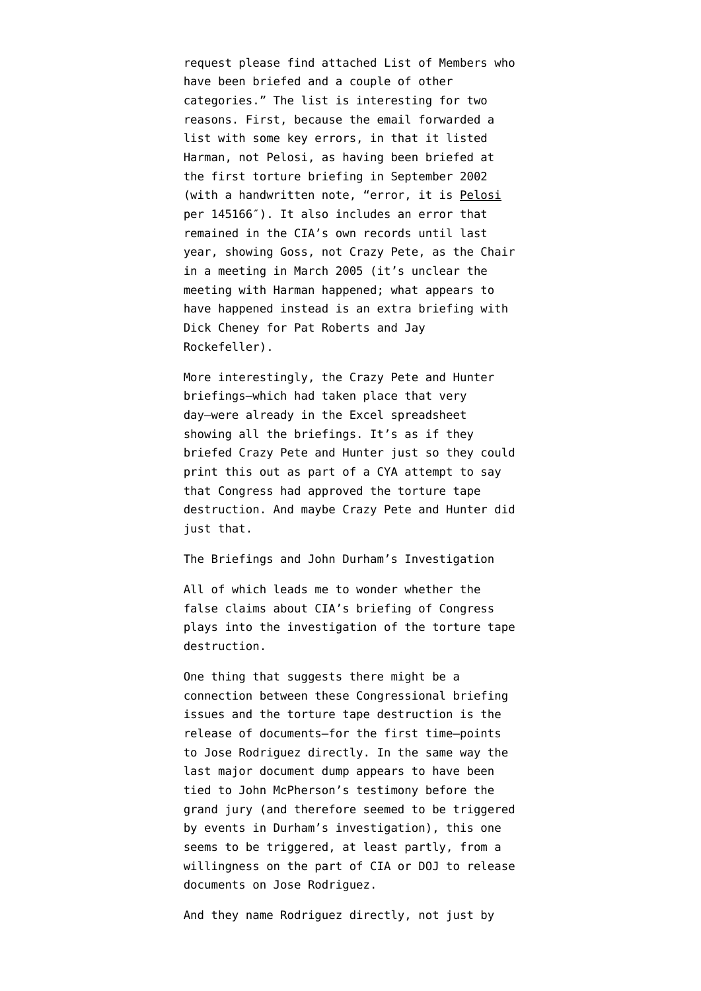request please find attached List of Members who have been briefed and a couple of other categories." The list is interesting for two reasons. First, because the email forwarded a list with some key errors, in that it listed Harman, not Pelosi, as having been briefed at the first torture briefing in September 2002 (with a handwritten note, "error, it is Pelosi per 145166″). It also includes an error that remained in the CIA's own records until last year, showing Goss, not Crazy Pete, as the Chair in a meeting in March 2005 (it's unclear the meeting with Harman happened; what appears to have happened instead is an extra briefing with Dick Cheney for Pat Roberts and Jay Rockefeller).

More interestingly, the Crazy Pete and Hunter briefings–which had taken place that very day–were already in the Excel spreadsheet showing all the briefings. It's as if they briefed Crazy Pete and Hunter just so they could print this out as part of a CYA attempt to say that Congress had approved the torture tape destruction. And maybe Crazy Pete and Hunter did just that.

The Briefings and John Durham's Investigation

All of which leads me to wonder whether the false claims about CIA's briefing of Congress plays into the investigation of the torture tape destruction.

One thing that suggests there might be a connection between these Congressional briefing issues and the torture tape destruction is the release of documents–for the first time–points to Jose Rodriguez directly. In the same way the [last major document dump appears to have been](http://emptywheel.firedoglake.com/2010/04/18/the-timeline-of-torture-tape-destruction-in-john-durhams-documents/) [tied to John McPherson's testimony](http://emptywheel.firedoglake.com/2010/04/18/the-timeline-of-torture-tape-destruction-in-john-durhams-documents/) before the grand jury (and therefore seemed to be triggered by events in Durham's investigation), this one seems to be triggered, at least partly, from a willingness on the part of CIA or DOJ to release documents on Jose Rodriguez.

And they name Rodriguez directly, not just by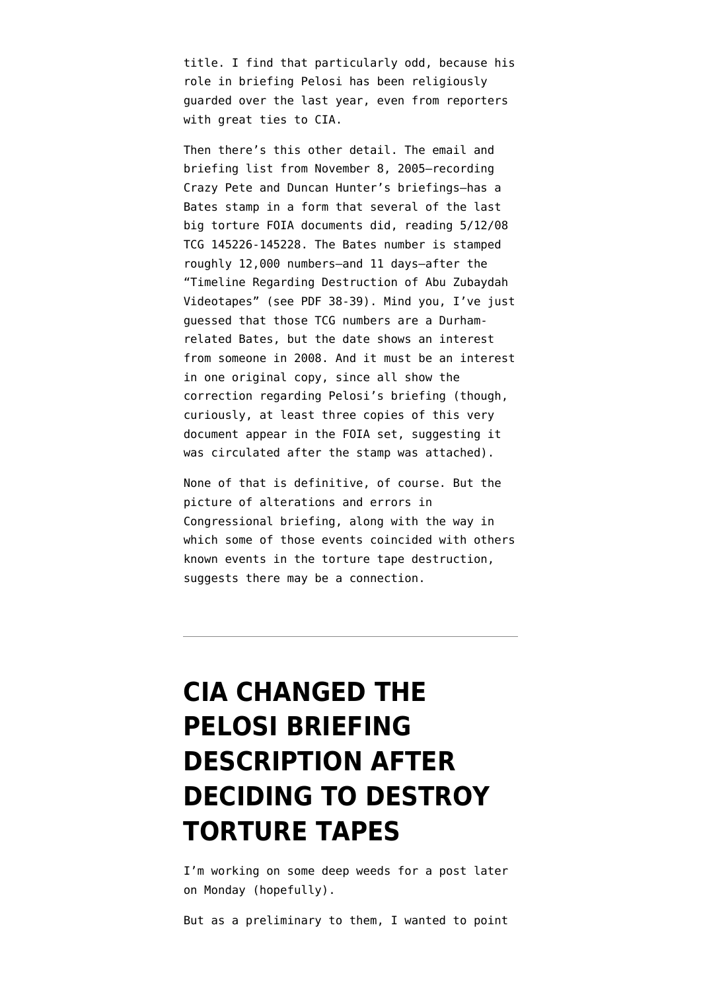title. I find that particularly odd, because his role in briefing Pelosi has been religiously guarded over the last year, even from reporters with great ties to CIA.

Then there's this other detail. The email and briefing list from November 8, 2005–recording Crazy Pete and Duncan Hunter's briefings–has a [Bates stamp in a form that several of the last](http://static1.firedoglake.com/28/files/2010/06/100421-Bates-Stamps.pdf) [big torture FOIA documents did,](http://static1.firedoglake.com/28/files/2010/06/100421-Bates-Stamps.pdf) reading 5/12/08 TCG 145226-145228. The Bates number is stamped roughly 12,000 numbers–and 11 days–after the "Timeline Regarding Destruction of Abu Zubaydah Videotapes" (see [PDF 38-39\)](http://www.aclu.org/files/assets/cia_release20100415_p19-27.pdf). Mind you, I've just guessed that those TCG numbers are a Durhamrelated Bates, but the date shows an interest from someone in 2008. And it must be an interest in one original copy, since all show the correction regarding Pelosi's briefing (though, curiously, at least three copies of this very document appear in the FOIA set, suggesting it was circulated after the stamp was attached).

None of that is definitive, of course. But the picture of alterations and errors in Congressional briefing, along with the way in which some of those events coincided with others known events in the torture tape destruction, suggests there may be a connection.

# **[CIA CHANGED THE](https://www.emptywheel.net/2010/06/13/they-changed-the-pelosi-briefing-description-after-deciding-to-destroy-torture-tapes/) [PELOSI BRIEFING](https://www.emptywheel.net/2010/06/13/they-changed-the-pelosi-briefing-description-after-deciding-to-destroy-torture-tapes/) [DESCRIPTION AFTER](https://www.emptywheel.net/2010/06/13/they-changed-the-pelosi-briefing-description-after-deciding-to-destroy-torture-tapes/) [DECIDING TO DESTROY](https://www.emptywheel.net/2010/06/13/they-changed-the-pelosi-briefing-description-after-deciding-to-destroy-torture-tapes/) [TORTURE TAPES](https://www.emptywheel.net/2010/06/13/they-changed-the-pelosi-briefing-description-after-deciding-to-destroy-torture-tapes/)**

I'm working on some deep weeds for a post later on Monday (hopefully).

But as a preliminary to them, I wanted to point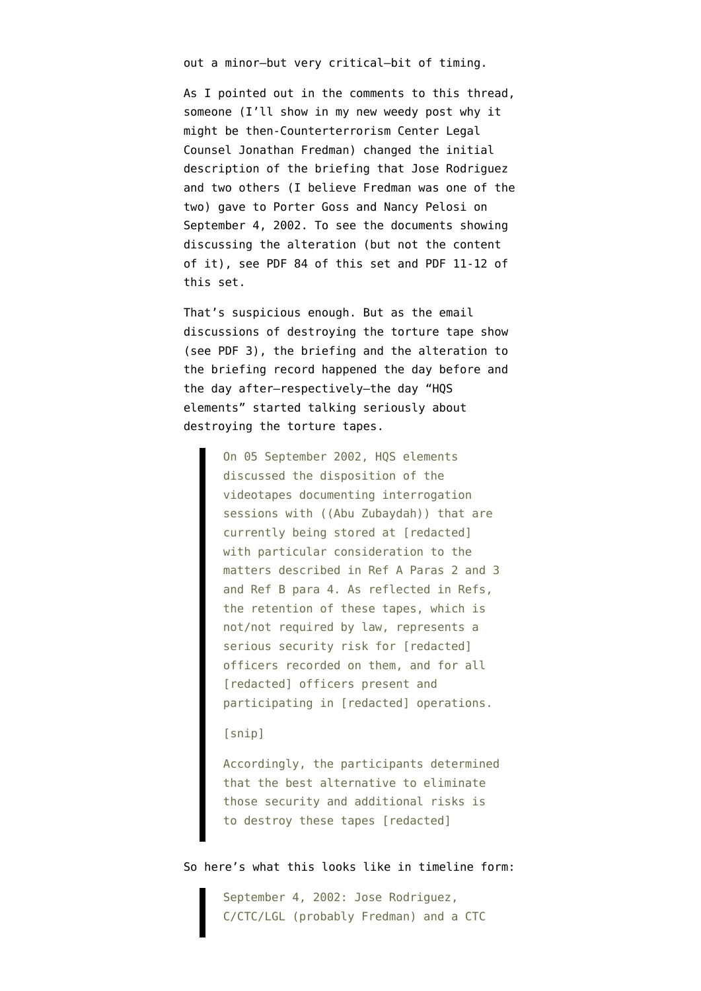out a minor–but very critical–bit of timing.

As I pointed out in [the comments to this thread,](http://emptywheel.firedoglake.com/2010/06/07/jose-rodriguez-briefed-pelosi-and-goss-in-deceptive-abu-zubaydah-briefing/) someone (I'll show in my new weedy post why it might be then-Counterterrorism Center Legal Counsel Jonathan Fredman) changed the initial description of the briefing that Jose Rodriguez and two others (I believe Fredman was one of the two) gave to Porter Goss and Nancy Pelosi on September 4, 2002. To see the documents showing discussing the alteration (but not the content of it), [see PDF 84](http://www.judicialwatch.org/files/documents/2010/CIApart2-06042010.pdf) of this set and [PDF 11-12 of](http://www.judicialwatch.org/files/documents/2010/CIApart5-06042010.pdf) [this set.](http://www.judicialwatch.org/files/documents/2010/CIApart5-06042010.pdf)

That's suspicious enough. But as the email discussions of destroying the torture tape show (see [PDF 3\)](http://www.aclu.org/files/assets/cia_release20100415_p01-09.pdf), the briefing and the alteration to the briefing record happened the day before and the day after–respectively–the day "HQS elements" started talking seriously about destroying the torture tapes.

> On 05 September 2002, HQS elements discussed the disposition of the videotapes documenting interrogation sessions with ((Abu Zubaydah)) that are currently being stored at [redacted] with particular consideration to the matters described in Ref A Paras 2 and 3 and Ref B para 4. As reflected in Refs, the retention of these tapes, which is not/not required by law, represents a serious security risk for [redacted] officers recorded on them, and for all [redacted] officers present and participating in [redacted] operations.

### [snip]

Accordingly, the participants determined that the best alternative to eliminate those security and additional risks is to destroy these tapes [redacted]

#### So here's what this looks like in timeline form:

September 4, 2002: Jose Rodriguez, C/CTC/LGL (probably Fredman) and a CTC